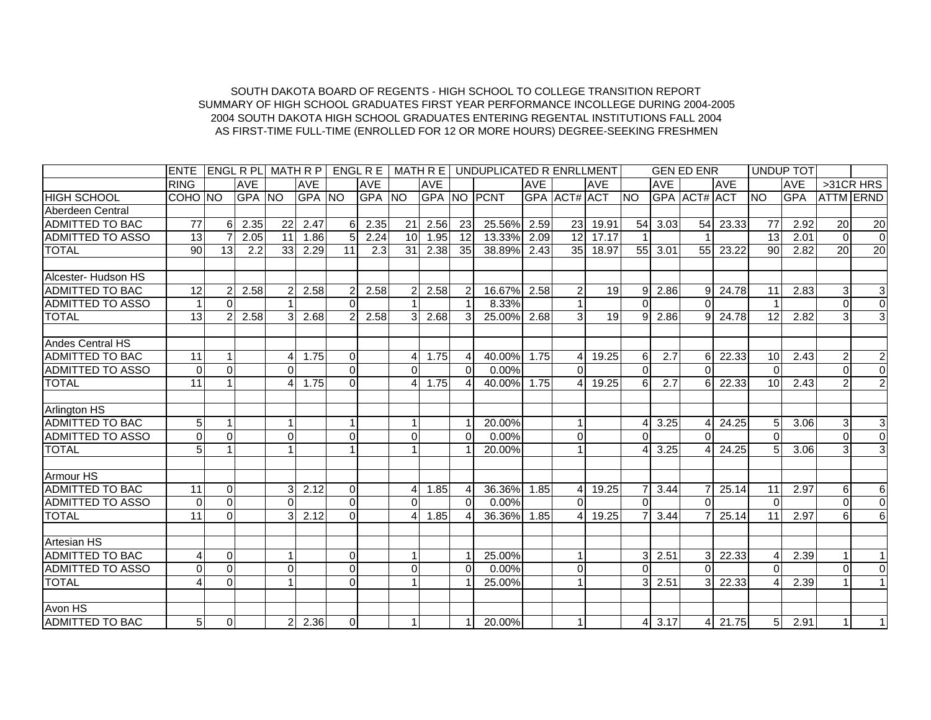## AS FIRST-TIME FULL-TIME (ENROLLED FOR 12 OR MORE HOURS) DEGREE-SEEKING FRESHMEN 2004 SOUTH DAKOTA HIGH SCHOOL GRADUATES ENTERING REGENTAL INSTITUTIONS FALL 2004SUMMARY OF HIGH SCHOOL GRADUATES FIRST YEAR PERFORMANCE INCOLLEGE DURING 2004-2005 SOUTH DAKOTA BOARD OF REGENTS - HIGH SCHOOL TO COLLEGE TRANSITION REPORT

|                         | <b>ENTE</b>    |                |            |                |            |          |            |                 |            |                | LENGL R PLL MATH R P L ENGL R E L MATH R E L UNDUPLICATED R ENRLLMENT |            |                        |            |           |                    | <b>GEN ED ENR</b> |             |                 | <b>UNDUP TOT</b> |                  |                |
|-------------------------|----------------|----------------|------------|----------------|------------|----------|------------|-----------------|------------|----------------|-----------------------------------------------------------------------|------------|------------------------|------------|-----------|--------------------|-------------------|-------------|-----------------|------------------|------------------|----------------|
|                         | <b>RING</b>    |                | <b>AVE</b> |                | <b>AVE</b> |          | <b>AVE</b> |                 | <b>AVE</b> |                |                                                                       | <b>AVE</b> |                        | <b>AVE</b> |           | <b>AVE</b>         |                   | <b>AVE</b>  |                 | <b>AVE</b>       |                  | $>31CR$ HRS    |
| <b>HIGH SCHOOL</b>      | COHO NO        |                | GPA NO     |                | GPA NO     |          | GPA NO     |                 |            |                | <b>GPA NO PCNT</b>                                                    |            | GPA ACT# ACT           |            | <b>NO</b> |                    | GPA ACT# ACT      |             | <b>NO</b>       | <b>GPA</b>       | <b>ATTM ERND</b> |                |
| Aberdeen Central        |                |                |            |                |            |          |            |                 |            |                |                                                                       |            |                        |            |           |                    |                   |             |                 |                  |                  |                |
| <b>ADMITTED TO BAC</b>  | 77             | 6              | 2.35       | 22             | 2.47       | 61       | 2.35       | 21              | 2.56       | 23             | 25.56%                                                                | 2.59       | 23                     | 19.91      |           | $54$ 3.03          | 54                | 23.33       | $\overline{77}$ | 2.92             | 20               | 20             |
| <b>ADMITTED TO ASSO</b> | 13             | 7              | 2.05       | 11             | 1.86       | 5        | 2.24       | 10 <sup>1</sup> | 1.95       | 12             | 13.33%                                                                | 2.09       | 12                     | 17.17      |           |                    |                   |             | 13 <sup>1</sup> | 2.01             | $\Omega$         | $\overline{0}$ |
| <b>TOTAL</b>            | 90             | 13             | 2.2        | 33             | 2.29       | 11       | 2.3        | 31              | 2.38       | 35             | 38.89%                                                                | 2.43       | 35                     | 18.97      |           | 55 3.01            | 55                | 23.22       | 90 <sup>1</sup> | 2.82             | 20               | 20             |
|                         |                |                |            |                |            |          |            |                 |            |                |                                                                       |            |                        |            |           |                    |                   |             |                 |                  |                  |                |
| Alcester- Hudson HS     |                |                |            |                |            |          |            |                 |            |                |                                                                       |            |                        |            |           |                    |                   |             |                 |                  |                  |                |
| <b>ADMITTED TO BAC</b>  | 12             | $\overline{2}$ | 2.58       | $\overline{2}$ | 2.58       |          | 2.58       |                 | 2.58       | $\overline{2}$ | 16.67%                                                                | 2.58       | $\overline{2}$         | 19         | 9         | 2.86               | 9                 | 24.78       | 11              | 2.83             | 3                | 3              |
| <b>ADMITTED TO ASSO</b> |                | $\Omega$       |            |                |            | $\Omega$ |            |                 |            |                | 8.33%                                                                 |            |                        |            | $\Omega$  |                    | $\Omega$          |             |                 |                  | $\Omega$         | $\overline{0}$ |
| <b>TOTAL</b>            | 13             | 2              | 2.58       | $\mathbf{3}$   | 2.68       | 2        | 2.58       | 3 <sup>l</sup>  | 2.68       | 3              | 25.00% 2.68                                                           |            | 3                      | 19         | 9         | 2.86               |                   | $9$   24.78 | 12 <sub>l</sub> | 2.82             | 3                | $\mathbf{3}$   |
|                         |                |                |            |                |            |          |            |                 |            |                |                                                                       |            |                        |            |           |                    |                   |             |                 |                  |                  |                |
| <b>Andes Central HS</b> |                |                |            |                |            |          |            |                 |            |                |                                                                       |            |                        |            |           |                    |                   |             |                 |                  |                  |                |
| <b>ADMITTED TO BAC</b>  | 11             | 1              |            | Δ              | 1.75       | $\Omega$ |            | 4               | 1.75       | ⊿              | 40.00%                                                                | 1.75       | 4                      | 19.25      | 6         | $\overline{2.7}$   | 6                 | 22.33       | 10 <sup>1</sup> | 2.43             | $\overline{c}$   | $\overline{2}$ |
| <b>ADMITTED TO ASSO</b> | $\Omega$       | $\Omega$       |            | 0              |            | $\Omega$ |            | $\Omega$        |            | $\Omega$       | $0.00\%$                                                              |            | $\Omega$               |            | $\Omega$  |                    | $\Omega$          |             | $\Omega$        |                  | 0                | $\overline{0}$ |
| <b>TOTAL</b>            | 11             |                |            |                | 1.75       | $\Omega$ |            |                 | 1.75       |                | 40.00%                                                                | 1.75       | 4                      | 19.25      | 6         | 2.7                | 6                 | 22.33       | 10 <sup>1</sup> | 2.43             |                  | $\overline{a}$ |
|                         |                |                |            |                |            |          |            |                 |            |                |                                                                       |            |                        |            |           |                    |                   |             |                 |                  |                  |                |
| Arlington HS            |                |                |            |                |            |          |            |                 |            |                |                                                                       |            |                        |            |           |                    |                   |             |                 |                  |                  |                |
| <b>ADMITTED TO BAC</b>  | 5              | 1              |            | 1              |            |          |            |                 |            |                | 20.00%                                                                |            | 1                      |            | 41        | 3.25               |                   | 24.25       | 5 <sub>1</sub>  | 3.06             | 3                | $\mathbf{3}$   |
| <b>ADMITTED TO ASSO</b> | $\Omega$       | $\Omega$       |            | 0              |            | $\Omega$ |            | $\Omega$        |            | $\Omega$       | 0.00%                                                                 |            | 0                      |            | $\Omega$  |                    | $\Omega$          |             |                 |                  | 0                | $\overline{0}$ |
| <b>TOTAL</b>            |                | $\mathbf{1}$   |            |                |            |          |            |                 |            |                | 20.00%                                                                |            | $\mathbf{1}$           |            |           | 3.25               |                   | 24.25       | 5 <sub>l</sub>  | 3.06             | 3                | $\mathbf{3}$   |
|                         |                |                |            |                |            |          |            |                 |            |                |                                                                       |            |                        |            |           |                    |                   |             |                 |                  |                  |                |
| Armour HS               |                |                |            |                |            |          |            |                 |            |                |                                                                       |            |                        |            |           |                    |                   |             |                 |                  |                  |                |
| ADMITTED TO BAC         | 11             | $\mathbf 0$    |            | 3              | 2.12       | $\Omega$ |            |                 | 1.85       |                | 36.36%                                                                | 1.85       | 4                      | 19.25      |           | 3.44               |                   | 25.14       | 11              | 2.97             | 6                | 6              |
| <b>ADMITTED TO ASSO</b> | $\Omega$       | $\Omega$       |            | $\Omega$       |            | $\Omega$ |            | $\Omega$        |            | $\Omega$       | $0.00\%$                                                              |            | $\Omega$               |            | $\Omega$  |                    | $\Omega$          |             | $\Omega$        |                  | $\Omega$         | $\overline{0}$ |
| <b>TOTAL</b>            | 11             | $\Omega$       |            | 31             | 2.12       | $\Omega$ |            | 4               | 1.85       |                | 36.36%                                                                | 1.85       | $\boldsymbol{\Lambda}$ | 19.25      |           | 3.44               |                   | 25.14       | 11              | 2.97             | 6                | 6              |
|                         |                |                |            |                |            |          |            |                 |            |                |                                                                       |            |                        |            |           |                    |                   |             |                 |                  |                  |                |
| <b>Artesian HS</b>      |                |                |            |                |            |          |            |                 |            |                |                                                                       |            |                        |            |           |                    |                   |             |                 |                  |                  |                |
| <b>ADMITTED TO BAC</b>  |                | $\Omega$       |            |                |            | $\Omega$ |            |                 |            |                | 25.00%                                                                |            | $\mathbf{1}$           |            |           | 2.51               | 3                 | 22.33       |                 | 2.39             |                  |                |
| <b>ADMITTED TO ASSO</b> | 0              | $\Omega$       |            | 0              |            | $\Omega$ |            | $\Omega$        |            | $\Omega$       | 0.00%                                                                 |            | 0                      |            | $\Omega$  |                    | $\Omega$          |             |                 |                  | 0                | $\Omega$       |
| <b>TOTAL</b>            |                | $\Omega$       |            |                |            | $\Omega$ |            |                 |            |                | 25.00%                                                                |            | $\mathbf{1}$           |            | 31        | 2.51               | 3                 | 22.33       |                 | 2.39             |                  |                |
|                         |                |                |            |                |            |          |            |                 |            |                |                                                                       |            |                        |            |           |                    |                   |             |                 |                  |                  |                |
| Avon HS                 |                |                |            |                |            |          |            |                 |            |                |                                                                       |            |                        |            |           |                    |                   |             |                 |                  |                  |                |
| <b>ADMITTED TO BAC</b>  | 5 <sup>5</sup> | $\overline{0}$ |            | $\overline{2}$ | 2.36       | $\Omega$ |            |                 |            |                | 20.00%                                                                |            | $\mathbf{1}$           |            |           | $4 \mid 3.17 \mid$ | $\vert$           | 21.75       | 5 <sup>1</sup>  | 2.91             |                  | $\mathbf{1}$   |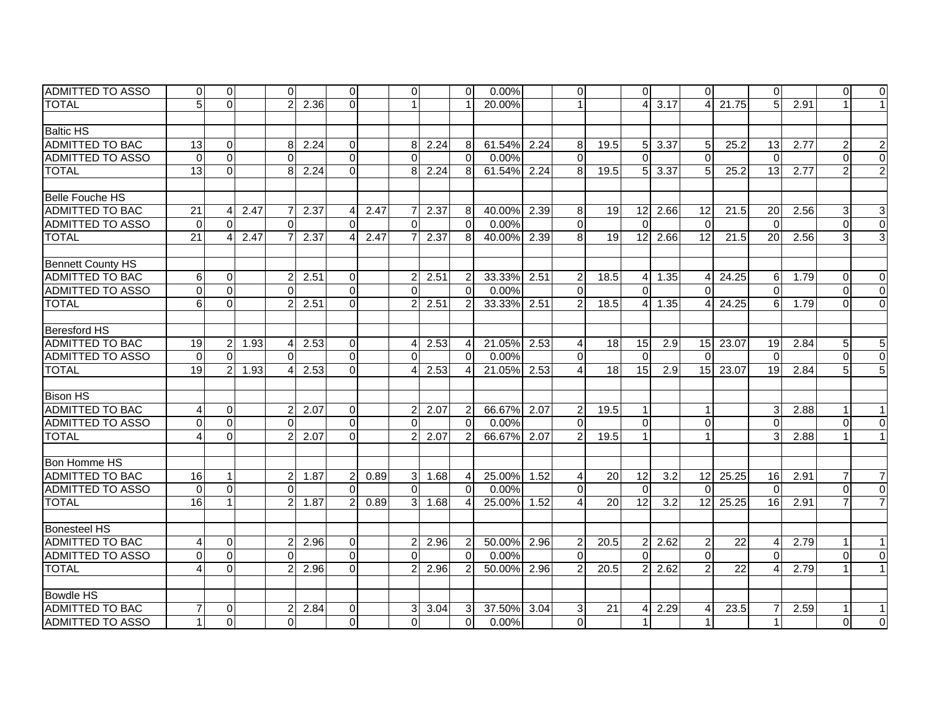| <b>IADMITTED TO ASSO</b> | $\overline{0}$  | $\Omega$       |      | Οl             |      | $\Omega$       |      | $\Omega$       |                | 0                      | $0.00\%$    |      | $\overline{0}$         |                 | $\Omega$        |                | $\Omega$                 |                 | $\Omega$        |      | $\Omega$ | $\overline{0}$ |
|--------------------------|-----------------|----------------|------|----------------|------|----------------|------|----------------|----------------|------------------------|-------------|------|------------------------|-----------------|-----------------|----------------|--------------------------|-----------------|-----------------|------|----------|----------------|
| <b>TOTAL</b>             | 5               | $\overline{0}$ |      | $\overline{2}$ | 2.36 | $\Omega$       |      |                |                |                        | 20.00%      |      | $\mathbf{1}$           |                 | $\overline{4}$  | 3.17           | $\Delta$                 | 21.75           | 5               | 2.91 |          | $\mathbf{1}$   |
|                          |                 |                |      |                |      |                |      |                |                |                        |             |      |                        |                 |                 |                |                          |                 |                 |      |          |                |
| <b>Baltic HS</b>         |                 |                |      |                |      |                |      |                |                |                        |             |      |                        |                 |                 |                |                          |                 |                 |      |          |                |
| ADMITTED TO BAC          | 13              | $\overline{0}$ |      | 8              | 2.24 | $\overline{0}$ |      | 8              | 2.24           | 8                      | 61.54%      | 2.24 | 8                      | 19.5            |                 | $5 \vert 3.37$ | 5                        | 25.2            | 13              | 2.77 | 2        | $\mathbf{2}$   |
| <b>ADMITTED TO ASSO</b>  | $\mathbf 0$     | $\Omega$       |      | $\Omega$       |      | $\Omega$       |      | $\Omega$       |                | $\Omega$               | 0.00%       |      | $\Omega$               |                 | $\Omega$        |                | $\Omega$                 |                 | $\Omega$        |      | $\Omega$ | $\overline{0}$ |
| <b>TOTAL</b>             | 13              | $\Omega$       |      | 8              | 2.24 | $\Omega$       |      | 8 <sup>1</sup> | 2.24           | 8                      | 61.54%      | 2.24 | 8                      | 19.5            | 5 <sup>1</sup>  | 3.37           | 5                        | 25.2            | 13              | 2.77 |          | $\overline{2}$ |
|                          |                 |                |      |                |      |                |      |                |                |                        |             |      |                        |                 |                 |                |                          |                 |                 |      |          |                |
| Belle Fouche HS          |                 |                |      |                |      |                |      |                |                |                        |             |      |                        |                 |                 |                |                          |                 |                 |      |          |                |
| <b>ADMITTED TO BAC</b>   | 21              | 4              | 2.47 |                | 2.37 | $\overline{4}$ | 2.47 | $\overline{7}$ | 2.37           | 8                      | 40.00%      | 2.39 | 8                      | 19              | 12 <sup>2</sup> | 2.66           | 12                       | 21.5            | 20              | 2.56 | 3        | 3              |
| <b>ADMITTED TO ASSO</b>  | $\mathbf{0}$    | $\Omega$       |      | $\Omega$       |      | $\Omega$       |      | $\Omega$       |                | $\Omega$               | 0.00%       |      | $\Omega$               |                 | $\Omega$        |                | $\Omega$                 |                 | $\Omega$        |      | $\Omega$ | $\overline{0}$ |
| <b>TOTAL</b>             | $\overline{21}$ | $\overline{4}$ | 2.47 |                | 2.37 | $\overline{4}$ | 2.47 | $\overline{7}$ | 2.37           | 8                      | 40.00%      | 2.39 | 8                      | $\overline{19}$ | 12              | 2.66           | $\overline{12}$          | 21.5            | $\overline{20}$ | 2.56 | 3        | 3              |
|                          |                 |                |      |                |      |                |      |                |                |                        |             |      |                        |                 |                 |                |                          |                 |                 |      |          |                |
| <b>Bennett County HS</b> |                 |                |      |                |      |                |      |                |                |                        |             |      |                        |                 |                 |                |                          |                 |                 |      |          |                |
| <b>ADMITTED TO BAC</b>   | 6               | $\Omega$       |      | $\overline{c}$ | 2.51 | $\Omega$       |      | $\overline{2}$ | 2.51           | $\overline{2}$         | 33.33%      | 2.51 | $\overline{2}$         | 18.5            | $\overline{4}$  | 1.35           | 4                        | 24.25           | 6               | 1.79 | $\Omega$ | $\Omega$       |
| <b>ADMITTED TO ASSO</b>  | $\Omega$        | $\Omega$       |      | $\Omega$       |      | $\Omega$       |      | $\Omega$       |                | $\Omega$               | 0.00%       |      | $\Omega$               |                 | $\Omega$        |                | $\Omega$                 |                 | $\Omega$        |      | $\Omega$ | $\Omega$       |
| <b>TOTAL</b>             | 6               | $\Omega$       |      |                | 2.51 | $\Omega$       |      |                | 2.51           | 2                      | 33.33%      | 2.51 | $\overline{2}$         | 18.5            | 41              | 1.35           | Δ                        | 24.25           | 6               | 1.79 | 0        | $\Omega$       |
|                          |                 |                |      |                |      |                |      |                |                |                        |             |      |                        |                 |                 |                |                          |                 |                 |      |          |                |
| Beresford HS             |                 |                |      |                |      |                |      |                |                |                        |             |      |                        |                 |                 |                |                          |                 |                 |      |          |                |
| <b>ADMITTED TO BAC</b>   | 19              | $\overline{2}$ | 1.93 | 4              | 2.53 | $\Omega$       |      |                | 2.53           | $\overline{4}$         | 21.05%      | 2.53 | 4                      | 18              | 15 <sup>1</sup> | 2.9            | 15                       | 23.07           | 19              | 2.84 | 5        | 5              |
| <b>ADMITTED TO ASSO</b>  | $\Omega$        | $\Omega$       |      | $\Omega$       |      | $\Omega$       |      | $\Omega$       |                | $\Omega$               | 0.00%       |      | $\mathbf 0$            |                 | $\Omega$        |                | $\Omega$                 |                 | $\Omega$        |      | $\Omega$ | $\overline{0}$ |
| <b>TOTAL</b>             | $\overline{19}$ | $\overline{2}$ | 1.93 | 4              | 2.53 | $\Omega$       |      | $\overline{4}$ | 2.53           | $\overline{4}$         | 21.05%      | 2.53 | $\overline{4}$         | $\overline{18}$ | 15              | 2.9            | 15                       | 23.07           | $\overline{19}$ | 2.84 | 5        | $\overline{5}$ |
|                          |                 |                |      |                |      |                |      |                |                |                        |             |      |                        |                 |                 |                |                          |                 |                 |      |          |                |
| <b>Bison HS</b>          |                 |                |      |                |      |                |      |                |                |                        |             |      |                        |                 |                 |                |                          |                 |                 |      |          |                |
| <b>ADMITTED TO BAC</b>   | 4               | $\Omega$       |      | 2              | 2.07 | $\Omega$       |      | $\overline{2}$ | 2.07           | $\overline{2}$         | 66.67%      | 2.07 | $\overline{2}$         | 19.5            | $\mathbf{1}$    |                | $\overline{\phantom{a}}$ |                 | 3               | 2.88 |          | $\mathbf{1}$   |
| <b>ADMITTED TO ASSO</b>  | $\Omega$        | $\Omega$       |      | $\Omega$       |      | $\Omega$       |      | $\Omega$       |                | $\Omega$               | 0.00%       |      | $\Omega$               |                 | $\Omega$        |                | $\Omega$                 |                 | $\Omega$        |      | $\Omega$ | $\Omega$       |
| <b>TOTAL</b>             | 4               | $\Omega$       |      | $\overline{2}$ | 2.07 | $\Omega$       |      | 21             | 2.07           | $\overline{2}$         | 66.67% 2.07 |      | $\overline{2}$         | 19.5            | 1               |                |                          |                 |                 | 2.88 |          | $\mathbf{1}$   |
|                          |                 |                |      |                |      |                |      |                |                |                        |             |      |                        |                 |                 |                |                          |                 |                 |      |          |                |
| Bon Homme HS             |                 |                |      |                |      |                |      |                |                |                        |             |      |                        |                 |                 |                |                          |                 |                 |      |          |                |
| ADMITTED TO BAC          | 16              | $\mathbf{1}$   |      | $\overline{2}$ | 1.87 | $\overline{2}$ | 0.89 | 3 <sup>1</sup> | 1.68           | $\overline{4}$         | 25.00%      | 1.52 | 4                      | 20              | 12              | 3.2            | 12                       | 25.25           | 16              | 2.91 |          | $\overline{7}$ |
| <b>ADMITTED TO ASSO</b>  | $\Omega$        | $\Omega$       |      | $\Omega$       |      | $\Omega$       |      | $\Omega$       |                | $\Omega$               | 0.00%       |      | $\mathbf 0$            |                 | $\Omega$        |                | $\Omega$                 |                 | $\Omega$        |      | $\Omega$ | $\overline{0}$ |
| <b>TOTAL</b>             | 16              | $\mathbf{1}$   |      | $\overline{2}$ | 1.87 | $\overline{2}$ | 0.89 |                | $3 \quad 1.68$ | $\boldsymbol{\Lambda}$ | 25.00%      | 1.52 | $\boldsymbol{\Lambda}$ | 20              | 12              | 3.2            | 12                       | 25.25           | 16              | 2.91 |          | $\overline{7}$ |
|                          |                 |                |      |                |      |                |      |                |                |                        |             |      |                        |                 |                 |                |                          |                 |                 |      |          |                |
| <b>Bonesteel HS</b>      |                 |                |      |                |      |                |      |                |                |                        |             |      |                        |                 |                 |                |                          |                 |                 |      |          |                |
| <b>ADMITTED TO BAC</b>   | 4               | $\Omega$       |      | $\overline{c}$ | 2.96 | $\overline{0}$ |      | $\overline{2}$ | 2.96           | $\overline{2}$         | 50.00%      | 2.96 | $\overline{2}$         | 20.5            | 2               | 2.62           | 2                        | 22              | 4               | 2.79 |          | $\mathbf{1}$   |
| <b>ADMITTED TO ASSO</b>  | $\Omega$        | $\Omega$       |      | $\Omega$       |      | $\Omega$       |      | $\Omega$       |                | $\Omega$               | 0.00%       |      | $\Omega$               |                 | $\Omega$        |                | $\Omega$                 |                 | $\Omega$        |      | $\Omega$ | $\overline{0}$ |
| <b>TOTAL</b>             | 4               | $\Omega$       |      |                | 2.96 | $\Omega$       |      |                | 2.96           | $\overline{2}$         | 50.00% 2.96 |      | $\overline{2}$         | 20.5            |                 | 2.62           | $\overline{2}$           | $\overline{22}$ |                 | 2.79 |          | $\mathbf{1}$   |
|                          |                 |                |      |                |      |                |      |                |                |                        |             |      |                        |                 |                 |                |                          |                 |                 |      |          |                |
| <b>Bowdle HS</b>         |                 |                |      |                |      |                |      |                |                |                        |             |      |                        |                 |                 |                |                          |                 |                 |      |          |                |
| <b>ADMITTED TO BAC</b>   |                 | $\Omega$       |      | 2              | 2.84 | $\overline{0}$ |      | 31             | 3.04           | 3                      | 37.50%      | 3.04 | 3                      | 21              |                 | 2.29           |                          | 23.5            |                 | 2.59 |          |                |
| <b>ADMITTED TO ASSO</b>  |                 | $\Omega$       |      | $\Omega$       |      | $\Omega$       |      | $\Omega$       |                | $\Omega$               | 0.00%       |      | $\Omega$               |                 | $\mathbf{1}$    |                |                          |                 |                 |      | $\Omega$ | $\Omega$       |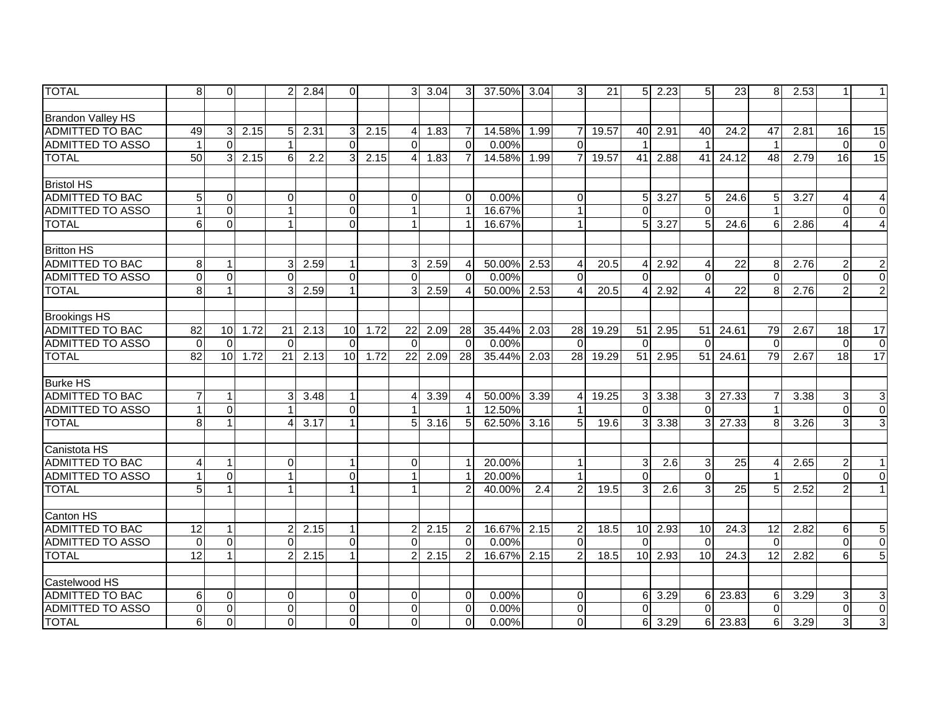| <b>TOTAL</b>             | 8               | $\Omega$     |      | 2           | 2.84 | $\Omega$             |      | $\overline{3}$ | 3.04 | $\overline{3}$         | 37.50% | 3.04 | 3              | 21    | 5 <sup>1</sup> | 2.23          | 5 <sup>1</sup> | 23    | 8               | 2.53 |                | $\mathbf{1}$            |
|--------------------------|-----------------|--------------|------|-------------|------|----------------------|------|----------------|------|------------------------|--------|------|----------------|-------|----------------|---------------|----------------|-------|-----------------|------|----------------|-------------------------|
|                          |                 |              |      |             |      |                      |      |                |      |                        |        |      |                |       |                |               |                |       |                 |      |                |                         |
| <b>Brandon Valley HS</b> |                 |              |      |             |      |                      |      |                |      |                        |        |      |                |       |                |               |                |       |                 |      |                |                         |
| <b>ADMITTED TO BAC</b>   | 49              | 3            | 2.15 | 5           | 2.31 | 3 <sup>1</sup>       | 2.15 | Δ              | 1.83 | 7                      | 14.58% | 1.99 | 7              | 19.57 | 40             | 2.91          | 40             | 24.2  | 47              | 2.81 | 16             | 15                      |
| ADMITTED TO ASSO         |                 | $\mathbf 0$  |      |             |      | $\Omega$             |      | $\Omega$       |      | $\Omega$               | 0.00%  |      | $\Omega$       |       |                |               |                |       |                 |      | $\Omega$       | $\Omega$                |
| <b>TOTAL</b>             | 50              | 3            | 2.15 | 6           | 2.2  | 3 <sup>1</sup>       | 2.15 | 4              | 1.83 | $\overline{7}$         | 14.58% | 1.99 | $\overline{7}$ | 19.57 | 41             | 2.88          | 41             | 24.12 | 48              | 2.79 | 16             | $\overline{15}$         |
|                          |                 |              |      |             |      |                      |      |                |      |                        |        |      |                |       |                |               |                |       |                 |      |                |                         |
| <b>Bristol HS</b>        |                 |              |      |             |      |                      |      |                |      |                        |        |      |                |       |                |               |                |       |                 |      |                |                         |
| <b>ADMITTED TO BAC</b>   | 5               | $\mathbf 0$  |      | $\Omega$    |      | $\overline{0}$       |      | $\Omega$       |      | $\Omega$               | 0.00%  |      | $\mathbf 0$    |       | 5 <sup>1</sup> | 3.27          | 5 <sub>l</sub> | 24.6  | $5\overline{)}$ | 3.27 |                | $\overline{4}$          |
| <b>ADMITTED TO ASSO</b>  |                 | $\mathbf 0$  |      |             |      | $\Omega$             |      |                |      | $\overline{1}$         | 16.67% |      | $\mathbf{1}$   |       | $\Omega$       |               | $\Omega$       |       |                 |      | ∩              | $\Omega$                |
| <b>TOTAL</b>             | 6               | $\Omega$     |      |             |      | $\Omega$             |      |                |      | $\mathbf 1$            | 16.67% |      | $\mathbf{1}$   |       | 5              | 3.27          | 5              | 24.6  | 6               | 2.86 |                | $\overline{A}$          |
|                          |                 |              |      |             |      |                      |      |                |      |                        |        |      |                |       |                |               |                |       |                 |      |                |                         |
| <b>Britton HS</b>        |                 |              |      |             |      |                      |      |                |      |                        |        |      |                |       |                |               |                |       |                 |      |                |                         |
| <b>ADMITTED TO BAC</b>   | 8               | 1            |      |             | 2.59 | 1                    |      |                | 2.59 | $\overline{4}$         | 50.00% | 2.53 | 4              | 20.5  | Δ              | 2.92          | 4              | 22    | 8               | 2.76 | 2              | $\overline{c}$          |
| <b>ADMITTED TO ASSO</b>  | $\Omega$        | $\Omega$     |      | $\Omega$    |      | $\Omega$             |      | $\Omega$       |      | $\Omega$               | 0.00%  |      | $\Omega$       |       | $\Omega$       |               | $\Omega$       |       | $\Omega$        |      | $\Omega$       | $\mathbf 0$             |
| <b>TOTAL</b>             | 8               | $\mathbf{1}$ |      | 3           | 2.59 | $\mathbf{1}$         |      | 3              | 2.59 | $\overline{4}$         | 50.00% | 2.53 | 4              | 20.5  | 4              | 2.92          | $\overline{4}$ | 22    | 8               | 2.76 | 2              | $\overline{2}$          |
|                          |                 |              |      |             |      |                      |      |                |      |                        |        |      |                |       |                |               |                |       |                 |      |                |                         |
| <b>Brookings HS</b>      |                 |              |      |             |      |                      |      |                |      |                        |        |      |                |       |                |               |                |       |                 |      |                |                         |
| <b>ADMITTED TO BAC</b>   | 82              | 10           | 1.72 | 21          | 2.13 | 10                   | 1.72 | 22             | 2.09 | 28                     | 35.44% | 2.03 | 28             | 19.29 | 51             | 2.95          | 51             | 24.61 | 79              | 2.67 | 18             | 17                      |
| <b>ADMITTED TO ASSO</b>  | $\mathbf{0}$    | $\Omega$     |      | $\Omega$    |      | $\Omega$             |      | $\Omega$       |      | $\Omega$               | 0.00%  |      | $\Omega$       |       | $\Omega$       |               | $\Omega$       |       | $\Omega$        |      | $\Omega$       | $\mathbf 0$             |
| <b>TOTAL</b>             | 82              | 10           | 1.72 | 21          | 2.13 | 10                   | 1.72 | 22             | 2.09 | 28                     | 35.44% | 2.03 | 28             | 19.29 | 51             | 2.95          | 51             | 24.61 | 79              | 2.67 | 18             | $\overline{17}$         |
|                          |                 |              |      |             |      |                      |      |                |      |                        |        |      |                |       |                |               |                |       |                 |      |                |                         |
| <b>Burke HS</b>          |                 |              |      |             |      |                      |      |                |      |                        |        |      |                |       |                |               |                |       |                 |      |                |                         |
| <b>ADMITTED TO BAC</b>   | $\overline{7}$  | $\mathbf{1}$ |      | 3           | 3.48 | $\overline{1}$       |      |                | 3.39 | $\boldsymbol{\Lambda}$ | 50.00% | 3.39 | 4              | 19.25 | 3 <sup>1</sup> | 3.38          | $\overline{3}$ | 27.33 |                 | 3.38 | 3              | 3                       |
| <b>ADMITTED TO ASSO</b>  |                 | $\Omega$     |      |             |      | $\Omega$             |      |                |      | $\overline{1}$         | 12.50% |      |                |       | $\Omega$       |               | $\Omega$       |       |                 |      | $\Omega$       | $\Omega$                |
| <b>TOTAL</b>             | 8               | $\mathbf{1}$ |      | 4           | 3.17 |                      |      | 5              | 3.16 | 5                      | 62.50% | 3.16 | 5              | 19.6  | $\overline{3}$ | 3.38          | $\mathbf{3}$   | 27.33 | 8 <sup>1</sup>  | 3.26 | 3              | 3                       |
|                          |                 |              |      |             |      |                      |      |                |      |                        |        |      |                |       |                |               |                |       |                 |      |                |                         |
| Canistota HS             |                 |              |      |             |      |                      |      |                |      |                        |        |      |                |       |                |               |                |       |                 |      |                |                         |
| <b>ADMITTED TO BAC</b>   | 4               | $\mathbf{1}$ |      | $\Omega$    |      | $\mathbf{1}$         |      | $\Omega$       |      | -1                     | 20.00% |      | $\mathbf{1}$   |       | 3              | 2.6           | 3 <sup>1</sup> | 25    | Δ               | 2.65 | $\overline{2}$ | $\mathbf{1}$            |
| <b>ADMITTED TO ASSO</b>  |                 | $\mathbf 0$  |      |             |      | $\overline{0}$       |      |                |      | $\overline{1}$         | 20.00% |      | $\mathbf{1}$   |       | $\Omega$       |               | $\Omega$       |       |                 |      | $\Omega$       | $\mathbf 0$             |
| <b>TOTAL</b>             | 5               | $\mathbf{1}$ |      |             |      | $\mathbf{1}$         |      |                |      | 2                      | 40.00% | 2.4  | $\overline{c}$ | 19.5  | 3              | 2.6           | 3 <sup>1</sup> | 25    | 5 <sup>1</sup>  | 2.52 | $\mathcal{P}$  | $\mathbf{1}$            |
|                          |                 |              |      |             |      |                      |      |                |      |                        |        |      |                |       |                |               |                |       |                 |      |                |                         |
| Canton HS                |                 |              |      |             |      |                      |      |                |      |                        |        |      |                |       |                |               |                |       |                 |      |                |                         |
| <b>ADMITTED TO BAC</b>   | $\overline{12}$ | $\mathbf{1}$ |      | 2           | 2.15 | $\mathbf{1}$         |      |                | 2.15 | $\overline{2}$         | 16.67% | 2.15 | $\overline{c}$ | 18.5  |                | $10$ 2.93     | 10             | 24.3  | $\overline{12}$ | 2.82 | 6              | 5                       |
| <b>ADMITTED TO ASSO</b>  | $\Omega$        | $\Omega$     |      | $\Omega$    |      | $\Omega$             |      | $\Omega$       |      | $\Omega$               | 0.00%  |      | $\Omega$       |       | $\Omega$       |               | $\mathbf{0}$   |       | $\Omega$        |      | $\Omega$       | $\pmb{0}$               |
| <b>TOTAL</b>             | 12              | $\mathbf{1}$ |      |             | 2.15 | $\blacktriangleleft$ |      |                | 2.15 | $\overline{2}$         | 16.67% | 2.15 | $\overline{2}$ | 18.5  | 10             | 2.93          | 10             | 24.3  | 12              | 2.82 | 6              | $\overline{5}$          |
|                          |                 |              |      |             |      |                      |      |                |      |                        |        |      |                |       |                |               |                |       |                 |      |                |                         |
| Castelwood HS            |                 |              |      |             |      |                      |      |                |      |                        |        |      |                |       |                |               |                |       |                 |      |                |                         |
| <b>ADMITTED TO BAC</b>   | 6               | $\mathbf 0$  |      | $\Omega$    |      | $\Omega$             |      | $\Omega$       |      | $\Omega$               | 0.00%  |      | $\overline{0}$ |       |                | $6 \mid 3.29$ | <sup>6</sup>   | 23.83 | 6               | 3.29 | 3              | 3                       |
| <b>ADMITTED TO ASSO</b>  | $\Omega$        | $\mathbf 0$  |      | $\mathbf 0$ |      | $\mathbf 0$          |      | $\Omega$       |      | $\Omega$               | 0.00%  |      | $\mathbf 0$    |       | $\Omega$       |               | $\Omega$       |       | $\Omega$        |      | $\Omega$       | $\overline{\mathsf{o}}$ |
| <b>TOTAL</b>             | 6               | $\mathbf 0$  |      | $\Omega$    |      | $\Omega$             |      | $\Omega$       |      | $\Omega$               | 0.00%  |      | $\Omega$       |       | 6              | 3.29          | 6 <sup>1</sup> | 23.83 | 6               | 3.29 | 3              | 3                       |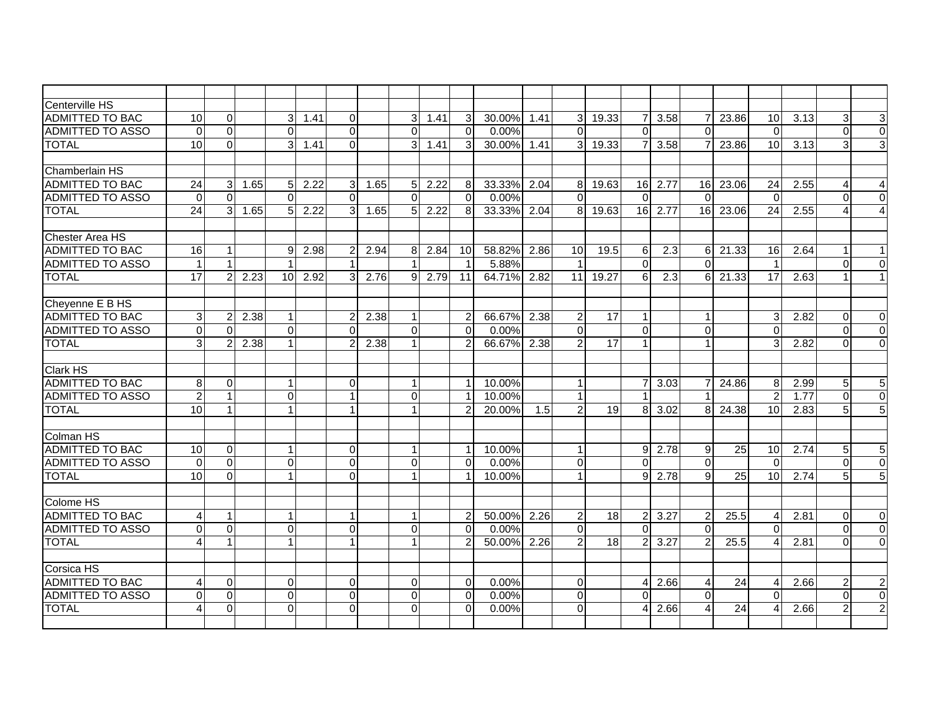| Centerville HS          |                 |                |      |                 |      |                      |      |                |      |                |           |      |                |       |                |                                    |                 |       |                 |      |                        |                |
|-------------------------|-----------------|----------------|------|-----------------|------|----------------------|------|----------------|------|----------------|-----------|------|----------------|-------|----------------|------------------------------------|-----------------|-------|-----------------|------|------------------------|----------------|
| <b>ADMITTED TO BAC</b>  | 10              | $\mathbf 0$    |      | 3               | 1.41 | $\Omega$             |      | $\overline{3}$ | 1.41 | 3              | $30.00\%$ | 1.41 | 3 <sup>1</sup> | 19.33 | 71             | 3.58                               | $\overline{7}$  | 23.86 | 10              | 3.13 | 3                      | 3              |
| <b>ADMITTED TO ASSO</b> | $\Omega$        | $\Omega$       |      | $\Omega$        |      | $\Omega$             |      | $\Omega$       |      | $\Omega$       | 0.00%     |      | $\overline{0}$ |       | $\Omega$       |                                    | $\Omega$        |       | $\Omega$        |      | $\Omega$               | $\overline{0}$ |
| <b>TOTAL</b>            | 10              | $\Omega$       |      | 31              | 1.41 | $\overline{0}$       |      | 3              | 1.41 | 3              | $30.00\%$ | 1.41 | 3 <sup>1</sup> | 19.33 |                | 3.58                               | $\overline{7}$  | 23.86 | 10              | 3.13 | 3                      | 3              |
|                         |                 |                |      |                 |      |                      |      |                |      |                |           |      |                |       |                |                                    |                 |       |                 |      |                        |                |
| Chamberlain HS          |                 |                |      |                 |      |                      |      |                |      |                |           |      |                |       |                |                                    |                 |       |                 |      |                        |                |
| <b>ADMITTED TO BAC</b>  | 24              | 3              | 1.65 | 5 <sub>l</sub>  | 2.22 | 3 <sup>l</sup>       | 1.65 | 5 <sup>1</sup> | 2.22 | 8              | 33.33%    | 2.04 | 8              | 19.63 |                | 16 2.77                            | 16 <sup>I</sup> | 23.06 | 24              | 2.55 | $\boldsymbol{\Lambda}$ | 4              |
| <b>ADMITTED TO ASSO</b> | $\Omega$        | $\Omega$       |      | $\Omega$        |      | $\Omega$             |      | $\Omega$       |      | $\Omega$       | 0.00%     |      | $\Omega$       |       | $\Omega$       |                                    | $\Omega$        |       | $\Omega$        |      | $\Omega$               | $\mathbf 0$    |
| <b>TOTAL</b>            | $\overline{24}$ | 3              | 1.65 | 5               | 2.22 | 3 <sup>1</sup>       | 1.65 | 5 <sup>1</sup> | 2.22 | 8              | 33.33%    | 2.04 | 8 <sup>1</sup> | 19.63 |                | 16 2.77                            | 16              | 23.06 | $\overline{24}$ | 2.55 |                        | $\overline{4}$ |
|                         |                 |                |      |                 |      |                      |      |                |      |                |           |      |                |       |                |                                    |                 |       |                 |      |                        |                |
| Chester Area HS         |                 |                |      |                 |      |                      |      |                |      |                |           |      |                |       |                |                                    |                 |       |                 |      |                        |                |
| ADMITTED TO BAC         | 16              | 1              |      | 9               | 2.98 | $\overline{2}$       | 2.94 | 8              | 2.84 | 10             | 58.82%    | 2.86 | 10             | 19.5  | $6 \mid$       | 2.3                                | 6               | 21.33 | 16              | 2.64 |                        | 1              |
| <b>ADMITTED TO ASSO</b> | $\mathbf{1}$    | $\mathbf{1}$   |      |                 |      |                      |      |                |      | $\overline{1}$ | 5.88%     |      | $\mathbf 1$    |       | $\Omega$       |                                    | $\Omega$        |       |                 |      | $\Omega$               | $\Omega$       |
| <b>TOTAL</b>            | 17              | 2              | 2.23 | 10 <sup>1</sup> | 2.92 | 3 <sup>1</sup>       | 2.76 | 9              | 2.79 | 11             | 64.71%    | 2.82 | 11             | 19.27 | <sup>6</sup>   | 2.3                                | 6 I             | 21.33 | 17              | 2.63 |                        | $\mathbf{1}$   |
|                         |                 |                |      |                 |      |                      |      |                |      |                |           |      |                |       |                |                                    |                 |       |                 |      |                        |                |
| Cheyenne E B HS         |                 |                |      |                 |      |                      |      |                |      |                |           |      |                |       |                |                                    |                 |       |                 |      |                        |                |
| <b>ADMITTED TO BAC</b>  | 3 <sup>1</sup>  | $\overline{c}$ | 2.38 |                 |      | $\mathbf{2}$         | 2.38 |                |      | $\overline{2}$ | 66.67%    | 2.38 | $\overline{2}$ | 17    | $\mathbf{1}$   |                                    | -1              |       | 3               | 2.82 | $\Omega$               | 0              |
| <b>ADMITTED TO ASSO</b> | $\overline{0}$  | $\overline{0}$ |      | $\Omega$        |      | $\Omega$             |      | $\Omega$       |      | $\Omega$       | 0.00%     |      | $\Omega$       |       | $\overline{0}$ |                                    | $\Omega$        |       | $\Omega$        |      | $\Omega$               | $\overline{0}$ |
| <b>TOTAL</b>            | $\overline{3}$  | $\overline{2}$ | 2.38 |                 |      | $\overline{2}$       | 2.38 |                |      | $\mathcal{P}$  | 66.67%    | 2.38 | $\mathcal{P}$  | 17    | $\mathbf{1}$   |                                    | -1              |       | 3               | 2.82 | $\Omega$               | $\mathbf 0$    |
|                         |                 |                |      |                 |      |                      |      |                |      |                |           |      |                |       |                |                                    |                 |       |                 |      |                        |                |
| <b>Clark HS</b>         |                 |                |      |                 |      |                      |      |                |      |                |           |      |                |       |                |                                    |                 |       |                 |      |                        |                |
| <b>ADMITTED TO BAC</b>  | $\infty$        | $\Omega$       |      |                 |      | $\overline{0}$       |      |                |      | $\mathbf{1}$   | 10.00%    |      | $\mathbf{1}$   |       |                | 3.03                               | -7              | 24.86 | 8               | 2.99 | 5                      | $\overline{5}$ |
| <b>ADMITTED TO ASSO</b> | $\overline{2}$  | $\overline{1}$ |      | $\Omega$        |      |                      |      | $\Omega$       |      | $\overline{1}$ | 10.00%    |      | $\mathbf{1}$   |       |                |                                    |                 |       | $\overline{2}$  | 1.77 | $\Omega$               | $\overline{0}$ |
| <b>TOTAL</b>            | 10 <sup>1</sup> | $\mathbf{1}$   |      |                 |      | $\mathbf{1}$         |      |                |      | $\overline{2}$ | 20.00%    | 1.5  | $\overline{2}$ | 19    | 8              | 3.02                               | 8               | 24.38 | 10              | 2.83 | 5                      | $\overline{5}$ |
|                         |                 |                |      |                 |      |                      |      |                |      |                |           |      |                |       |                |                                    |                 |       |                 |      |                        |                |
| Colman HS               |                 |                |      |                 |      |                      |      |                |      |                |           |      |                |       |                |                                    |                 |       |                 |      |                        |                |
| <b>ADMITTED TO BAC</b>  | 10              | 0              |      |                 |      | $\overline{0}$       |      |                |      | $\mathbf 1$    | 10.00%    |      | $\mathbf{1}$   |       |                | $9 \overline{\smash{\big)}\ 2.78}$ | 9               | 25    | 10              | 2.74 | 5                      | 5              |
| <b>ADMITTED TO ASSO</b> | $\Omega$        | $\Omega$       |      | $\Omega$        |      | $\overline{0}$       |      | $\Omega$       |      | $\Omega$       | 0.00%     |      | $\Omega$       |       | $\Omega$       |                                    | $\mathbf{0}$    |       | $\Omega$        |      | $\Omega$               | $\overline{0}$ |
| <b>TOTAL</b>            | 10              | $\Omega$       |      |                 |      | $\Omega$             |      |                |      | 1              | 10.00%    |      | $\mathbf{1}$   |       | 9 <sup>1</sup> | 2.78                               | 9               | 25    | 10              | 2.74 | 5                      | $\overline{5}$ |
|                         |                 |                |      |                 |      |                      |      |                |      |                |           |      |                |       |                |                                    |                 |       |                 |      |                        |                |
| Colome HS               |                 |                |      |                 |      |                      |      |                |      |                |           |      |                |       |                |                                    |                 |       |                 |      |                        |                |
| <b>ADMITTED TO BAC</b>  | 4               | 1              |      |                 |      | $\blacktriangleleft$ |      |                |      | 2              | 50.00%    | 2.26 | $\overline{c}$ | 18    | 2 <sub>l</sub> | 3.27                               | 2               | 25.5  | 4               | 2.81 | $\Omega$               | $\Omega$       |
| <b>ADMITTED TO ASSO</b> | $\Omega$        | $\mathbf 0$    |      | $\Omega$        |      | $\Omega$             |      | $\Omega$       |      | $\Omega$       | 0.00%     |      | $\Omega$       |       | $\Omega$       |                                    | $\Omega$        |       | $\Omega$        |      | $\Omega$               | $\overline{0}$ |
| <b>TOTAL</b>            |                 | $\mathbf{1}$   |      |                 |      | $\mathbf{1}$         |      |                |      | $\overline{2}$ | 50.00%    | 2.26 | $\overline{2}$ | 18    | $\overline{2}$ | 3.27                               | $\overline{2}$  | 25.5  |                 | 2.81 | $\Omega$               | $\overline{0}$ |
|                         |                 |                |      |                 |      |                      |      |                |      |                |           |      |                |       |                |                                    |                 |       |                 |      |                        |                |
| Corsica HS              |                 |                |      |                 |      |                      |      |                |      |                |           |      |                |       |                |                                    |                 |       |                 |      |                        |                |
| <b>ADMITTED TO BAC</b>  |                 | 0              |      | $\mathbf 0$     |      | $\overline{0}$       |      | $\Omega$       |      | $\Omega$       | 0.00%     |      | $\overline{0}$ |       | 41             | 2.66                               | $\overline{4}$  | 24    | 4               | 2.66 | $\overline{2}$         | $\overline{c}$ |
| <b>ADMITTED TO ASSO</b> | $\Omega$        | 0              |      | 0               |      | $\Omega$             |      | $\Omega$       |      | $\Omega$       | 0.00%     |      | $\overline{0}$ |       | $\Omega$       |                                    | $\Omega$        |       | $\Omega$        |      | 0                      | $\Omega$       |
| <b>TOTAL</b>            | 4               | $\mathbf 0$    |      | $\Omega$        |      | $\Omega$             |      | $\Omega$       |      | $\Omega$       | 0.00%     |      | $\Omega$       |       |                | 2.66                               | 4               | 24    |                 | 2.66 |                        | $\overline{2}$ |
|                         |                 |                |      |                 |      |                      |      |                |      |                |           |      |                |       |                |                                    |                 |       |                 |      |                        |                |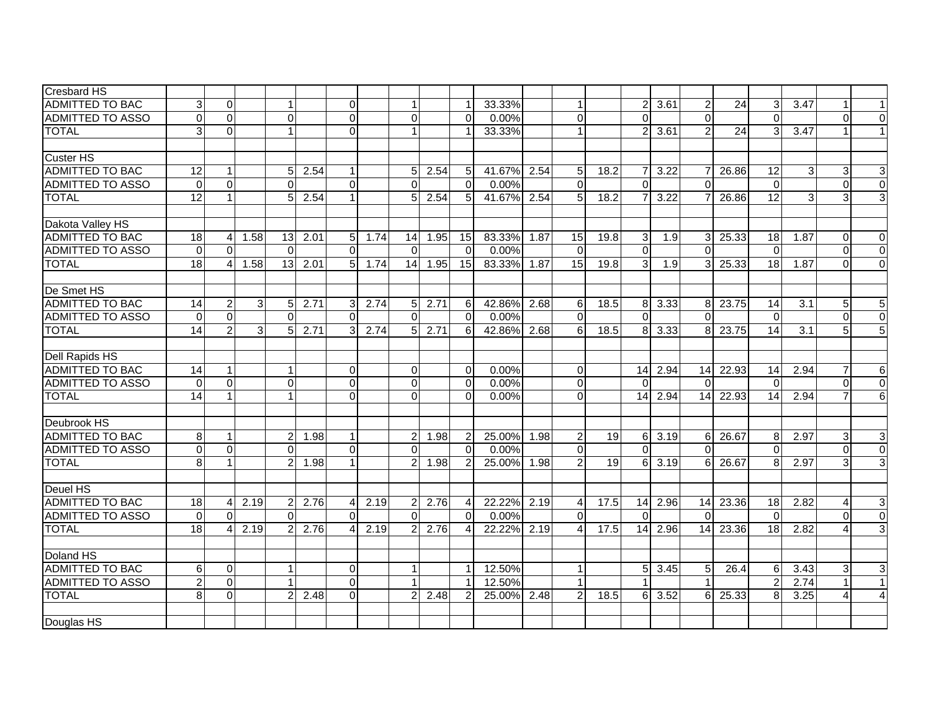| <b>Cresbard HS</b>      |                 |                |                |                |      |                |      |                |      |                |        |                   |                         |                 |                |           |                 |       |                 |                |          |                           |
|-------------------------|-----------------|----------------|----------------|----------------|------|----------------|------|----------------|------|----------------|--------|-------------------|-------------------------|-----------------|----------------|-----------|-----------------|-------|-----------------|----------------|----------|---------------------------|
| <b>ADMITTED TO BAC</b>  | $\overline{3}$  | $\mathbf{0}$   |                |                |      | $\Omega$       |      |                |      | 1              | 33.33% |                   | $\mathbf{1}$            |                 | 2 <sup>1</sup> | 3.61      | 2               | 24    |                 | 3.47           |          | 1                         |
| <b>ADMITTED TO ASSO</b> | $\Omega$        | $\Omega$       |                | $\Omega$       |      | $\overline{0}$ |      | $\Omega$       |      | $\Omega$       | 0.00%  |                   | $\overline{\mathsf{o}}$ |                 | $\Omega$       |           | $\Omega$        |       | $\Omega$        |                | $\Omega$ | $\Omega$                  |
| <b>TOTAL</b>            | $\overline{3}$  | $\Omega$       |                |                |      | $\Omega$       |      |                |      | 1              | 33.33% |                   | $\mathbf{1}$            |                 | 2 <sub>1</sub> | 3.61      | $\overline{2}$  | 24    | 3               | 3.47           |          | $\mathbf{1}$              |
|                         |                 |                |                |                |      |                |      |                |      |                |        |                   |                         |                 |                |           |                 |       |                 |                |          |                           |
| <b>Custer HS</b>        |                 |                |                |                |      |                |      |                |      |                |        |                   |                         |                 |                |           |                 |       |                 |                |          |                           |
| <b>ADMITTED TO BAC</b>  | 12              | 1              |                | 5              | 2.54 | $\mathbf{1}$   |      | 5 <sub>l</sub> | 2.54 | 5              | 41.67% | 2.54              | $\sqrt{5}$              | 18.2            | 71             | 3.22      | $\overline{7}$  | 26.86 | 12              | 3              | 3        | $\ensuremath{\mathsf{3}}$ |
| <b>ADMITTED TO ASSO</b> | $\Omega$        | $\Omega$       |                | O              |      | $\Omega$       |      | ∩              |      | $\Omega$       | 0.00%  |                   | $\Omega$                |                 | $\Omega$       |           | $\Omega$        |       | $\Omega$        |                | $\Omega$ | $\mathbf 0$               |
| <b>TOTAL</b>            | 12              | $\mathbf{1}$   |                | 5              | 2.54 | $\mathbf{1}$   |      | 5              | 2.54 | 5              | 41.67% | 2.54              | $5\overline{)}$         | 18.2            |                | 3.22      |                 | 26.86 | 12              | $\overline{3}$ |          | $\overline{3}$            |
|                         |                 |                |                |                |      |                |      |                |      |                |        |                   |                         |                 |                |           |                 |       |                 |                |          |                           |
| Dakota Valley HS        |                 |                |                |                |      |                |      |                |      |                |        |                   |                         |                 |                |           |                 |       |                 |                |          |                           |
| <b>ADMITTED TO BAC</b>  | 18              | $\overline{4}$ | 1.58           | 13             | 2.01 | 5 <sub>l</sub> | 1.74 | 14             | 1.95 | 15             | 83.33% | 1.87              | 15                      | 19.8            | $\mathbf{3}$   | 1.9       | 3               | 25.33 | 18              | 1.87           | $\Omega$ | $\mathbf 0$               |
| <b>ADMITTED TO ASSO</b> | $\Omega$        | $\Omega$       |                | $\Omega$       |      | $\Omega$       |      | $\Omega$       |      | $\Omega$       | 0.00%  |                   | $\Omega$                |                 | $\Omega$       |           | $\Omega$        |       | $\Omega$        |                | $\Omega$ | $\overline{0}$            |
| <b>TOTAL</b>            | $\overline{18}$ | 4              | 1.58           | 13             | 2.01 | 5 <sup>1</sup> | 1.74 | 14             | 1.95 | 15             | 83.33% | 1.87              | 15                      | 19.8            | 3 <sup>1</sup> | 1.9       | $\overline{3}$  | 25.33 | $\overline{18}$ | 1.87           | $\Omega$ | $\overline{0}$            |
|                         |                 |                |                |                |      |                |      |                |      |                |        |                   |                         |                 |                |           |                 |       |                 |                |          |                           |
| De Smet HS              |                 |                |                |                |      |                |      |                |      |                |        |                   |                         |                 |                |           |                 |       |                 |                |          |                           |
| <b>ADMITTED TO BAC</b>  | 14              | $\overline{2}$ | $\overline{3}$ | 5 <sub>l</sub> | 2.71 | 3 <sup>1</sup> | 2.74 | 5 <sup>1</sup> | 2.71 | 6              | 42.86% | 2.68              | 6                       | 18.5            |                | 8 3.33    | 81              | 23.75 | 14              | 3.1            | 5        | 5                         |
| <b>ADMITTED TO ASSO</b> | $\Omega$        | $\Omega$       |                | $\Omega$       |      | $\Omega$       |      | $\Omega$       |      | $\Omega$       | 0.00%  |                   | $\Omega$                |                 | $\Omega$       |           | $\Omega$        |       | $\Omega$        |                | $\Omega$ | $\overline{0}$            |
| <b>TOTAL</b>            | $\overline{14}$ | $\overline{2}$ | $\overline{3}$ | 5              | 2.71 | $\overline{3}$ | 2.74 | 5              | 2.71 | 6              | 42.86% | 2.68              | 6                       | 18.5            | 8              | 3.33      | 8               | 23.75 | 14              | 3.1            |          | $\overline{5}$            |
|                         |                 |                |                |                |      |                |      |                |      |                |        |                   |                         |                 |                |           |                 |       |                 |                |          |                           |
| <b>Dell Rapids HS</b>   |                 |                |                |                |      |                |      |                |      |                |        |                   |                         |                 |                |           |                 |       |                 |                |          |                           |
| <b>ADMITTED TO BAC</b>  | 14              | $\mathbf{1}$   |                |                |      | $\overline{0}$ |      | $\Omega$       |      | $\Omega$       | 0.00%  |                   | $\overline{0}$          |                 | 14             | 2.94      | 14              | 22.93 | 14              | 2.94           |          | 6                         |
| <b>ADMITTED TO ASSO</b> | $\Omega$        | $\Omega$       |                | $\overline{0}$ |      | $\overline{0}$ |      | $\Omega$       |      | $\Omega$       | 0.00%  |                   | $\mathbf 0$             |                 | $\Omega$       |           | $\Omega$        |       | $\Omega$        |                | $\Omega$ | $\overline{0}$            |
| <b>TOTAL</b>            | 14              | $\mathbf{1}$   |                |                |      | $\Omega$       |      | $\Omega$       |      | $\Omega$       | 0.00%  |                   | $\Omega$                |                 | 14             | 2.94      | 14              | 22.93 | 14              | 2.94           |          | $\overline{6}$            |
|                         |                 |                |                |                |      |                |      |                |      |                |        |                   |                         |                 |                |           |                 |       |                 |                |          |                           |
| Deubrook HS             |                 |                |                |                |      |                |      |                |      |                |        |                   |                         |                 |                |           |                 |       |                 |                |          |                           |
| <b>ADMITTED TO BAC</b>  | 8 <sup>1</sup>  | $\mathbf 1$    |                | 2              | 1.98 | $\mathbf{1}$   |      | 2              | 1.98 | 2              | 25.00% | 1.98              | $\overline{c}$          | $\overline{19}$ |                | $6\ 3.19$ | $6 \mid$        | 26.67 | 8               | 2.97           | 3        | 3                         |
| <b>ADMITTED TO ASSO</b> | $\Omega$        | $\Omega$       |                | $\Omega$       |      | $\Omega$       |      | $\Omega$       |      | $\Omega$       | 0.00%  |                   | $\Omega$                |                 | $\Omega$       |           | $\Omega$        |       | $\Omega$        |                | 0        | $\Omega$                  |
| <b>TOTAL</b>            | 8 <sup>1</sup>  | 1              |                | $\overline{2}$ | 1.98 |                |      |                | 1.98 | $\overline{2}$ | 25.00% | 1.98              | $\overline{c}$          | 19              | 61             | 3.19      | 6               | 26.67 | 8               | 2.97           | 3        | $\overline{3}$            |
|                         |                 |                |                |                |      |                |      |                |      |                |        |                   |                         |                 |                |           |                 |       |                 |                |          |                           |
| Deuel HS                |                 |                |                |                |      |                |      |                |      |                |        |                   |                         |                 |                |           |                 |       |                 |                |          |                           |
| <b>ADMITTED TO BAC</b>  | 18              | $\overline{4}$ | 2.19           |                | 2.76 | $\overline{4}$ | 2.19 | 2              | 2.76 | $\overline{4}$ | 22.22% | 2.19              | 4                       | 17.5            | 14             | 2.96      | 14              | 23.36 | 18              | 2.82           |          | 3                         |
| ADMITTED TO ASSO        | $\Omega$        | $\Omega$       |                | $\Omega$       |      | $\Omega$       |      | $\Omega$       |      | $\Omega$       | 0.00%  |                   | $\Omega$                |                 | $\Omega$       |           | $\Omega$        |       | $\Omega$        |                | $\Omega$ | $\overline{0}$            |
| <b>TOTAL</b>            | $\overline{18}$ | 4              | 2.19           | $\overline{2}$ | 2.76 | $\overline{4}$ | 2.19 |                | 2.76 | $\overline{4}$ | 22.22% | 2.19              | 4                       | 17.5            | 14             | 2.96      | 14              | 23.36 | 18              | 2.82           |          | 3                         |
| Doland HS               |                 |                |                |                |      |                |      |                |      |                |        |                   |                         |                 |                |           |                 |       |                 |                |          |                           |
| <b>ADMITTED TO BAC</b>  | $6 \mid$        | 0              |                |                |      | $\overline{0}$ |      |                |      | $\mathbf 1$    | 12.50% |                   | $\mathbf{1}$            |                 | 5 <sup>1</sup> | 3.45      | $5\phantom{.0}$ | 26.4  | 6               | 3.43           | 3        | $\ensuremath{\mathsf{3}}$ |
| <b>ADMITTED TO ASSO</b> | $\overline{2}$  | $\Omega$       |                |                |      | $\Omega$       |      |                |      | 1              | 12.50% |                   | $\mathbf{1}$            |                 |                |           |                 |       |                 | 2.74           |          | $\mathbf{1}$              |
| <b>TOTAL</b>            | 8 <sup>1</sup>  | $\mathbf 0$    |                | $\overline{2}$ | 2.48 | $\Omega$       |      | 2              | 2.48 | $\overline{2}$ | 25.00% | $\overline{2.48}$ | 2                       | 18.5            | 61             | 3.52      | 6               | 25.33 | 8               | 3.25           | 4        | 4                         |
|                         |                 |                |                |                |      |                |      |                |      |                |        |                   |                         |                 |                |           |                 |       |                 |                |          |                           |
| Douglas HS              |                 |                |                |                |      |                |      |                |      |                |        |                   |                         |                 |                |           |                 |       |                 |                |          |                           |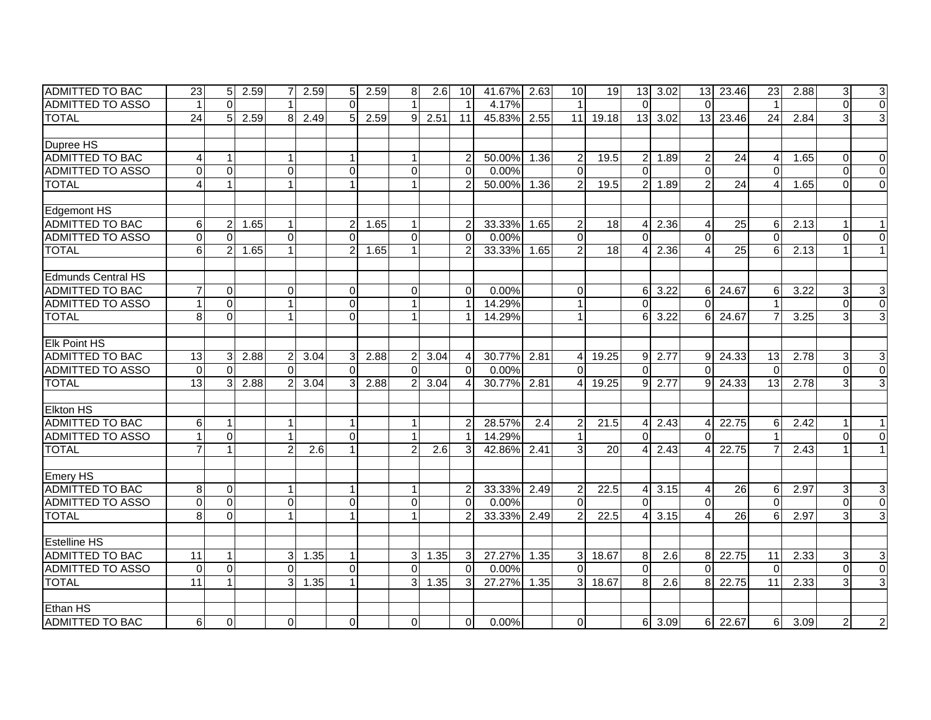| IADMITTED TO BAC          | 23              | 5               | 2.59 | 7              | 2.59 | 5 <sub>l</sub> | 2.59 | 8              | 2.6  | 10I             | 41.67% | 2.63 | 10             | 19    |                | $13$ 3.02     | 13               | 23.46           | 23                     | 2.88 | 3 <sup>1</sup> | $\mathbf{3}$              |
|---------------------------|-----------------|-----------------|------|----------------|------|----------------|------|----------------|------|-----------------|--------|------|----------------|-------|----------------|---------------|------------------|-----------------|------------------------|------|----------------|---------------------------|
| <b>ADMITTED TO ASSO</b>   |                 | $\Omega$        |      |                |      | $\Omega$       |      |                |      | $\overline{1}$  | 4.17%  |      | $\mathbf{1}$   |       | $\Omega$       |               | $\Omega$         |                 |                        |      | $\Omega$       | $\overline{0}$            |
| <b>TOTAL</b>              | $\overline{24}$ | $5\phantom{.0}$ | 2.59 | 8 <sup>1</sup> | 2.49 | 5 <sub>l</sub> | 2.59 | $\mathbf{9}$   | 2.51 | $\overline{11}$ | 45.83% | 2.55 | 11             | 19.18 | 13             | 3.02          | 13               | 23.46           | $\overline{24}$        | 2.84 | 3              | $\overline{3}$            |
|                           |                 |                 |      |                |      |                |      |                |      |                 |        |      |                |       |                |               |                  |                 |                        |      |                |                           |
| Dupree HS                 |                 |                 |      |                |      |                |      |                |      |                 |        |      |                |       |                |               |                  |                 |                        |      |                |                           |
| ADMITTED TO BAC           | $\overline{4}$  | $\mathbf{1}$    |      |                |      | 1              |      |                |      | $\overline{2}$  | 50.00% | 1.36 | $\overline{c}$ | 19.5  |                | 2 1.89        | $\overline{2}$   | 24              | $\boldsymbol{\Lambda}$ | 1.65 | $\Omega$       | $\Omega$                  |
| <b>ADMITTED TO ASSO</b>   | $\Omega$        | $\Omega$        |      | $\Omega$       |      | $\Omega$       |      | $\Omega$       |      | $\Omega$        | 0.00%  |      | $\Omega$       |       | $\Omega$       |               | $\Omega$         |                 | $\Omega$               |      | $\Omega$       | $\Omega$                  |
| <b>TOTAL</b>              | 4               | $\mathbf{1}$    |      |                |      | $\overline{1}$ |      |                |      | $\mathcal{P}$   | 50.00% | 1.36 | $\overline{2}$ | 19.5  | $\overline{2}$ | 1.89          | 2                | 24              | $\boldsymbol{\Lambda}$ | 1.65 | $\Omega$       | $\Omega$                  |
|                           |                 |                 |      |                |      |                |      |                |      |                 |        |      |                |       |                |               |                  |                 |                        |      |                |                           |
| Edgemont HS               |                 |                 |      |                |      |                |      |                |      |                 |        |      |                |       |                |               |                  |                 |                        |      |                |                           |
| <b>ADMITTED TO BAC</b>    | 6               | $\overline{c}$  | 1.65 |                |      | $\overline{2}$ | 1.65 |                |      | $\overline{2}$  | 33.33% | 1.65 | $\overline{c}$ | 18    | $\vert$        | 2.36          | $\overline{4}$   | $\overline{25}$ | 6                      | 2.13 |                | 1                         |
| <b>ADMITTED TO ASSO</b>   | $\mathbf 0$     | $\mathbf 0$     |      | $\mathbf 0$    |      | $\mathbf 0$    |      | $\Omega$       |      | $\Omega$        | 0.00%  |      | $\Omega$       |       | $\Omega$       |               | $\mathbf{0}$     |                 | $\Omega$               |      | $\Omega$       | $\mathbf 0$               |
| <b>TOTAL</b>              | 6               | $\overline{2}$  | 1.65 |                |      | $\overline{2}$ | 1.65 |                |      | $\mathcal{P}$   | 33.33% | 1.65 | $\overline{2}$ | 18    |                | 2.36          | Δ                | 25              | 6                      | 2.13 |                | $\mathbf{1}$              |
|                           |                 |                 |      |                |      |                |      |                |      |                 |        |      |                |       |                |               |                  |                 |                        |      |                |                           |
| <b>Edmunds Central HS</b> |                 |                 |      |                |      |                |      |                |      |                 |        |      |                |       |                |               |                  |                 |                        |      |                |                           |
| <b>ADMITTED TO BAC</b>    |                 | $\Omega$        |      | 0              |      | $\Omega$       |      | $\Omega$       |      | $\Omega$        | 0.00%  |      | $\Omega$       |       | $6 \,$         | 3.22          | 6                | 24.67           | 6                      | 3.22 | 3              | 3                         |
| ADMITTED TO ASSO          |                 | $\mathbf 0$     |      |                |      | $\overline{0}$ |      |                |      | $\mathbf 1$     | 14.29% |      | $\mathbf{1}$   |       | $\Omega$       |               | $\Omega$         |                 |                        |      | $\Omega$       | $\overline{\mathsf{o}}$   |
| <b>TOTAL</b>              | 8               | $\mathbf 0$     |      |                |      | $\Omega$       |      |                |      | 1               | 14.29% |      | $\mathbf{1}$   |       | $6 \mid$       | 3.22          | $6 \overline{6}$ | 24.67           | $\overline{7}$         | 3.25 | 3              | $\overline{3}$            |
|                           |                 |                 |      |                |      |                |      |                |      |                 |        |      |                |       |                |               |                  |                 |                        |      |                |                           |
| <b>Elk Point HS</b>       |                 |                 |      |                |      |                |      |                |      |                 |        |      |                |       |                |               |                  |                 |                        |      |                |                           |
| <b>ADMITTED TO BAC</b>    | 13              | 3               | 2.88 | 2              | 3.04 | 3 <sup>1</sup> | 2.88 | $\overline{2}$ | 3.04 | $\overline{4}$  | 30.77% | 2.81 | $\overline{4}$ | 19.25 | 9              | 2.77          | 9                | 24.33           | 13 <sup>l</sup>        | 2.78 | 3              | 3                         |
| <b>ADMITTED TO ASSO</b>   | $\mathbf{0}$    | $\Omega$        |      | $\Omega$       |      | $\Omega$       |      | $\Omega$       |      | $\Omega$        | 0.00%  |      | $\Omega$       |       | $\Omega$       |               | $\Omega$         |                 | $\Omega$               |      | $\Omega$       | $\overline{0}$            |
| <b>TOTAL</b>              | 13              | 3               | 2.88 |                | 3.04 | 3              | 2.88 |                | 3.04 | 4               | 30.77% | 2.81 | 4              | 19.25 | 9 <sup>1</sup> | 2.77          | $9 \mid$         | 24.33           | $\overline{13}$        | 2.78 | 3              | دى                        |
|                           |                 |                 |      |                |      |                |      |                |      |                 |        |      |                |       |                |               |                  |                 |                        |      |                |                           |
| <b>Elkton HS</b>          |                 |                 |      |                |      |                |      |                |      |                 |        |      |                |       |                |               |                  |                 |                        |      |                |                           |
| <b>ADMITTED TO BAC</b>    | 6               | $\mathbf{1}$    |      |                |      |                |      |                |      | 2               | 28.57% | 2.4  | $\overline{c}$ | 21.5  | Δ              | 2.43          | Δ                | 22.75           | 6                      | 2.42 |                | 1                         |
| <b>ADMITTED TO ASSO</b>   |                 | $\mathbf 0$     |      |                |      | $\Omega$       |      |                |      | $\mathbf 1$     | 14.29% |      |                |       | $\Omega$       |               | $\Omega$         |                 |                        |      | 0              | $\Omega$                  |
| <b>TOTAL</b>              |                 | $\mathbf{1}$    |      | 2              | 2.6  |                |      | 2              | 2.6  | 3               | 42.86% | 2.41 | 3              | 20    | 4              | 2.43          | Δ                | 22.75           |                        | 2.43 |                | 1                         |
|                           |                 |                 |      |                |      |                |      |                |      |                 |        |      |                |       |                |               |                  |                 |                        |      |                |                           |
| <b>Emery HS</b>           |                 |                 |      |                |      |                |      |                |      |                 |        |      |                |       |                |               |                  |                 |                        |      |                |                           |
| <b>ADMITTED TO BAC</b>    | 8               | $\mathbf 0$     |      |                |      | $\mathbf{1}$   |      |                |      | $\overline{2}$  | 33.33% | 2.49 | 2              | 22.5  | 4 <sup>1</sup> | 3.15          | $\overline{4}$   | 26              | 6                      | 2.97 | 3              | $\ensuremath{\mathsf{3}}$ |
| <b>ADMITTED TO ASSO</b>   | $\Omega$        | $\mathbf 0$     |      | $\overline{0}$ |      | $\overline{0}$ |      | $\Omega$       |      | $\Omega$        | 0.00%  |      | $\Omega$       |       | $\Omega$       |               | $\Omega$         |                 | $\Omega$               |      | $\Omega$       | $\pmb{0}$                 |
| <b>TOTAL</b>              | 8               | $\Omega$        |      |                |      |                |      |                |      | $\mathcal{P}$   | 33.33% | 2.49 | 2              | 22.5  | Δ              | 3.15          | 4                | 26              | 6                      | 2.97 | 3              | دى                        |
|                           |                 |                 |      |                |      |                |      |                |      |                 |        |      |                |       |                |               |                  |                 |                        |      |                |                           |
| <b>Estelline HS</b>       |                 |                 |      |                |      |                |      |                |      |                 |        |      |                |       |                |               |                  |                 |                        |      |                |                           |
| <b>ADMITTED TO BAC</b>    | 11              | 1               |      | 3              | 1.35 |                |      | 3              | 1.35 | 3               | 27.27% | 1.35 | 3              | 18.67 | 8              | 2.6           | $8 \mid$         | 22.75           | 11                     | 2.33 | 3              | 3                         |
| <b>ADMITTED TO ASSO</b>   | $\Omega$        | $\overline{0}$  |      | $\Omega$       |      | $\Omega$       |      | $\Omega$       |      | $\Omega$        | 0.00%  |      | $\Omega$       |       | $\Omega$       |               | $\Omega$         |                 | $\Omega$               |      | $\Omega$       | $\overline{\mathsf{o}}$   |
| <b>TOTAL</b>              | 11              | $\mathbf{1}$    |      | 3              | 1.35 | $\mathbf{1}$   |      | $\overline{3}$ | 1.35 | 3               | 27.27% | 1.35 | 3 <sup>1</sup> | 18.67 | 8              | 2.6           |                  | 8 22.75         | $\overline{11}$        | 2.33 | 3              | $\overline{3}$            |
|                           |                 |                 |      |                |      |                |      |                |      |                 |        |      |                |       |                |               |                  |                 |                        |      |                |                           |
| <b>Ethan HS</b>           |                 |                 |      |                |      |                |      |                |      |                 |        |      |                |       |                |               |                  |                 |                        |      |                |                           |
| <b>ADMITTED TO BAC</b>    | 6               | $\mathbf 0$     |      | $\Omega$       |      | $\Omega$       |      | $\Omega$       |      | $\Omega$        | 0.00%  |      | $\Omega$       |       |                | $6 \mid 3.09$ |                  | 6 22.67         | 6                      | 3.09 | $\overline{2}$ | $\overline{2}$            |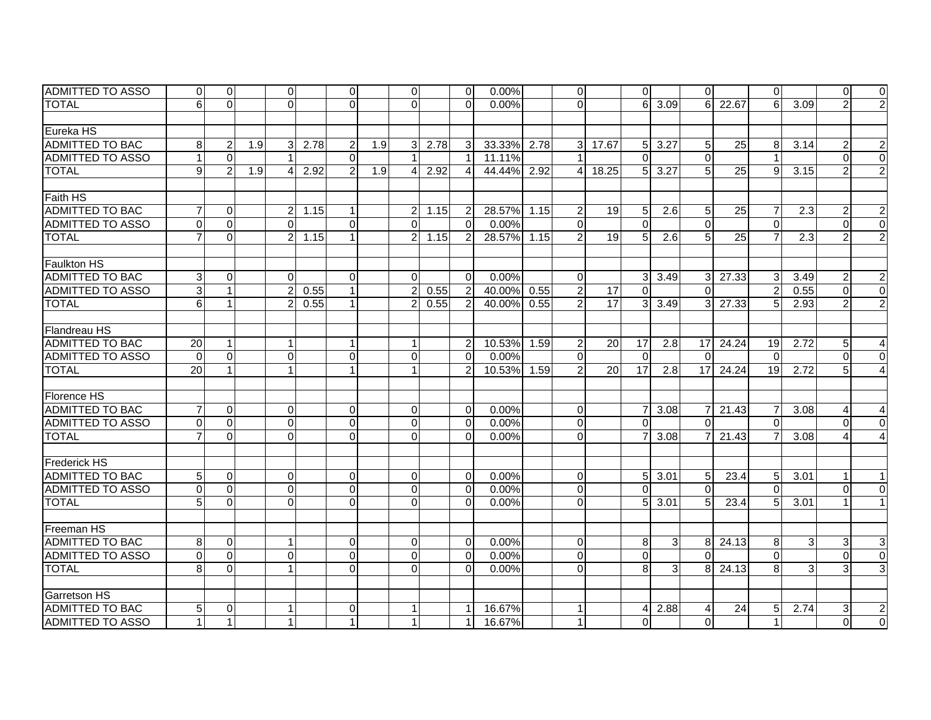| <b>IADMITTED TO ASSO</b> | $\overline{0}$  | $\overline{0}$ |     | $\overline{0}$ |      | $\overline{0}$ |     | $\overline{0}$       |      | 0              | $0.00\%$    |      | $\overline{0}$          |                 | $\Omega$        |                  | $\Omega$        |                 | $\Omega$        |                  | $\Omega$       | $\overline{0}$   |
|--------------------------|-----------------|----------------|-----|----------------|------|----------------|-----|----------------------|------|----------------|-------------|------|-------------------------|-----------------|-----------------|------------------|-----------------|-----------------|-----------------|------------------|----------------|------------------|
| <b>TOTAL</b>             | 6               | $\overline{0}$ |     | $\overline{0}$ |      | $\Omega$       |     | $\Omega$             |      | $\Omega$       | 0.00%       |      | $\overline{0}$          |                 | 6               | 3.09             | $6 \mid$        | 22.67           | 6               | 3.09             |                | $\overline{2}$   |
|                          |                 |                |     |                |      |                |     |                      |      |                |             |      |                         |                 |                 |                  |                 |                 |                 |                  |                |                  |
| Eureka HS                |                 |                |     |                |      |                |     |                      |      |                |             |      |                         |                 |                 |                  |                 |                 |                 |                  |                |                  |
| ADMITTED TO BAC          | 8               | $\overline{2}$ | 1.9 | 3              | 2.78 | $\overline{2}$ | 1.9 | 3                    | 2.78 | 3              | 33.33% 2.78 |      | $\mathbf{3}$            | 17.67           | 5 <sup>1</sup>  | 3.27             | $5\overline{)}$ | 25              | 8               | 3.14             | 2              | $\boldsymbol{2}$ |
| <b>ADMITTED TO ASSO</b>  |                 | $\Omega$       |     |                |      | $\Omega$       |     |                      |      |                | 11.11%      |      | $\overline{1}$          |                 | $\Omega$        |                  | $\Omega$        |                 |                 |                  | $\Omega$       | $\overline{0}$   |
| <b>TOTAL</b>             | $\mathfrak{g}$  | $\mathfrak{p}$ | 1.9 | 4              | 2.92 | $\mathcal{P}$  | 1.9 | $\mathbf{A}$         | 2.92 | $\overline{4}$ | 44.44%      | 2.92 | $\overline{\mathbf{4}}$ | 18.25           | 5 <sup>1</sup>  | 3.27             | 5 <sup>1</sup>  | 25              | 9               | 3.15             | $\mathcal{P}$  | $\overline{2}$   |
|                          |                 |                |     |                |      |                |     |                      |      |                |             |      |                         |                 |                 |                  |                 |                 |                 |                  |                |                  |
| <b>Faith HS</b>          |                 |                |     |                |      |                |     |                      |      |                |             |      |                         |                 |                 |                  |                 |                 |                 |                  |                |                  |
| <b>ADMITTED TO BAC</b>   |                 | $\Omega$       |     | $\overline{a}$ | 1.15 | 1              |     | $\overline{2}$       | 1.15 | 2              | 28.57%      | 1.15 | $\overline{2}$          | 19              | 5 <sup>1</sup>  | $\overline{2.6}$ | 5               | 25              | 7               | $\overline{2.3}$ | 2              | $\overline{2}$   |
| <b>ADMITTED TO ASSO</b>  | $\Omega$        | $\Omega$       |     | $\Omega$       |      | $\Omega$       |     | $\Omega$             |      | $\Omega$       | 0.00%       |      | $\Omega$                |                 | $\Omega$        |                  | $\Omega$        |                 | $\Omega$        |                  | $\Omega$       | $\overline{0}$   |
| <b>TOTAL</b>             |                 | $\Omega$       |     | $\overline{2}$ | 1.15 |                |     | $\overline{2}$       | 1.15 | $\overline{2}$ | 28.57% 1.15 |      | $\overline{2}$          | 19              | $5\overline{)}$ | 2.6              | 5 <sup>1</sup>  | $\overline{25}$ |                 | $\overline{2.3}$ | $\mathcal{P}$  | $\overline{2}$   |
|                          |                 |                |     |                |      |                |     |                      |      |                |             |      |                         |                 |                 |                  |                 |                 |                 |                  |                |                  |
| <b>Faulkton HS</b>       |                 |                |     |                |      |                |     |                      |      |                |             |      |                         |                 |                 |                  |                 |                 |                 |                  |                |                  |
| <b>ADMITTED TO BAC</b>   | 3               | $\Omega$       |     | $\Omega$       |      | $\Omega$       |     | $\Omega$             |      | $\Omega$       | 0.00%       |      | $\mathbf 0$             |                 | 3 <sup>l</sup>  | 3.49             | 3               | 27.33           | 3               | 3.49             | 2              | $\mathbf{2}$     |
| ADMITTED TO ASSO         | 3 <sup>1</sup>  | $\mathbf{1}$   |     | $\overline{2}$ | 0.55 |                |     | $\overline{2}$       | 0.55 | $\overline{2}$ | 40.00%      | 0.55 | $\overline{c}$          | 17              | $\Omega$        |                  | $\Omega$        |                 | $\mathcal{P}$   | 0.55             | $\Omega$       | $\overline{0}$   |
| <b>TOTAL</b>             | 6               | $\mathbf{1}$   |     | 2              | 0.55 |                |     | $\overline{2}$       | 0.55 | $\overline{2}$ | 40.00%      | 0.55 | $\overline{c}$          | $\overline{17}$ | 3 <sup>1</sup>  | 3.49             | 3               | 27.33           | 5               | 2.93             | $\overline{2}$ | $\overline{2}$   |
|                          |                 |                |     |                |      |                |     |                      |      |                |             |      |                         |                 |                 |                  |                 |                 |                 |                  |                |                  |
| Flandreau HS             |                 |                |     |                |      |                |     |                      |      |                |             |      |                         |                 |                 |                  |                 |                 |                 |                  |                |                  |
| <b>ADMITTED TO BAC</b>   | 20              | $\mathbf{1}$   |     | $\mathbf{1}$   |      |                |     | $\blacktriangleleft$ |      | $\overline{2}$ | 10.53%      | 1.59 | $\overline{2}$          | 20              | 17              | 2.8              | 17              | 24.24           | 19              | 2.72             | 5              | $\overline{4}$   |
| <b>ADMITTED TO ASSO</b>  | $\Omega$        | $\Omega$       |     | $\overline{0}$ |      | $\mathbf 0$    |     | $\Omega$             |      | $\Omega$       | 0.00%       |      | $\mathbf 0$             |                 | $\mathbf{0}$    |                  | $\Omega$        |                 | $\Omega$        |                  | $\Omega$       | $\Omega$         |
| <b>TOTAL</b>             | $\overline{20}$ | $\mathbf{1}$   |     | $\mathbf{1}$   |      |                |     |                      |      | $\overline{2}$ | 10.53%      | 1.59 | $\overline{2}$          | $\overline{20}$ | 17              | 2.8              | 17              | 24.24           | $\overline{19}$ | 2.72             | 5              | $\overline{4}$   |
|                          |                 |                |     |                |      |                |     |                      |      |                |             |      |                         |                 |                 |                  |                 |                 |                 |                  |                |                  |
| Florence HS              |                 |                |     |                |      |                |     |                      |      |                |             |      |                         |                 |                 |                  |                 |                 |                 |                  |                |                  |
| <b>ADMITTED TO BAC</b>   | $\overline{7}$  | $\Omega$       |     | $\overline{0}$ |      | $\Omega$       |     | $\Omega$             |      | $\Omega$       | 0.00%       |      | $\overline{0}$          |                 | 7 <sup>1</sup>  | 3.08             | $\overline{7}$  | 21.43           | 7               | 3.08             | 4              | 4                |
| <b>ADMITTED TO ASSO</b>  | $\Omega$        | $\Omega$       |     | $\overline{0}$ |      | $\mathbf 0$    |     | $\Omega$             |      | $\Omega$       | 0.00%       |      | $\mathbf 0$             |                 | $\mathbf{0}$    |                  | $\Omega$        |                 | $\Omega$        |                  | $\Omega$       | $\mathbf 0$      |
| <b>TOTAL</b>             |                 | $\overline{0}$ |     | $\overline{0}$ |      | $\Omega$       |     | $\Omega$             |      | $\Omega$       | 0.00%       |      | $\overline{0}$          |                 | $\overline{7}$  | 3.08             |                 | 21.43           |                 | 3.08             |                | $\overline{4}$   |
|                          |                 |                |     |                |      |                |     |                      |      |                |             |      |                         |                 |                 |                  |                 |                 |                 |                  |                |                  |
| <b>Frederick HS</b>      |                 |                |     |                |      |                |     |                      |      |                |             |      |                         |                 |                 |                  |                 |                 |                 |                  |                |                  |
| ADMITTED TO BAC          | 5               | $\overline{0}$ |     | $\overline{0}$ |      | $\mathbf 0$    |     | $\overline{0}$       |      | $\Omega$       | 0.00%       |      | $\mathbf 0$             |                 |                 | $5 \mid 3.01$    | 5               | 23.4            | 5               | 3.01             |                | 1                |
| <b>ADMITTED TO ASSO</b>  | $\Omega$        | $\Omega$       |     | οI             |      | $\Omega$       |     | $\Omega$             |      | $\Omega$       | 0.00%       |      | 0                       |                 | $\Omega$        |                  | $\Omega$        |                 | $\Omega$        |                  | $\Omega$       | $\Omega$         |
| <b>TOTAL</b>             | 5               | $\Omega$       |     | οI             |      | $\Omega$       |     | $\Omega$             |      | $\Omega$       | 0.00%       |      | $\Omega$                |                 | 5 <sup>1</sup>  | 3.01             | 5 <sup>1</sup>  | 23.4            | $\overline{5}$  | 3.01             |                | $\mathbf{1}$     |
|                          |                 |                |     |                |      |                |     |                      |      |                |             |      |                         |                 |                 |                  |                 |                 |                 |                  |                |                  |
| Freeman HS               |                 |                |     |                |      |                |     |                      |      |                |             |      |                         |                 |                 |                  |                 |                 |                 |                  |                |                  |
| <b>ADMITTED TO BAC</b>   | 8               | $\Omega$       |     | $\mathbf{1}$   |      | $\mathbf 0$    |     | $\overline{0}$       |      | $\Omega$       | 0.00%       |      | $\mathbf 0$             |                 | 8 <sup>1</sup>  | 3 <sup>1</sup>   | 8 <sup>1</sup>  | 24.13           | 8               | $\overline{3}$   | 3              | 3                |
| <b>ADMITTED TO ASSO</b>  | $\Omega$        | $\overline{0}$ |     | $\overline{0}$ |      | $\mathbf 0$    |     | $\overline{0}$       |      | $\Omega$       | 0.00%       |      | $\overline{0}$          |                 | $\mathbf{0}$    |                  | $\Omega$        |                 | $\Omega$        |                  | $\Omega$       | $\overline{0}$   |
| <b>TOTAL</b>             | 8               | $\Omega$       |     | $\mathbf{1}$   |      | $\Omega$       |     | $\Omega$             |      | $\Omega$       | 0.00%       |      | 0                       |                 | 8 <sup>1</sup>  | 3                | 8               | 24.13           | 8               | $\overline{3}$   | 3              | $\overline{3}$   |
|                          |                 |                |     |                |      |                |     |                      |      |                |             |      |                         |                 |                 |                  |                 |                 |                 |                  |                |                  |
| <b>Garretson HS</b>      |                 |                |     |                |      |                |     |                      |      |                |             |      |                         |                 |                 |                  |                 |                 |                 |                  |                |                  |
| <b>ADMITTED TO BAC</b>   | 5               | $\overline{0}$ |     | $\mathbf{1}$   |      | $\mathbf 0$    |     |                      |      |                | 16.67%      |      | $\mathbf{1}$            |                 | 41              | 2.88             | 4               | 24              | 5               | 2.74             | $\overline{3}$ | $\mathbf{2}$     |
| <b>ADMITTED TO ASSO</b>  |                 | $\mathbf{1}$   |     | 1              |      |                |     |                      |      |                | 16.67%      |      | $\mathbf{1}$            |                 | $\Omega$        |                  | $\Omega$        |                 |                 |                  | $\Omega$       | $\overline{0}$   |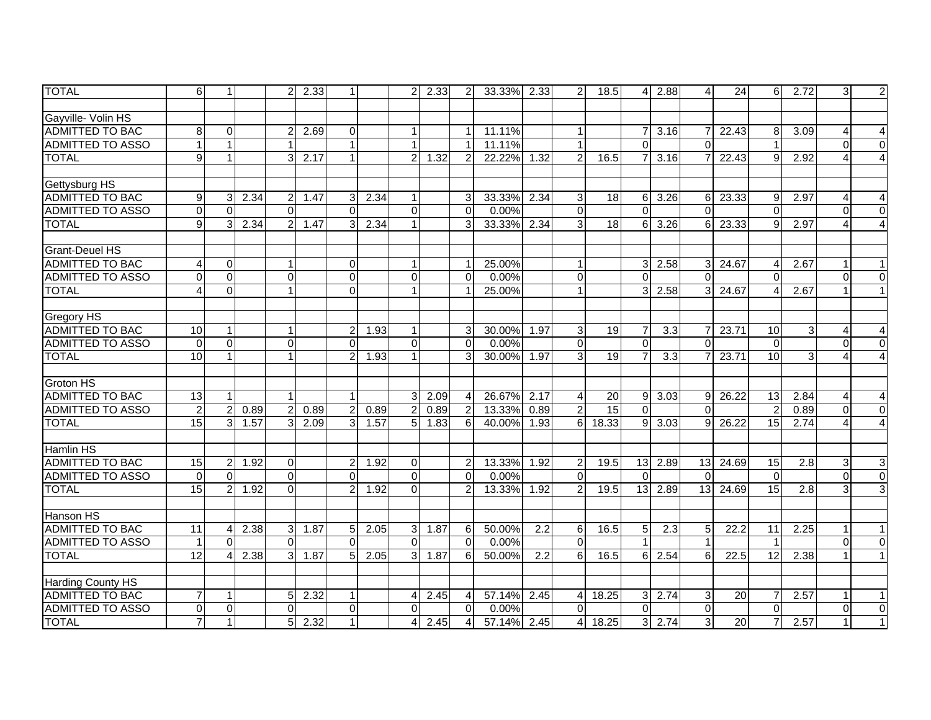| <b>TOTAL</b>             | 6        | $\mathbf{1}$   |      | 2              | 2.33 | 1              |      | $\overline{2}$ | 2.33 | 2                      | 33.33%      | 2.33 | 2              | 18.5            | 41             | 2.88                 | $\overline{4}$ | 24    | 6               | 2.72           | 3        | $\overline{2}$            |
|--------------------------|----------|----------------|------|----------------|------|----------------|------|----------------|------|------------------------|-------------|------|----------------|-----------------|----------------|----------------------|----------------|-------|-----------------|----------------|----------|---------------------------|
|                          |          |                |      |                |      |                |      |                |      |                        |             |      |                |                 |                |                      |                |       |                 |                |          |                           |
| Gayville- Volin HS       |          |                |      |                |      |                |      |                |      |                        |             |      |                |                 |                |                      |                |       |                 |                |          |                           |
| <b>ADMITTED TO BAC</b>   | 8        | 0              |      |                | 2.69 | $\mathbf 0$    |      |                |      |                        | 11.11%      |      | 1              |                 |                | 3.16                 |                | 22.43 | 8               | 3.09           |          | 4                         |
| ADMITTED TO ASSO         |          | $\mathbf{1}$   |      |                |      |                |      |                |      |                        | 11.11%      |      | $\mathbf{1}$   |                 | $\Omega$       |                      | $\Omega$       |       |                 |                | $\Omega$ | $\mathbf 0$               |
| <b>TOTAL</b>             | 9        | $\mathbf{1}$   |      | 3              | 2.17 |                |      | $\overline{2}$ | 1.32 | $\overline{2}$         | 22.22%      | 1.32 | $\overline{c}$ | 16.5            |                | 3.16                 | $\overline{7}$ | 22.43 | 9               | 2.92           |          | $\overline{4}$            |
|                          |          |                |      |                |      |                |      |                |      |                        |             |      |                |                 |                |                      |                |       |                 |                |          |                           |
| Gettysburg HS            |          |                |      |                |      |                |      |                |      |                        |             |      |                |                 |                |                      |                |       |                 |                |          |                           |
| <b>ADMITTED TO BAC</b>   | 9        | 3              | 2.34 | $\overline{c}$ | 1.47 | 3              | 2.34 |                |      | 3                      | 33.33%      | 2.34 | 3 <sup>1</sup> | $\overline{18}$ | 6              | 3.26                 | 6              | 23.33 | 9               | 2.97           | 4        | $\overline{4}$            |
| <b>ADMITTED TO ASSO</b>  | 0        | $\Omega$       |      | $\Omega$       |      | $\Omega$       |      | $\Omega$       |      | $\Omega$               | 0.00%       |      | $\Omega$       |                 | $\Omega$       |                      | $\Omega$       |       | $\Omega$        |                | $\Omega$ | $\Omega$                  |
| <b>TOTAL</b>             | 9        | $\overline{3}$ | 2.34 | $\overline{a}$ | 1.47 | 3              | 2.34 |                |      | $\overline{3}$         | 33.33%      | 2.34 | $\overline{3}$ | $\overline{18}$ | 6              | 3.26                 | 6              | 23.33 | 9               | 2.97           | 4        | $\overline{4}$            |
|                          |          |                |      |                |      |                |      |                |      |                        |             |      |                |                 |                |                      |                |       |                 |                |          |                           |
| <b>Grant-Deuel HS</b>    |          |                |      |                |      |                |      |                |      |                        |             |      |                |                 |                |                      |                |       |                 |                |          |                           |
| <b>ADMITTED TO BAC</b>   |          | 0              |      |                |      | $\overline{0}$ |      | 1              |      | -1                     | 25.00%      |      | $\mathbf{1}$   |                 | 3 <sup>1</sup> | 2.58                 | $\mathbf{3}$   | 24.67 | 4               | 2.67           |          | 1                         |
| <b>ADMITTED TO ASSO</b>  | $\Omega$ | $\overline{0}$ |      | $\Omega$       |      | $\mathbf 0$    |      | $\Omega$       |      | $\Omega$               | 0.00%       |      | $\mathbf 0$    |                 | $\Omega$       |                      | $\Omega$       |       | $\Omega$        |                | $\Omega$ | $\Omega$                  |
| <b>TOTAL</b>             |          | $\mathbf 0$    |      |                |      | $\Omega$       |      |                |      |                        | 25.00%      |      | $\mathbf{1}$   |                 | $\overline{3}$ | 2.58                 | 3              | 24.67 |                 | 2.67           |          | $\mathbf{1}$              |
|                          |          |                |      |                |      |                |      |                |      |                        |             |      |                |                 |                |                      |                |       |                 |                |          |                           |
| <b>Gregory HS</b>        |          |                |      |                |      |                |      |                |      |                        |             |      |                |                 |                |                      |                |       |                 |                |          |                           |
| <b>ADMITTED TO BAC</b>   | 10       | $\mathbf{1}$   |      | $\mathbf{1}$   |      | $\overline{2}$ | 1.93 |                |      | 3                      | 30.00%      | 1.97 | 3              | 19              | $\overline{7}$ | 3.3                  | $\overline{7}$ | 23.71 | 10              | $\overline{3}$ | 4        | 4                         |
| <b>ADMITTED TO ASSO</b>  | $\Omega$ | $\mathbf 0$    |      | $\mathbf 0$    |      | $\Omega$       |      | $\Omega$       |      | $\Omega$               | 0.00%       |      | $\mathbf 0$    |                 | $\overline{0}$ |                      | $\Omega$       |       | $\Omega$        |                | $\Omega$ | $\mathbf 0$               |
| <b>TOTAL</b>             | 10       | $\overline{1}$ |      |                |      | $\overline{2}$ | 1.93 |                |      | 3                      | 30.00% 1.97 |      | $\overline{3}$ | 19              | $\overline{7}$ | 3.3                  |                | 23.71 | 10              | 3 <sup>1</sup> | 4        | $\overline{4}$            |
|                          |          |                |      |                |      |                |      |                |      |                        |             |      |                |                 |                |                      |                |       |                 |                |          |                           |
| <b>Groton HS</b>         |          |                |      |                |      |                |      |                |      |                        |             |      |                |                 |                |                      |                |       |                 |                |          |                           |
| <b>ADMITTED TO BAC</b>   | 13       | $\mathbf{1}$   |      |                |      | $\mathbf{1}$   |      | 3              | 2.09 | $\overline{4}$         | 26.67%      | 2.17 | 4              | 20              | 9              | 3.03                 | 9              | 26.22 | $\overline{13}$ | 2.84           | 4        | 4                         |
| <b>ADMITTED TO ASSO</b>  | 2        | $\overline{2}$ | 0.89 | 2              | 0.89 | $\overline{2}$ | 0.89 | 2              | 0.89 | $\overline{2}$         | 13.33%      | 0.89 | $\overline{2}$ | 15              | $\Omega$       |                      | $\Omega$       |       | $\mathcal{P}$   | 0.89           | $\Omega$ | $\overline{0}$            |
| <b>TOTAL</b>             | 15       | $\overline{3}$ | 1.57 | 3              | 2.09 | 3              | 1.57 | 5 <sup>1</sup> | 1.83 | 6                      | 40.00%      | 1.93 | 6 <sup>1</sup> | 18.33           | 9              | 3.03                 | 9              | 26.22 | 15              | 2.74           | Δ        | $\boldsymbol{\Lambda}$    |
|                          |          |                |      |                |      |                |      |                |      |                        |             |      |                |                 |                |                      |                |       |                 |                |          |                           |
| <b>Hamlin HS</b>         |          |                |      |                |      |                |      |                |      |                        |             |      |                |                 |                |                      |                |       |                 |                |          |                           |
| ADMITTED TO BAC          | 15       | $\overline{c}$ | 1.92 | $\mathbf 0$    |      | $\overline{a}$ | 1.92 | $\Omega$       |      | $\overline{2}$         | $13.33\%$   | 1.92 | $\overline{c}$ | 19.5            | 13             | 2.89                 | 13             | 24.69 | 15              | 2.8            | 3        | $\ensuremath{\mathsf{3}}$ |
| ADMITTED TO ASSO         | $\Omega$ | $\Omega$       |      | $\Omega$       |      | $\Omega$       |      | $\Omega$       |      | $\Omega$               | 0.00%       |      | $\Omega$       |                 | $\Omega$       |                      | $\Omega$       |       | $\Omega$        |                | $\Omega$ | $\mathbf 0$               |
| <b>TOTAL</b>             | 15       | $\overline{c}$ | 1.92 | $\overline{0}$ |      | $\overline{2}$ | 1.92 | $\Omega$       |      | $\mathcal{P}$          | 13.33%      | 1.92 | $\overline{2}$ | 19.5            | 13             | 2.89                 | 13             | 24.69 | 15              | 2.8            | 3        | $\mathsf 3$               |
|                          |          |                |      |                |      |                |      |                |      |                        |             |      |                |                 |                |                      |                |       |                 |                |          |                           |
| Hanson HS                |          |                |      |                |      |                |      |                |      |                        |             |      |                |                 |                |                      |                |       |                 |                |          |                           |
| <b>ADMITTED TO BAC</b>   | 11       | 4              | 2.38 | 3              | 1.87 | 5              | 2.05 | 31             | 1.87 | 6                      | 50.00%      | 2.2  | 6              | 16.5            | 5 <sup>1</sup> | 2.3                  | 5              | 22.2  | 11              | 2.25           |          | $\mathbf 1$               |
| <b>ADMITTED TO ASSO</b>  |          | $\Omega$       |      | $\Omega$       |      | $\Omega$       |      | $\Omega$       |      | $\Omega$               | 0.00%       |      | $\Omega$       |                 | $\overline{1}$ |                      | $\overline{1}$ |       |                 |                | $\Omega$ | $\overline{0}$            |
| <b>TOTAL</b>             | 12       | $\overline{4}$ | 2.38 | 3              | 1.87 | 5              | 2.05 | $\overline{3}$ | 1.87 | 6                      | 50.00%      | 2.2  | 6              | 16.5            | 61             | 2.54                 | 6              | 22.5  | 12              | 2.38           |          | 1 <sup>1</sup>            |
|                          |          |                |      |                |      |                |      |                |      |                        |             |      |                |                 |                |                      |                |       |                 |                |          |                           |
| <b>Harding County HS</b> |          |                |      |                |      |                |      |                |      |                        |             |      |                |                 |                |                      |                |       |                 |                |          |                           |
| <b>ADMITTED TO BAC</b>   |          | 1              |      | 5              | 2.32 | $\mathbf{1}$   |      |                | 2.45 | $\boldsymbol{\Lambda}$ | 57.14%      | 2.45 | 4              | 18.25           |                | $3 \overline{)2.74}$ | 3              | 20    |                 | 2.57           |          | $\mathbf{1}$              |
| <b>ADMITTED TO ASSO</b>  | $\Omega$ | $\mathbf 0$    |      | $\Omega$       |      | $\Omega$       |      | $\Omega$       |      | $\Omega$               | 0.00%       |      | $\Omega$       |                 | $\Omega$       |                      | $\Omega$       |       | $\Omega$        |                | $\Omega$ | $\mathbf 0$               |
| <b>TOTAL</b>             |          | $\mathbf{1}$   |      | 5              | 2.32 | $\mathbf{1}$   |      |                | 2.45 | $\overline{4}$         | 57.14%      | 2.45 | 4              | 18.25           | 3 <sup>1</sup> | 2.74                 | $\overline{3}$ | 20    | $\overline{7}$  | 2.57           |          | $\mathbf{1}$              |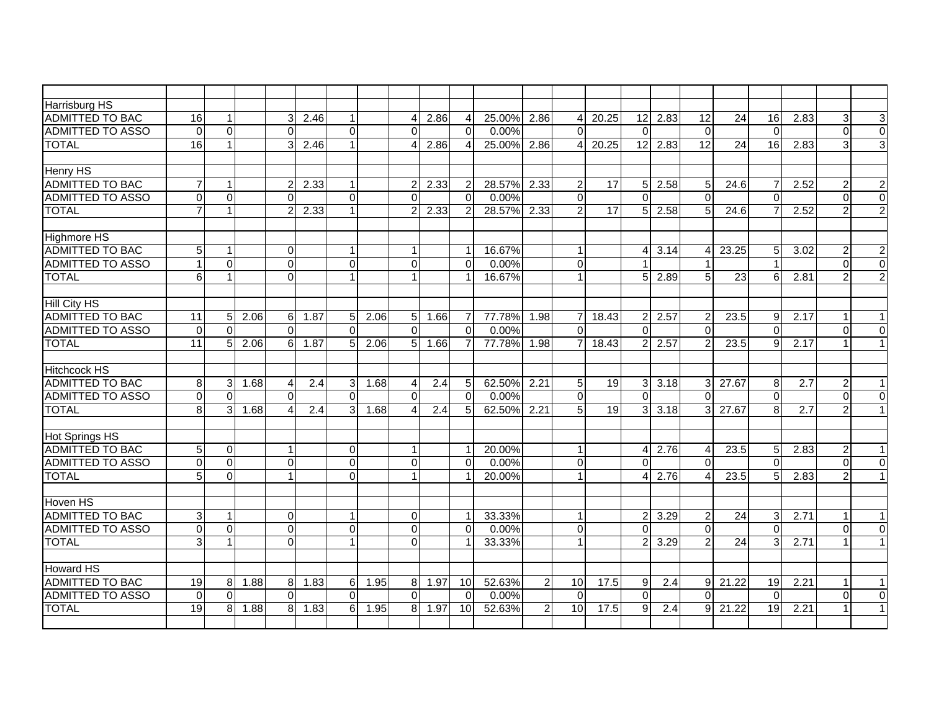| <b>Harrisburg HS</b>    |                 |                |      |                |      |                      |      |                |        |                |        |                |                |       |                |               |                 |                 |                 |                  |                |                  |
|-------------------------|-----------------|----------------|------|----------------|------|----------------------|------|----------------|--------|----------------|--------|----------------|----------------|-------|----------------|---------------|-----------------|-----------------|-----------------|------------------|----------------|------------------|
| <b>ADMITTED TO BAC</b>  | 16              | $\mathbf{1}$   |      | 3              | 2.46 | $\mathbf{1}$         |      |                | 2.86   | $\overline{4}$ | 25.00% | 2.86           | $\overline{4}$ | 20.25 | 12             | 2.83          | $\overline{12}$ | 24              | 16              | 2.83             | 3              | 3                |
| <b>ADMITTED TO ASSO</b> | $\Omega$        | $\Omega$       |      | $\Omega$       |      | $\Omega$             |      | $\Omega$       |        | $\Omega$       | 0.00%  |                | $\Omega$       |       | $\mathbf{0}$   |               | $\mathbf 0$     |                 | $\Omega$        |                  | $\Omega$       | $\overline{0}$   |
| <b>TOTAL</b>            | 16              | $\mathbf{1}$   |      | $\overline{3}$ | 2.46 | $\mathbf{1}$         |      |                | 2.86   | $\overline{4}$ | 25.00% | 2.86           | 4              | 20.25 | 12             | 2.83          | $\overline{12}$ | 24              | 16              | 2.83             | 3              | 3                |
|                         |                 |                |      |                |      |                      |      |                |        |                |        |                |                |       |                |               |                 |                 |                 |                  |                |                  |
| Henry HS                |                 |                |      |                |      |                      |      |                |        |                |        |                |                |       |                |               |                 |                 |                 |                  |                |                  |
| <b>ADMITTED TO BAC</b>  | $\overline{7}$  | $\mathbf{1}$   |      |                | 2.33 | 1                    |      | $\mathcal{P}$  | 2.33   | $\overline{2}$ | 28.57% | 2.33           | $\overline{2}$ | 17    |                | $5 \, 2.58$   | $5\overline{)}$ | 24.6            | 7               | 2.52             | $\overline{2}$ | $\overline{c}$   |
| <b>ADMITTED TO ASSO</b> | $\Omega$        | $\Omega$       |      | $\Omega$       |      | $\Omega$             |      | $\Omega$       |        | $\Omega$       | 0.00%  |                | $\Omega$       |       | $\Omega$       |               | $\Omega$        |                 | $\Omega$        |                  | $\Omega$       | $\overline{0}$   |
| <b>TOTAL</b>            |                 | 1              |      |                | 2.33 |                      |      |                | 2.33   | $\overline{2}$ | 28.57% | 2.33           | $\overline{2}$ | 17    | 51             | 2.58          | 5               | 24.6            |                 | 2.52             | 2              | $\overline{2}$   |
|                         |                 |                |      |                |      |                      |      |                |        |                |        |                |                |       |                |               |                 |                 |                 |                  |                |                  |
| <b>Highmore HS</b>      |                 |                |      |                |      |                      |      |                |        |                |        |                |                |       |                |               |                 |                 |                 |                  |                |                  |
| <b>ADMITTED TO BAC</b>  | 5 <sub>1</sub>  | 1              |      | $\Omega$       |      | $\mathbf{1}$         |      |                |        | $\overline{1}$ | 16.67% |                | $\mathbf{1}$   |       | $\overline{4}$ | 3.14          | $\overline{4}$  | 23.25           | 5               | 3.02             | $\overline{2}$ | $\boldsymbol{2}$ |
| <b>ADMITTED TO ASSO</b> | $\mathbf{1}$    | $\Omega$       |      | $\Omega$       |      | $\overline{0}$       |      | $\Omega$       |        | $\Omega$       | 0.00%  |                | $\mathbf 0$    |       |                |               |                 |                 |                 |                  | $\Omega$       | $\overline{0}$   |
| <b>TOTAL</b>            | 6 <sup>1</sup>  | 1              |      | $\Omega$       |      |                      |      |                |        | 1              | 16.67% |                | $\mathbf{1}$   |       | 5 <sup>1</sup> | 2.89          | $5\overline{)}$ | 23              | 6               | 2.81             |                | $\overline{2}$   |
|                         |                 |                |      |                |      |                      |      |                |        |                |        |                |                |       |                |               |                 |                 |                 |                  |                |                  |
| <b>Hill City HS</b>     |                 |                |      |                |      |                      |      |                |        |                |        |                |                |       |                |               |                 |                 |                 |                  |                |                  |
| <b>ADMITTED TO BAC</b>  | 11              | 5              | 2.06 | $6 \,$         | 1.87 | 5 <sup>1</sup>       | 2.06 | 5 <sup>1</sup> | 1.66   | 7              | 77.78% | 1.98           | $\overline{7}$ | 18.43 | 2 <sub>l</sub> | 2.57          | 2               | 23.5            | 9               | 2.17             |                | $\mathbf{1}$     |
| <b>ADMITTED TO ASSO</b> | $\Omega$        | $\mathbf 0$    |      | $\Omega$       |      | $\Omega$             |      | $\Omega$       |        | $\Omega$       | 0.00%  |                | $\Omega$       |       | $\Omega$       |               | $\Omega$        |                 | $\Omega$        |                  | $\Omega$       | $\overline{0}$   |
| <b>TOTAL</b>            | $\overline{11}$ | 5              | 2.06 | 6              | 1.87 | 5 <sup>1</sup>       | 2.06 |                | 5 1.66 | $\overline{7}$ | 77.78% | 1.98           | $\overline{7}$ | 18.43 | 2 <sup>1</sup> | 2.57          | 2               | 23.5            | 9               | 2.17             |                | $\mathbf{1}$     |
|                         |                 |                |      |                |      |                      |      |                |        |                |        |                |                |       |                |               |                 |                 |                 |                  |                |                  |
| <b>Hitchcock HS</b>     |                 |                |      |                |      |                      |      |                |        |                |        |                |                |       |                |               |                 |                 |                 |                  |                |                  |
| <b>ADMITTED TO BAC</b>  | 8 <sup>1</sup>  | 3              | 1.68 | $\overline{4}$ | 2.4  | $\mathbf{3}$         | 1.68 | Δ              | 2.4    | 5              | 62.50% | 2.21           | $\sqrt{5}$     | 19    |                | $3 \mid 3.18$ | 3 <sup>1</sup>  | 27.67           | 8               | $\overline{2.7}$ | $\overline{c}$ | $\mathbf{1}$     |
| <b>ADMITTED TO ASSO</b> | $\Omega$        | $\Omega$       |      | $\Omega$       |      | $\Omega$             |      | $\Omega$       |        | $\Omega$       | 0.00%  |                | $\Omega$       |       | $\Omega$       |               | $\Omega$        |                 | $\Omega$        |                  | $\Omega$       | $\Omega$         |
| <b>TOTAL</b>            | $\mathbf{8}$    | 3              | 1.68 | $\overline{4}$ | 2.4  | $\overline{3}$       | 1.68 |                | 2.4    | 5              | 62.50% | 2.21           | 5 <sup>5</sup> | 19    | 3 <sup>1</sup> | 3.18          | $\overline{3}$  | 27.67           | 8               | $\overline{2.7}$ |                | $\mathbf{1}$     |
|                         |                 |                |      |                |      |                      |      |                |        |                |        |                |                |       |                |               |                 |                 |                 |                  |                |                  |
| <b>Hot Springs HS</b>   |                 |                |      |                |      |                      |      |                |        |                |        |                |                |       |                |               |                 |                 |                 |                  |                |                  |
| <b>ADMITTED TO BAC</b>  | 5 <sub>1</sub>  | $\Omega$       |      |                |      | $\Omega$             |      |                |        | $\mathbf{1}$   | 20.00% |                | $\mathbf{1}$   |       | 4 <sup>1</sup> | 2.76          | $\overline{4}$  | 23.5            | 5               | 2.83             | 2              | 1                |
| <b>ADMITTED TO ASSO</b> | $\overline{0}$  | $\mathbf 0$    |      | $\Omega$       |      | $\overline{0}$       |      | $\Omega$       |        | $\Omega$       | 0.00%  |                | $\mathbf 0$    |       | $\Omega$       |               | $\Omega$        |                 | $\Omega$        |                  | $\Omega$       | $\overline{0}$   |
| <b>TOTAL</b>            | 5               | $\overline{0}$ |      |                |      | $\Omega$             |      |                |        |                | 20.00% |                | $\mathbf{1}$   |       |                | 2.76          | $\overline{4}$  | 23.5            | 5               | 2.83             |                | $\mathbf{1}$     |
|                         |                 |                |      |                |      |                      |      |                |        |                |        |                |                |       |                |               |                 |                 |                 |                  |                |                  |
| Hoven HS                |                 |                |      |                |      |                      |      |                |        |                |        |                |                |       |                |               |                 |                 |                 |                  |                |                  |
| <b>ADMITTED TO BAC</b>  | $\overline{3}$  | 1              |      | $\Omega$       |      | $\blacktriangleleft$ |      | $\Omega$       |        | $\mathbf 1$    | 33.33% |                | $\mathbf{1}$   |       | 2 <sub>l</sub> | 3.29          | 2               | 24              | 3               | 2.71             |                | 1                |
| <b>ADMITTED TO ASSO</b> | $\Omega$        | $\Omega$       |      | $\Omega$       |      | $\overline{0}$       |      | $\Omega$       |        | $\Omega$       | 0.00%  |                | $\mathbf 0$    |       | $\Omega$       |               | $\Omega$        |                 | $\Omega$        |                  | $\Omega$       | $\overline{0}$   |
| <b>TOTAL</b>            | $\overline{3}$  | $\mathbf{1}$   |      | $\Omega$       |      | $\mathbf{1}$         |      | $\Omega$       |        |                | 33.33% |                | $\mathbf{1}$   |       | $\overline{2}$ | 3.29          | $\overline{2}$  | $\overline{24}$ | 3               | 2.71             |                | $\mathbf{1}$     |
|                         |                 |                |      |                |      |                      |      |                |        |                |        |                |                |       |                |               |                 |                 |                 |                  |                |                  |
| Howard HS               |                 |                |      |                |      |                      |      |                |        |                |        |                |                |       |                |               |                 |                 |                 |                  |                |                  |
| <b>ADMITTED TO BAC</b>  | 19              | $\, 8$         | 1.88 | 8 <sup>1</sup> | 1.83 | $6 \,$               | 1.95 | 8              | 1.97   | 10             | 52.63% | $\overline{2}$ | 10             | 17.5  | 9              | 2.4           | 9               | 21.22           | $\overline{19}$ | 2.21             |                | 1                |
| <b>ADMITTED TO ASSO</b> | $\Omega$        | $\Omega$       |      | $\Omega$       |      | $\Omega$             |      | $\Omega$       |        | $\Omega$       | 0.00%  |                | $\Omega$       |       | $\Omega$       |               | $\Omega$        |                 | $\Omega$        |                  | $\Omega$       | $\Omega$         |
| <b>TOTAL</b>            | 19              | 8              | 1.88 | 8              | 1.83 | 6 <sup>1</sup>       | 1.95 | 8              | 1.97   | 10             | 52.63% | $\overline{2}$ | 10             | 17.5  | 9              | 2.4           | 9               | 21.22           | $\overline{19}$ | 2.21             |                |                  |
|                         |                 |                |      |                |      |                      |      |                |        |                |        |                |                |       |                |               |                 |                 |                 |                  |                |                  |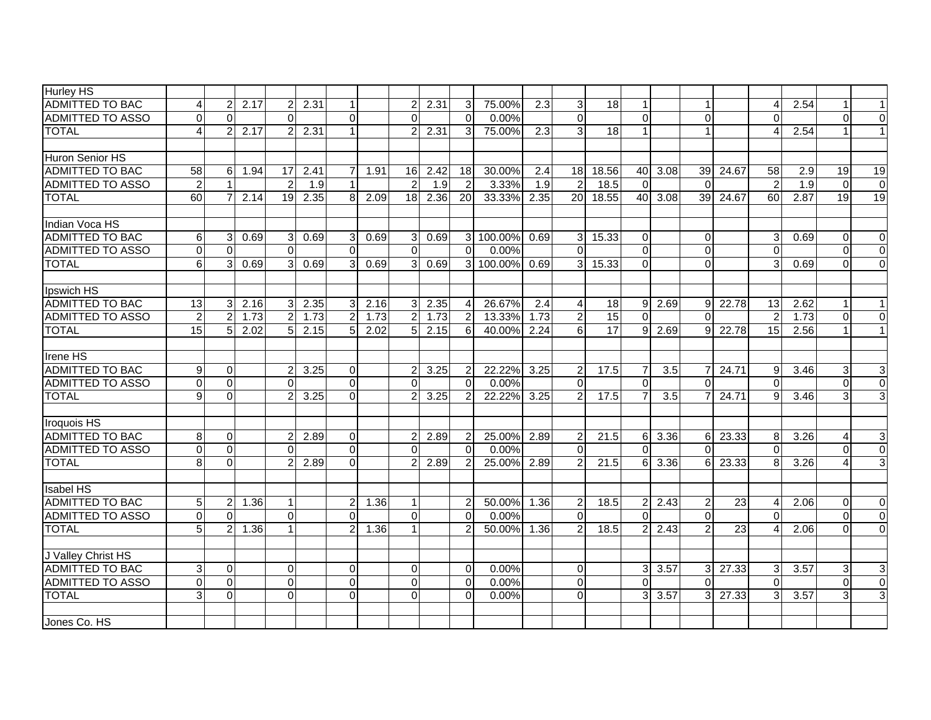| <b>Hurley HS</b>        |                |                |      |                |      |                |      |                |                  |                |           |                  |                  |                 |                |            |                 |       |                |      |          |                 |
|-------------------------|----------------|----------------|------|----------------|------|----------------|------|----------------|------------------|----------------|-----------|------------------|------------------|-----------------|----------------|------------|-----------------|-------|----------------|------|----------|-----------------|
| <b>ADMITTED TO BAC</b>  |                | $\overline{2}$ | 2.17 | $\overline{2}$ | 2.31 | 1              |      | 2              | 2.31             | 3              | 75.00%    | 2.3              | 3                | 18              | $\mathbf{1}$   |            |                 |       |                | 2.54 |          | 1               |
| <b>ADMITTED TO ASSO</b> | $\Omega$       | $\Omega$       |      | $\Omega$       |      | $\Omega$       |      | $\Omega$       |                  | $\Omega$       | 0.00%     |                  | $\Omega$         |                 | $\Omega$       |            | $\Omega$        |       | $\Omega$       |      | $\Omega$ | $\Omega$        |
| <b>TOTAL</b>            | $\overline{4}$ | 2              | 2.17 | $\overline{2}$ | 2.31 | $\mathbf{1}$   |      |                | 2.31             | 3              | 75.00%    | $\overline{2.3}$ | 3                | $\overline{18}$ | $\mathbf{1}$   |            | $\overline{1}$  |       | Δ              | 2.54 |          | $\mathbf{1}$    |
|                         |                |                |      |                |      |                |      |                |                  |                |           |                  |                  |                 |                |            |                 |       |                |      |          |                 |
| Huron Senior HS         |                |                |      |                |      |                |      |                |                  |                |           |                  |                  |                 |                |            |                 |       |                |      |          |                 |
| <b>ADMITTED TO BAC</b>  | 58             | $\,6$          | 1.94 | 17             | 2.41 | $\overline{7}$ | 1.91 | 16             | 2.42             | 18             | 30.00%    | 2.4              | 18               | 18.56           |                | 40 3.08    | 39              | 24.67 | 58             | 2.9  | 19       | $\overline{19}$ |
| <b>ADMITTED TO ASSO</b> | 2              | 1              |      | $\overline{2}$ | 1.9  |                |      | $\mathcal{P}$  | $\overline{1.9}$ | $\overline{2}$ | 3.33%     | 1.9              | $\overline{2}$   | 18.5            | $\Omega$       |            | $\Omega$        |       | $\overline{2}$ | 1.9  | $\Omega$ | $\overline{0}$  |
| <b>TOTAL</b>            | 60             | $\overline{7}$ | 2.14 | 19             | 2.35 | 8 <sup>1</sup> | 2.09 | 18             | 2.36             | 20             | 33.33%    | 2.35             | <b>20</b>        | 18.55           |                | 40 3.08    | 39 <sup>1</sup> | 24.67 | 60             | 2.87 | 19       | 19              |
|                         |                |                |      |                |      |                |      |                |                  |                |           |                  |                  |                 |                |            |                 |       |                |      |          |                 |
| Indian Voca HS          |                |                |      |                |      |                |      |                |                  |                |           |                  |                  |                 |                |            |                 |       |                |      |          |                 |
| <b>ADMITTED TO BAC</b>  | 6              | 3              | 0.69 | 3              | 0.69 | 3 <sup>1</sup> | 0.69 | 3              | 0.69             |                | 3 100.00% | 0.69             | 3 <sup>1</sup>   | 15.33           | $\Omega$       |            | $\Omega$        |       | 3              | 0.69 | $\Omega$ | $\Omega$        |
| <b>ADMITTED TO ASSO</b> | $\Omega$       | $\Omega$       |      | $\Omega$       |      | $\Omega$       |      | $\Omega$       |                  | $\Omega$       | 0.00%     |                  | $\Omega$         |                 | $\Omega$       |            | $\Omega$        |       | $\Omega$       |      | $\Omega$ | $\overline{0}$  |
| <b>TOTAL</b>            | 6 <sup>1</sup> | 3              | 0.69 | 3              | 0.69 | $\overline{3}$ | 0.69 |                | 0.69             | $\overline{3}$ | 100.00%   | 0.69             | $\overline{3}$   | 15.33           | $\Omega$       |            | $\Omega$        |       |                | 0.69 | $\Omega$ | $\Omega$        |
|                         |                |                |      |                |      |                |      |                |                  |                |           |                  |                  |                 |                |            |                 |       |                |      |          |                 |
| Ipswich HS              |                |                |      |                |      |                |      |                |                  |                |           |                  |                  |                 |                |            |                 |       |                |      |          |                 |
| <b>ADMITTED TO BAC</b>  | 13             | 3              | 2.16 | 3              | 2.35 | 3 <sup>1</sup> | 2.16 | 31             | 2.35             | $\overline{4}$ | 26.67%    | 2.4              | 4                | 18              |                | $9 \ 2.69$ | 9               | 22.78 | 13             | 2.62 |          | 1               |
| ADMITTED TO ASSO        | $\overline{2}$ | $\overline{2}$ | 1.73 | $\overline{2}$ | 1.73 | $\overline{2}$ | 1.73 | $\overline{2}$ | 1.73             | $\overline{2}$ | 13.33%    | 1.73             | $\overline{c}$   | 15              | $\Omega$       |            | $\mathbf{0}$    |       | $\overline{2}$ | 1.73 | $\Omega$ | $\overline{0}$  |
| <b>TOTAL</b>            | 15             | 5              | 2.02 | 5              | 2.15 | $\overline{5}$ | 2.02 | 5 <sup>1</sup> | 2.15             | 6              | 40.00%    | 2.24             | $6 \overline{6}$ | $\overline{17}$ | 9 <sup>1</sup> | 2.69       | 9               | 22.78 | 15             | 2.56 |          | $\mathbf{1}$    |
|                         |                |                |      |                |      |                |      |                |                  |                |           |                  |                  |                 |                |            |                 |       |                |      |          |                 |
| <b>Irene HS</b>         |                |                |      |                |      |                |      |                |                  |                |           |                  |                  |                 |                |            |                 |       |                |      |          |                 |
| <b>ADMITTED TO BAC</b>  | 9 <sub>l</sub> | $\mathbf 0$    |      |                | 3.25 | $\Omega$       |      |                | 3.25             | 2              | 22.22%    | 3.25             | $\overline{c}$   | 17.5            | $\overline{7}$ | 3.5        |                 | 24.71 | 9              | 3.46 | 3        | 3               |
| <b>ADMITTED TO ASSO</b> | $\Omega$       | $\Omega$       |      | $\Omega$       |      | $\Omega$       |      | $\Omega$       |                  | $\Omega$       | 0.00%     |                  | $\Omega$         |                 | $\Omega$       |            | $\mathbf{0}$    |       | $\Omega$       |      | $\Omega$ | $\overline{0}$  |
| <b>TOTAL</b>            | 9 <sub>l</sub> | $\overline{0}$ |      |                | 3.25 | $\overline{0}$ |      |                | 3.25             | $\overline{2}$ | 22.22%    | 3.25             | $\overline{2}$   | 17.5            | $\overline{7}$ | 3.5        |                 | 24.71 | 9              | 3.46 | 3        | $\overline{3}$  |
|                         |                |                |      |                |      |                |      |                |                  |                |           |                  |                  |                 |                |            |                 |       |                |      |          |                 |
| Iroquois HS             |                |                |      |                |      |                |      |                |                  |                |           |                  |                  |                 |                |            |                 |       |                |      |          |                 |
| <b>ADMITTED TO BAC</b>  | 8 <sup>1</sup> | 0              |      | 2              | 2.89 | $\Omega$       |      | 2              | 2.89             | $\overline{2}$ | 25.00%    | 2.89             | 2                | 21.5            | 6              | 3.36       | 6 I             | 23.33 | 8              | 3.26 | 4        | $\sqrt{3}$      |
| <b>ADMITTED TO ASSO</b> | $\Omega$       | $\Omega$       |      | $\Omega$       |      | $\Omega$       |      | $\Omega$       |                  | $\Omega$       | 0.00%     |                  | $\Omega$         |                 | $\Omega$       |            | $\Omega$        |       | $\Omega$       |      | $\Omega$ | $\overline{0}$  |
| <b>TOTAL</b>            | 8 <sup>1</sup> | $\Omega$       |      |                | 2.89 | $\Omega$       |      |                | 2.89             | $\overline{2}$ | 25.00%    | 2.89             | 2                | 21.5            | 6              | 3.36       | 6               | 23.33 | 8              | 3.26 |          | $\overline{3}$  |
|                         |                |                |      |                |      |                |      |                |                  |                |           |                  |                  |                 |                |            |                 |       |                |      |          |                 |
| <b>Isabel HS</b>        |                |                |      |                |      |                |      |                |                  |                |           |                  |                  |                 |                |            |                 |       |                |      |          |                 |
| <b>ADMITTED TO BAC</b>  | 5 <sub>l</sub> | $\overline{2}$ | 1.36 |                |      | $\overline{2}$ | 1.36 |                |                  | $\overline{2}$ | 50.00%    | 1.36             | $\overline{2}$   | 18.5            | 2 <sub>l</sub> | 2.43       | $\overline{2}$  | 23    | 4              | 2.06 | $\Omega$ | $\mathbf 0$     |
| <b>ADMITTED TO ASSO</b> | $\Omega$       | 0              |      | $\Omega$       |      | $\Omega$       |      | $\Omega$       |                  | $\Omega$       | 0.00%     |                  | $\Omega$         |                 | $\Omega$       |            | $\mathbf{0}$    |       | $\Omega$       |      | 0        | $\overline{0}$  |
| <b>TOTAL</b>            | 5 <sub>l</sub> | $\overline{2}$ | 1.36 |                |      | $\overline{2}$ | 1.36 |                |                  | $\overline{2}$ | 50.00%    | 1.36             | $\overline{c}$   | 18.5            | 2 <sup>1</sup> | 2.43       | $\overline{2}$  | 23    |                | 2.06 | $\Omega$ | $\overline{0}$  |
| J Valley Christ HS      |                |                |      |                |      |                |      |                |                  |                |           |                  |                  |                 |                |            |                 |       |                |      |          |                 |
| <b>ADMITTED TO BAC</b>  | 3 <sup>1</sup> | 0              |      | $\Omega$       |      | $\overline{0}$ |      | $\Omega$       |                  | $\Omega$       | 0.00%     |                  | $\overline{0}$   |                 | 3 <sup>l</sup> | 3.57       | 3 <sup>1</sup>  | 27.33 | 3              | 3.57 | 3        | 3               |
| <b>ADMITTED TO ASSO</b> | $\Omega$       | $\mathbf 0$    |      | $\Omega$       |      | $\Omega$       |      | $\Omega$       |                  | $\Omega$       | 0.00%     |                  | $\Omega$         |                 | $\Omega$       |            | $\Omega$        |       | $\Omega$       |      | $\Omega$ | $\overline{0}$  |
| <b>TOTAL</b>            | $\overline{3}$ | $\Omega$       |      | $\Omega$       |      | $\Omega$       |      | $\Omega$       |                  | $\Omega$       | 0.00%     |                  | $\mathbf{0}$     |                 | 3 <sup>1</sup> | 3.57       | 3               | 27.33 |                | 3.57 | 3        | $\overline{3}$  |
|                         |                |                |      |                |      |                |      |                |                  |                |           |                  |                  |                 |                |            |                 |       |                |      |          |                 |
| Jones Co. HS            |                |                |      |                |      |                |      |                |                  |                |           |                  |                  |                 |                |            |                 |       |                |      |          |                 |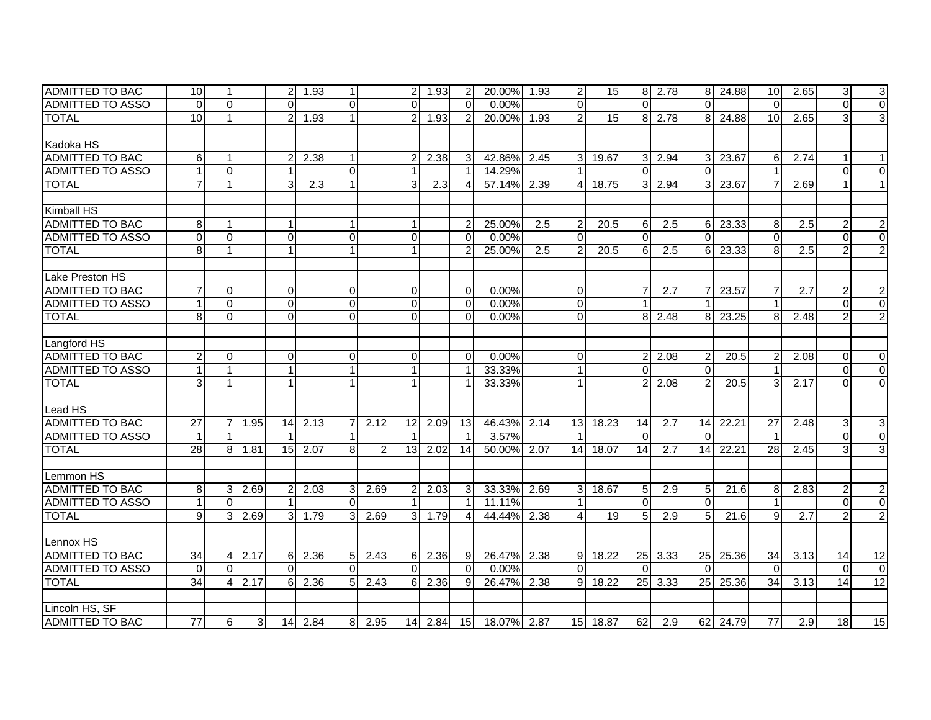| <b>ADMITTED TO BAC</b>  | 10              | $\mathbf{1}$           |      | 21             | 1.93      | $\mathbf{1}$   |      |                 | 2 1.93       | 2              | 20.00% 1.93 |      | 2              | 15 <sup>1</sup> |                | 8 2.78 |                 | 8 24.88 | 10              | 2.65             | 3               | $\mathbf{3}$              |
|-------------------------|-----------------|------------------------|------|----------------|-----------|----------------|------|-----------------|--------------|----------------|-------------|------|----------------|-----------------|----------------|--------|-----------------|---------|-----------------|------------------|-----------------|---------------------------|
| <b>ADMITTED TO ASSO</b> | $\Omega$        | $\Omega$               |      | $\Omega$       |           | $\Omega$       |      | $\Omega$        |              | $\Omega$       | 0.00%       |      | $\Omega$       |                 | $\Omega$       |        | $\Omega$        |         | $\Omega$        |                  | $\Omega$        | $\overline{0}$            |
| <b>TOTAL</b>            | 10              | $\mathbf{1}$           |      | $\overline{2}$ | 1.93      |                |      | 2 <sup>1</sup>  | 1.93         | $\overline{2}$ | 20.00%      | 1.93 | $\overline{2}$ | 15              | 8              | 2.78   | 8               | 24.88   | 10              | 2.65             |                 | $\overline{3}$            |
|                         |                 |                        |      |                |           |                |      |                 |              |                |             |      |                |                 |                |        |                 |         |                 |                  |                 |                           |
| Kadoka HS               |                 |                        |      |                |           |                |      |                 |              |                |             |      |                |                 |                |        |                 |         |                 |                  |                 |                           |
| ADMITTED TO BAC         | 6               | 1                      |      | 2              | 2.38      |                |      |                 | 2.38         | 3              | 42.86%      | 2.45 | $\overline{3}$ | 19.67           | 3 <sup>1</sup> | 2.94   | 3               | 23.67   | 6               | 2.74             |                 |                           |
| <b>ADMITTED TO ASSO</b> |                 | $\Omega$               |      |                |           | $\Omega$       |      |                 |              |                | 14.29%      |      | $\mathbf{1}$   |                 | $\Omega$       |        | $\Omega$        |         |                 |                  | $\Omega$        | $\Omega$                  |
| <b>TOTAL</b>            | $\overline{7}$  | $\mathbf{1}$           |      | 3              | 2.3       | $\mathbf{1}$   |      | $\overline{3}$  | 2.3          | $\overline{4}$ | 57.14%      | 2.39 | 4              | 18.75           | 3 <sup>1</sup> | 2.94   | 3               | 23.67   |                 | 2.69             |                 | 1 <sup>1</sup>            |
|                         |                 |                        |      |                |           |                |      |                 |              |                |             |      |                |                 |                |        |                 |         |                 |                  |                 |                           |
| Kimball HS              |                 |                        |      |                |           |                |      |                 |              |                |             |      |                |                 |                |        |                 |         |                 |                  |                 |                           |
| <b>ADMITTED TO BAC</b>  | 8               | $\mathbf{1}$           |      | $\mathbf{1}$   |           |                |      |                 |              | $\overline{2}$ | 25.00%      | 2.5  | $\overline{c}$ | 20.5            | $6 \mid$       | 2.5    | 6               | 23.33   | 8               | 2.5              | 2               | $\mathbf{2}$              |
| <b>ADMITTED TO ASSO</b> | $\Omega$        | $\Omega$               |      | $\overline{0}$ |           | $\mathbf 0$    |      | $\overline{0}$  |              | $\Omega$       | 0.00%       |      | $\mathbf 0$    |                 | $\Omega$       |        | $\Omega$        |         | $\Omega$        |                  | $\Omega$        | $\overline{0}$            |
| <b>TOTAL</b>            |                 | $\mathbf{1}$           |      | $\mathbf{1}$   |           |                |      | 1               |              | 2              | 25.00%      | 2.5  | $\overline{2}$ | 20.5            | 6              | 2.5    | 61              | 23.33   | 8               | $\overline{2.5}$ |                 | $\overline{2}$            |
|                         |                 |                        |      |                |           |                |      |                 |              |                |             |      |                |                 |                |        |                 |         |                 |                  |                 |                           |
| Lake Preston HS         |                 |                        |      |                |           |                |      |                 |              |                |             |      |                |                 |                |        |                 |         |                 |                  |                 |                           |
| ADMITTED TO BAC         |                 | $\overline{0}$         |      | 0              |           | $\overline{0}$ |      | $\Omega$        |              | $\Omega$       | 0.00%       |      | 0              |                 |                | 2.7    |                 | 23.57   |                 | 2.7              | 2               | $\overline{c}$            |
| <b>ADMITTED TO ASSO</b> |                 | $\overline{0}$         |      | $\overline{0}$ |           | $\mathbf 0$    |      | $\overline{0}$  |              | $\Omega$       | 0.00%       |      | $\overline{0}$ |                 |                |        |                 |         |                 |                  | $\Omega$        | $\overline{0}$            |
| <b>TOTAL</b>            | 8               | $\overline{0}$         |      | $\overline{0}$ |           | $\Omega$       |      | $\overline{0}$  |              | $\Omega$       | 0.00%       |      | $\mathbf 0$    |                 | 8              | 2.48   | 8               | 23.25   | 8               | 2.48             | $\overline{2}$  | $\overline{2}$            |
|                         |                 |                        |      |                |           |                |      |                 |              |                |             |      |                |                 |                |        |                 |         |                 |                  |                 |                           |
| Langford HS             |                 |                        |      |                |           |                |      |                 |              |                |             |      |                |                 |                |        |                 |         |                 |                  |                 |                           |
| <b>ADMITTED TO BAC</b>  |                 | $\Omega$               |      | $\Omega$       |           | $\mathbf 0$    |      | $\Omega$        |              | $\Omega$       | 0.00%       |      | $\mathbf 0$    |                 | $\overline{2}$ | 2.08   |                 | 20.5    |                 | 2.08             | $\Omega$        | $\Omega$                  |
| ADMITTED TO ASSO        |                 | 1                      |      | 1              |           |                |      |                 |              |                | 33.33%      |      | 1              |                 | $\Omega$       |        | $\Omega$        |         |                 |                  | 0               | $\Omega$                  |
| <b>TOTAL</b>            | 3               | 1                      |      | $\mathbf{1}$   |           |                |      |                 |              |                | 33.33%      |      | $\mathbf{1}$   |                 | 21             | 2.08   | $\overline{2}$  | 20.5    | 3               | 2.17             | $\Omega$        | $\overline{0}$            |
|                         |                 |                        |      |                |           |                |      |                 |              |                |             |      |                |                 |                |        |                 |         |                 |                  |                 |                           |
| Lead HS                 |                 |                        |      |                |           |                |      |                 |              |                |             |      |                |                 |                |        |                 |         |                 |                  |                 |                           |
| <b>ADMITTED TO BAC</b>  | 27              | $\overline{7}$         | 1.95 | 14             | 2.13      | $\overline{7}$ | 2.12 | 12              | 2.09         | 13             | 46.43%      | 2.14 | 13             | 18.23           | 14             | 2.7    | 14              | 22.21   | $\overline{27}$ | 2.48             | 3               | $\ensuremath{\mathsf{3}}$ |
| <b>ADMITTED TO ASSO</b> |                 | 1                      |      |                |           |                |      |                 |              |                | 3.57%       |      | -1             |                 | $\Omega$       |        | $\Omega$        |         |                 |                  | $\Omega$        | $\overline{0}$            |
| <b>TOTAL</b>            | 28              | 8                      | 1.81 | 15             | 2.07      | 8              | 2    | 13 <sup>1</sup> | 2.02         | 14             | 50.00%      | 2.07 | 14             | 18.07           | 14             | 2.7    | 14              | 22.21   | 28              | 2.45             | 3               | 3                         |
|                         |                 |                        |      |                |           |                |      |                 |              |                |             |      |                |                 |                |        |                 |         |                 |                  |                 |                           |
| Lemmon HS               |                 |                        |      |                |           |                |      |                 |              |                |             |      |                |                 |                |        |                 |         |                 |                  |                 |                           |
| ADMITTED TO BAC         | 8               | 3 <sup>1</sup>         | 2.69 | $\overline{2}$ | 2.03      | $\mathbf{3}$   | 2.69 | $\overline{2}$  | 2.03         | 3              | 33.33%      | 2.69 | 3 <sup>1</sup> | 18.67           | 5 <sub>l</sub> | 2.9    | 5               | 21.6    | 8               | 2.83             | $\overline{2}$  | $\overline{2}$            |
| <b>ADMITTED TO ASSO</b> |                 | $\Omega$               |      |                |           | $\Omega$       |      |                 |              |                | 11.11%      |      | 1              |                 | $\Omega$       |        | $\Omega$        |         |                 |                  | $\Omega$        | $\overline{0}$            |
| <b>TOTAL</b>            | 9               | $\overline{3}$         | 2.69 | 3 <sup>1</sup> | 1.79      | $\overline{3}$ | 2.69 |                 | 3 1.79       | $\overline{4}$ | 44.44%      | 2.38 | 4              | 19              | 5 <sup>1</sup> | 2.9    | $5\overline{)}$ | 21.6    | $\mathbf{Q}$    | 2.7              | $\mathcal{P}$   | $\overline{2}$            |
|                         |                 |                        |      |                |           |                |      |                 |              |                |             |      |                |                 |                |        |                 |         |                 |                  |                 |                           |
| Lennox HS               |                 |                        |      |                |           |                |      |                 |              |                |             |      |                |                 |                |        |                 |         |                 |                  |                 |                           |
| <b>ADMITTED TO BAC</b>  | $\overline{34}$ | 4                      | 2.17 | 6              | 2.36      | 5 <sub>l</sub> | 2.43 | 6               | 2.36         | 9              | 26.47%      | 2.38 | $\overline{9}$ | 18.22           | 25             | 3.33   | $\overline{25}$ | 25.36   | $\overline{34}$ | 3.13             | 14              | $\overline{12}$           |
| <b>ADMITTED TO ASSO</b> | $\Omega$        | $\Omega$               |      | $\Omega$       |           | $\Omega$       |      | $\Omega$        |              | $\Omega$       | 0.00%       |      | $\Omega$       |                 | $\Omega$       |        | $\Omega$        |         | $\Omega$        |                  | $\Omega$        | $\mathbf 0$               |
| <b>TOTAL</b>            | $\overline{34}$ | $\boldsymbol{\Lambda}$ | 2.17 | 6              | 2.36      | 5 <sup>1</sup> | 2.43 | $6^{\circ}$     | 2.36         | 9              | 26.47%      | 2.38 | 9 <sub>l</sub> | 18.22           | 25             | 3.33   | 25              | 25.36   | $\overline{34}$ | 3.13             | 14              | 12                        |
|                         |                 |                        |      |                |           |                |      |                 |              |                |             |      |                |                 |                |        |                 |         |                 |                  |                 |                           |
| Lincoln HS, SF          |                 |                        |      |                |           |                |      |                 |              |                |             |      |                |                 |                |        |                 |         |                 |                  |                 |                           |
| <b>ADMITTED TO BAC</b>  | 77              | 6                      | 3    |                | $14$ 2.84 | 8 <sup>1</sup> | 2.95 |                 | $14$ 2.84 15 |                | 18.07% 2.87 |      | 15             | 18.87           | 62             | 2.9    | 62              | 24.79   | 77              | $\overline{2.9}$ | $\overline{18}$ | 15                        |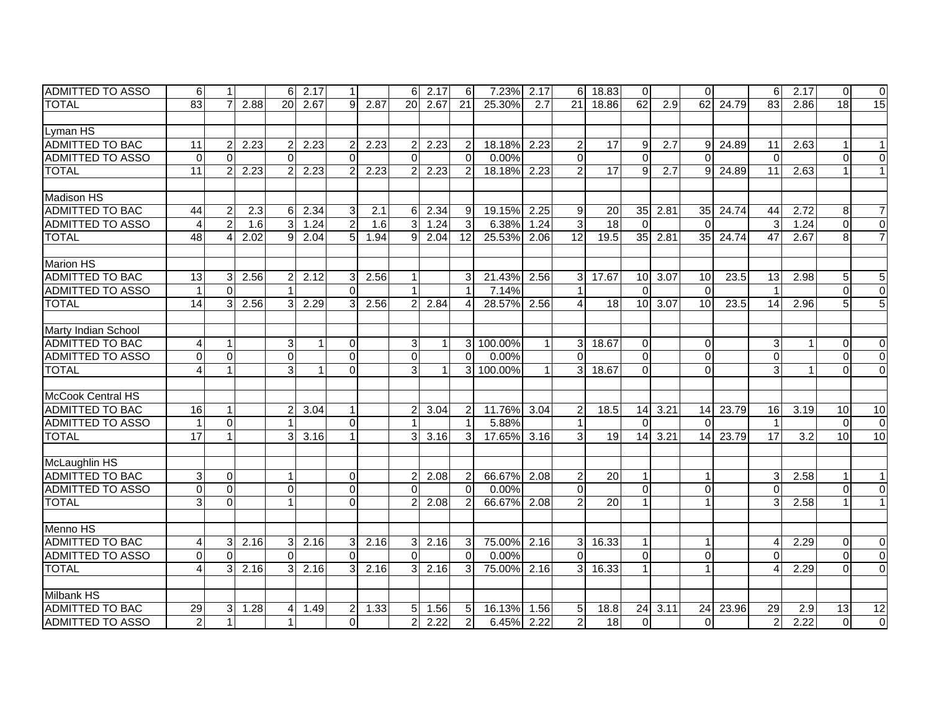| IADMITTED TO ASSO       | 6               | 11             |      | 6              | 2.17 | $\mathbf{1}$   |      | 6              | 2.17         | 6              | 7.23%   | 2.17         | $6 \mid$        | 18.83           | $\overline{0}$  |      | $\Omega$        |       | 6                       | 2.17 | $\Omega$ | $\overline{0}$  |
|-------------------------|-----------------|----------------|------|----------------|------|----------------|------|----------------|--------------|----------------|---------|--------------|-----------------|-----------------|-----------------|------|-----------------|-------|-------------------------|------|----------|-----------------|
| <b>TOTAL</b>            | 83              | $\overline{7}$ | 2.88 | 20             | 2.67 | $\mathfrak{g}$ | 2.87 | 20             | 2.67         | 21             | 25.30%  | 2.7          | 21              | 18.86           | 62              | 2.9  | 62              | 24.79 | 83                      | 2.86 | 18       | 15              |
|                         |                 |                |      |                |      |                |      |                |              |                |         |              |                 |                 |                 |      |                 |       |                         |      |          |                 |
| Lyman HS                |                 |                |      |                |      |                |      |                |              |                |         |              |                 |                 |                 |      |                 |       |                         |      |          |                 |
| <b>ADMITTED TO BAC</b>  | 11              | $\overline{2}$ | 2.23 | 2              | 2.23 | $\overline{2}$ | 2.23 | $\overline{2}$ | 2.23         | $\overline{2}$ | 18.18%  | 2.23         | $\overline{2}$  | 17              | 9               | 2.7  | 9               | 24.89 | 11                      | 2.63 |          | 1               |
| <b>ADMITTED TO ASSO</b> | $\mathbf 0$     | $\Omega$       |      | $\Omega$       |      | $\Omega$       |      | $\Omega$       |              | $\Omega$       | 0.00%   |              | $\Omega$        |                 | $\Omega$        |      | $\Omega$        |       | $\Omega$                |      | $\Omega$ | $\Omega$        |
| <b>TOTAL</b>            | 11              | $\overline{2}$ | 2.23 | 2              | 2.23 | $\overline{2}$ | 2.23 | $\overline{2}$ | 2.23         | $\overline{2}$ | 18.18%  | 2.23         | $\overline{2}$  | 17              | $\overline{9}$  | 2.7  | 9 <sup>1</sup>  | 24.89 | 11                      | 2.63 |          | $\mathbf{1}$    |
|                         |                 |                |      |                |      |                |      |                |              |                |         |              |                 |                 |                 |      |                 |       |                         |      |          |                 |
| <b>Madison HS</b>       |                 |                |      |                |      |                |      |                |              |                |         |              |                 |                 |                 |      |                 |       |                         |      |          |                 |
| <b>ADMITTED TO BAC</b>  | 44              | $\overline{2}$ | 2.3  | 6              | 2.34 | 3              | 2.1  | 61             | 2.34         | 9              | 19.15%  | 2.25         | 9               | 20              | 35 <sub>1</sub> | 2.81 | 35              | 24.74 | 44                      | 2.72 | 8        | 7               |
| <b>ADMITTED TO ASSO</b> | 4               | $\overline{2}$ | 1.6  | 3              | 1.24 | $\overline{a}$ | 1.6  | $\overline{3}$ | 1.24         | $\mathbf{3}$   | 6.38%   | 1.24         | ω               | $\overline{18}$ | $\Omega$        |      | $\Omega$        |       | 3                       | 1.24 | $\Omega$ | $\Omega$        |
| <b>TOTAL</b>            | 48              | 4              | 2.02 | 9              | 2.04 | 5              | 1.94 | 9              | 2.04         | 12             | 25.53%  | 2.06         | 12              | 19.5            | 35              | 2.81 | 35 <sub>1</sub> | 24.74 | 47                      | 2.67 | 8        | $\overline{7}$  |
|                         |                 |                |      |                |      |                |      |                |              |                |         |              |                 |                 |                 |      |                 |       |                         |      |          |                 |
| <b>Marion HS</b>        |                 |                |      |                |      |                |      |                |              |                |         |              |                 |                 |                 |      |                 |       |                         |      |          |                 |
| <b>ADMITTED TO BAC</b>  | 13              | 3              | 2.56 | 2              | 2.12 | 3              | 2.56 |                |              | 3              | 21.43%  | 2.56         | 3               | 17.67           | 10 <sup>1</sup> | 3.07 | 10              | 23.5  | 13                      | 2.98 | 5        | 5               |
| <b>ADMITTED TO ASSO</b> |                 | $\Omega$       |      |                |      | $\Omega$       |      |                |              | 1              | 7.14%   |              | $\mathbf{1}$    |                 | $\Omega$        |      | $\mathbf{0}$    |       |                         |      | $\Omega$ | $\mathbf 0$     |
| <b>TOTAL</b>            | $\overline{14}$ | $\mathbf{3}$   | 2.56 | 3              | 2.29 | 3              | 2.56 |                | 2.84         | $\overline{4}$ | 28.57%  | 2.56         | 4               | 18              | 10 <sup>1</sup> | 3.07 | 10              | 23.5  | 14                      | 2.96 |          | 5               |
|                         |                 |                |      |                |      |                |      |                |              |                |         |              |                 |                 |                 |      |                 |       |                         |      |          |                 |
| Marty Indian School     |                 |                |      |                |      |                |      |                |              |                |         |              |                 |                 |                 |      |                 |       |                         |      |          |                 |
| ADMITTED TO BAC         | 4               | $\mathbf{1}$   |      | 3              |      | $\Omega$       |      | 3              | $\mathbf{1}$ | $\overline{3}$ | 100.00% | $\mathbf{1}$ | $\overline{3}$  | 18.67           | $\Omega$        |      | $\Omega$        |       | 3                       |      | $\Omega$ | $\Omega$        |
| ADMITTED TO ASSO        | 0               | $\Omega$       |      | $\Omega$       |      | $\Omega$       |      | $\Omega$       |              | $\Omega$       | 0.00%   |              | $\Omega$        |                 | $\Omega$        |      | $\Omega$        |       | $\Omega$                |      | $\Omega$ | $\Omega$        |
| <b>TOTAL</b>            |                 | $\mathbf{1}$   |      | 3              |      | $\Omega$       |      | $\overline{3}$ | 1            | 3              | 100.00% | 1            | 3               | 18.67           | $\Omega$        |      | $\Omega$        |       | 3                       |      | $\Omega$ | $\Omega$        |
|                         |                 |                |      |                |      |                |      |                |              |                |         |              |                 |                 |                 |      |                 |       |                         |      |          |                 |
| McCook Central HS       |                 |                |      |                |      |                |      |                |              |                |         |              |                 |                 |                 |      |                 |       |                         |      |          |                 |
| <b>ADMITTED TO BAC</b>  | 16              | $\mathbf{1}$   |      | $\overline{2}$ | 3.04 | $\mathbf{1}$   |      | $\mathcal{P}$  | 3.04         | $\overline{2}$ | 11.76%  | 3.04         | $\overline{c}$  | 18.5            | 14              | 3.21 | 14              | 23.79 | 16                      | 3.19 | 10       | 10              |
| <b>ADMITTED TO ASSO</b> |                 | $\overline{0}$ |      |                |      | $\mathbf 0$    |      |                |              |                | 5.88%   |              | $\mathbf{1}$    |                 | $\Omega$        |      | $\Omega$        |       | $\overline{\mathbf{1}}$ |      | $\Omega$ | $\mathbf 0$     |
| <b>TOTAL</b>            | 17              | $\mathbf{1}$   |      | 3              | 3.16 |                |      | 3              | 3.16         | 3              | 17.65%  | 3.16         | 3               | 19              | 14              | 3.21 | 14              | 23.79 | $\overline{17}$         | 3.2  | 10       | 10              |
|                         |                 |                |      |                |      |                |      |                |              |                |         |              |                 |                 |                 |      |                 |       |                         |      |          |                 |
| McLaughlin HS           |                 |                |      |                |      |                |      |                |              |                |         |              |                 |                 |                 |      |                 |       |                         |      |          |                 |
| ADMITTED TO BAC         | 3               | $\Omega$       |      | $\mathbf{1}$   |      | $\Omega$       |      | $\mathcal{P}$  | 2.08         | $\overline{2}$ | 66.67%  | 2.08         | $\overline{2}$  | 20              | $\mathbf{1}$    |      | $\overline{1}$  |       | 3                       | 2.58 |          | $\mathbf{1}$    |
| <b>ADMITTED TO ASSO</b> | $\Omega$        | $\Omega$       |      | $\Omega$       |      | $\Omega$       |      | $\Omega$       |              | $\Omega$       | 0.00%   |              | $\Omega$        |                 | $\Omega$        |      | $\Omega$        |       | $\Omega$                |      | $\Omega$ | $\Omega$        |
| <b>TOTAL</b>            | 3               | $\Omega$       |      | 1              |      | $\Omega$       |      | $\overline{2}$ | 2.08         | $\overline{2}$ | 66.67%  | 2.08         | 2               | 20              | $\mathbf{1}$    |      | $\mathbf 1$     |       | 3                       | 2.58 |          | $\mathbf{1}$    |
|                         |                 |                |      |                |      |                |      |                |              |                |         |              |                 |                 |                 |      |                 |       |                         |      |          |                 |
| Menno HS                |                 |                |      |                |      |                |      |                |              |                |         |              |                 |                 |                 |      |                 |       |                         |      |          |                 |
| <b>ADMITTED TO BAC</b>  | 4               | 3 <sup>1</sup> | 2.16 | 3              | 2.16 | $\mathbf{3}$   | 2.16 | 3 <sup>1</sup> | 2.16         | $\mathbf{3}$   | 75.00%  | 2.16         | 3 <sup>1</sup>  | 16.33           | $\mathbf{1}$    |      | $\overline{1}$  |       | Δ                       | 2.29 | $\Omega$ | $\mathbf 0$     |
| <b>ADMITTED TO ASSO</b> | $\Omega$        | $\Omega$       |      | $\Omega$       |      | $\Omega$       |      | $\Omega$       |              | $\Omega$       | 0.00%   |              | $\Omega$        |                 | $\Omega$        |      | $\Omega$        |       | $\Omega$                |      | $\Omega$ | $\mathbf 0$     |
| <b>TOTAL</b>            | 4               | 3 <sup>1</sup> | 2.16 | 3              | 2.16 | 3              | 2.16 | 3 <sup>1</sup> | 2.16         | 3              | 75.00%  | 2.16         | 3 <sup>1</sup>  | 16.33           | $\mathbf{1}$    |      | $\mathbf{1}$    |       | $\Lambda$               | 2.29 | $\Omega$ | $\Omega$        |
|                         |                 |                |      |                |      |                |      |                |              |                |         |              |                 |                 |                 |      |                 |       |                         |      |          |                 |
| <b>Milbank HS</b>       |                 |                |      |                |      |                |      |                |              |                |         |              |                 |                 |                 |      |                 |       |                         |      |          |                 |
| <b>ADMITTED TO BAC</b>  | 29              | 3 <sup>1</sup> | 1.28 | 4              | 1.49 | $2 \vert$      | 1.33 |                | $5 \, 1.56$  | 5              | 16.13%  | 1.56         | $5\phantom{.0}$ | 18.8            | 24              | 3.11 | 24              | 23.96 | 29                      | 2.9  | 13       | $\overline{12}$ |
| ADMITTED TO ASSO        | $\overline{2}$  | $\mathbf{1}$   |      |                |      | $\Omega$       |      | $\overline{2}$ | 2.22         | $\overline{2}$ | 6.45%   | 2.22         | $\overline{2}$  | 18              | $\Omega$        |      | $\Omega$        |       | $\overline{2}$          | 2.22 | $\Omega$ | $\overline{0}$  |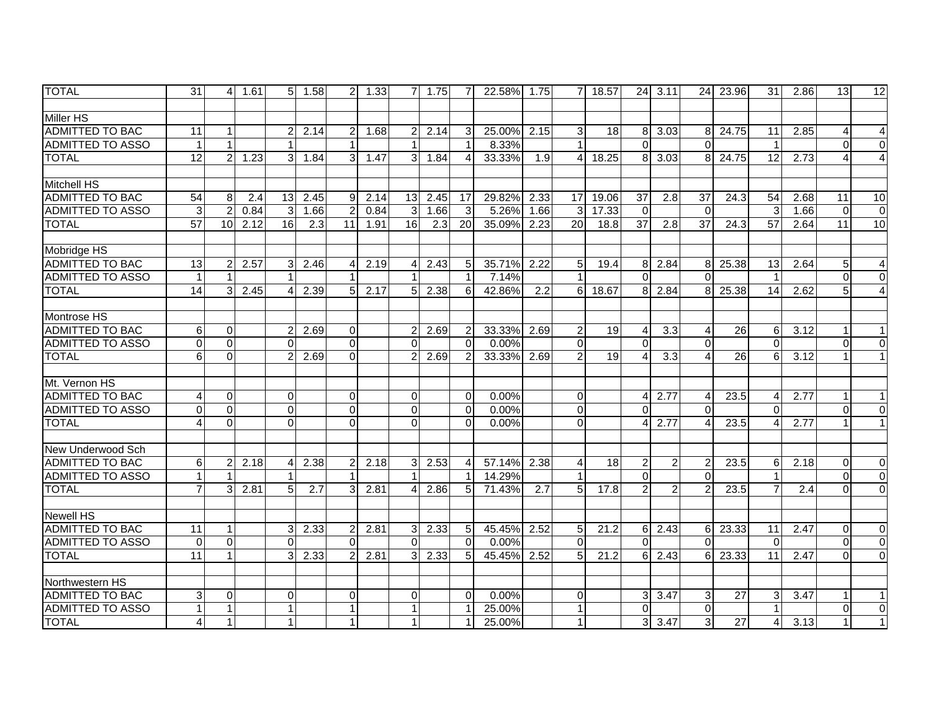| <b>TOTAL</b>            | 31              | 4              | 1.61 | 5 <sup>1</sup> | 1.58 | $\overline{2}$ | 1.33 | $\overline{7}$ | 1.75             | 7                      | 22.58% | 1.75 | 7              | 18.57           | 24              | 3.11             | 24                     | 23.96             | 31                      | 2.86 | 13 <sup>1</sup> | 12             |
|-------------------------|-----------------|----------------|------|----------------|------|----------------|------|----------------|------------------|------------------------|--------|------|----------------|-----------------|-----------------|------------------|------------------------|-------------------|-------------------------|------|-----------------|----------------|
|                         |                 |                |      |                |      |                |      |                |                  |                        |        |      |                |                 |                 |                  |                        |                   |                         |      |                 |                |
| <b>Miller HS</b>        |                 |                |      |                |      |                |      |                |                  |                        |        |      |                |                 |                 |                  |                        |                   |                         |      |                 |                |
| <b>ADMITTED TO BAC</b>  | 11              | $\mathbf 1$    |      | $\overline{2}$ | 2.14 | $\overline{2}$ | 1.68 | $\overline{2}$ | 2.14             | 3                      | 25.00% | 2.15 | 3              | 18              | 8 <sup>1</sup>  | 3.03             | 8                      | 24.75             | 11                      | 2.85 | 4               | 4              |
| <b>ADMITTED TO ASSO</b> | $\mathbf{1}$    | $\mathbf{1}$   |      |                |      |                |      |                |                  | $\overline{1}$         | 8.33%  |      |                |                 | $\Omega$        |                  | $\Omega$               |                   | $\overline{\mathbf{1}}$ |      | $\Omega$        | $\mathbf 0$    |
| <b>TOTAL</b>            | $\overline{12}$ | $\overline{c}$ | 1.23 | 3              | 1.84 | $\overline{3}$ | 1.47 | 3              | 1.84             | $\boldsymbol{\Lambda}$ | 33.33% | 1.9  | $\overline{4}$ | 18.25           | 8               | 3.03             | 8                      | 24.75             | 12                      | 2.73 |                 | $\overline{4}$ |
|                         |                 |                |      |                |      |                |      |                |                  |                        |        |      |                |                 |                 |                  |                        |                   |                         |      |                 |                |
| <b>Mitchell HS</b>      |                 |                |      |                |      |                |      |                |                  |                        |        |      |                |                 |                 |                  |                        |                   |                         |      |                 |                |
| <b>ADMITTED TO BAC</b>  | $\overline{54}$ | 8              | 2.4  | 13             | 2.45 | 9 <sup>1</sup> | 2.14 | 13             | 2.45             | 17                     | 29.82% | 2.33 | 17             | 19.06           | $\overline{37}$ | 2.8              | $\overline{37}$        | 24.3              | $\overline{54}$         | 2.68 | $\overline{11}$ | 10             |
| <b>ADMITTED TO ASSO</b> | $\mathbf{3}$    | $\overline{c}$ | 0.84 | 3              | 1.66 | $\overline{2}$ | 0.84 | 3              | 1.66             | 3                      | 5.26%  | 1.66 | $\overline{3}$ | 17.33           | $\mathbf 0$     |                  | $\overline{0}$         |                   | 3                       | 1.66 | $\overline{0}$  | $\mathbf 0$    |
| <b>TOTAL</b>            | $\overline{57}$ | 10             | 2.12 | 16             | 2.3  | 11             | 1.91 | 16             | $\overline{2.3}$ | 20                     | 35.09% | 2.23 | 20             | 18.8            | $\overline{37}$ | 2.8              | $\overline{37}$        | $\overline{24.3}$ | $\overline{57}$         | 2.64 | $\overline{11}$ | 10             |
|                         |                 |                |      |                |      |                |      |                |                  |                        |        |      |                |                 |                 |                  |                        |                   |                         |      |                 |                |
| Mobridge HS             |                 |                |      |                |      |                |      |                |                  |                        |        |      |                |                 |                 |                  |                        |                   |                         |      |                 |                |
| <b>ADMITTED TO BAC</b>  | 13              | 2              | 2.57 | 3              | 2.46 | $\overline{4}$ | 2.19 | 4              | 2.43             | 5                      | 35.71% | 2.22 | 5              | 19.4            | 8 <sup>1</sup>  | 2.84             | 8                      | 25.38             | $\overline{13}$         | 2.64 | 5               | 4              |
| <b>ADMITTED TO ASSO</b> | $\mathbf{1}$    | 1              |      |                |      |                |      |                |                  | $\overline{1}$         | 7.14%  |      |                |                 | $\Omega$        |                  | $\Omega$               |                   | $\overline{\mathbf{1}}$ |      | $\Omega$        | $\Omega$       |
| <b>TOTAL</b>            | $\overline{14}$ | 3              | 2.45 | 4              | 2.39 | 5 <sup>1</sup> | 2.17 | 5 <sup>1</sup> | 2.38             | 6                      | 42.86% | 2.2  | 6              | 18.67           | 8 <sup>1</sup>  | 2.84             | 8                      | 25.38             | 14                      | 2.62 | 5               | 4              |
|                         |                 |                |      |                |      |                |      |                |                  |                        |        |      |                |                 |                 |                  |                        |                   |                         |      |                 |                |
| Montrose HS             |                 |                |      |                |      |                |      |                |                  |                        |        |      |                |                 |                 |                  |                        |                   |                         |      |                 |                |
| <b>ADMITTED TO BAC</b>  | 6               | $\mathbf 0$    |      | $\mathcal{P}$  | 2.69 | $\Omega$       |      | $\mathcal{P}$  | 2.69             | $\overline{2}$         | 33.33% | 2.69 | $\overline{2}$ | 19              | $\overline{4}$  | 3.3              | $\overline{4}$         | 26                | 6                       | 3.12 | $\mathbf{1}$    |                |
| <b>ADMITTED TO ASSO</b> | $\Omega$        | $\Omega$       |      | $\Omega$       |      | $\overline{0}$ |      | $\Omega$       |                  | $\Omega$               | 0.00%  |      | $\Omega$       |                 | $\Omega$        |                  | $\Omega$               |                   | $\Omega$                |      | $\Omega$        | $\Omega$       |
| <b>TOTAL</b>            | 6               | 0              |      |                | 2.69 | $\Omega$       |      |                | 2.69             | $\overline{2}$         | 33.33% | 2.69 | $\overline{2}$ | $\overline{19}$ | 4               | $\overline{3.3}$ | $\overline{4}$         | 26                | 6                       | 3.12 |                 |                |
|                         |                 |                |      |                |      |                |      |                |                  |                        |        |      |                |                 |                 |                  |                        |                   |                         |      |                 |                |
| Mt. Vernon HS           |                 |                |      |                |      |                |      |                |                  |                        |        |      |                |                 |                 |                  |                        |                   |                         |      |                 |                |
| <b>ADMITTED TO BAC</b>  |                 | $\mathbf 0$    |      | $\Omega$       |      | $\overline{0}$ |      | $\Omega$       |                  | 0                      | 0.00%  |      | $\mathbf 0$    |                 | $\overline{4}$  | 2.77             | $\overline{4}$         | 23.5              | 4                       | 2.77 |                 |                |
| <b>ADMITTED TO ASSO</b> | $\Omega$        | $\Omega$       |      | $\Omega$       |      | $\Omega$       |      | $\Omega$       |                  | $\Omega$               | 0.00%  |      | $\Omega$       |                 | $\Omega$        |                  | $\Omega$               |                   | $\Omega$                |      | $\Omega$        | $\Omega$       |
| <b>TOTAL</b>            | 4               | $\Omega$       |      | $\Omega$       |      | $\Omega$       |      | $\Omega$       |                  | $\Omega$               | 0.00%  |      | $\Omega$       |                 | 4               | 2.77             | $\boldsymbol{\Lambda}$ | 23.5              | 4                       | 2.77 | 1               |                |
|                         |                 |                |      |                |      |                |      |                |                  |                        |        |      |                |                 |                 |                  |                        |                   |                         |      |                 |                |
| New Underwood Sch       |                 |                |      |                |      |                |      |                |                  |                        |        |      |                |                 |                 |                  |                        |                   |                         |      |                 |                |
| <b>ADMITTED TO BAC</b>  | 6               | 2              | 2.18 | 4              | 2.38 | 2 <sub>l</sub> | 2.18 | 3              | 2.53             | 4                      | 57.14% | 2.38 | 4              | 18              | $\overline{c}$  | $\overline{2}$   | $\overline{2}$         | 23.5              | 6                       | 2.18 | $\Omega$        | 0              |
| <b>ADMITTED TO ASSO</b> | $\mathbf{1}$    |                |      |                |      |                |      |                |                  | $\overline{1}$         | 14.29% |      |                |                 | $\mathbf 0$     |                  | $\Omega$               |                   | $\overline{\mathbf{1}}$ |      | $\Omega$        | $\overline{0}$ |
| <b>TOTAL</b>            | $\overline{7}$  | $\mathbf{3}$   | 2.81 | 5 <sub>l</sub> | 2.7  | $\overline{3}$ | 2.81 | Δ              | 2.86             | 5                      | 71.43% | 2.7  | 5              | 17.8            | $\overline{2}$  | $\mathfrak{p}$   | $\overline{2}$         | 23.5              | $\overline{7}$          | 2.4  | $\Omega$        | $\Omega$       |
|                         |                 |                |      |                |      |                |      |                |                  |                        |        |      |                |                 |                 |                  |                        |                   |                         |      |                 |                |
| <b>Newell HS</b>        |                 |                |      |                |      |                |      |                |                  |                        |        |      |                |                 |                 |                  |                        |                   |                         |      |                 |                |
| <b>ADMITTED TO BAC</b>  | 11              | $\mathbf{1}$   |      | 3              | 2.33 | $\mathbf{2}$   | 2.81 | 3              | 2.33             | 5                      | 45.45% | 2.52 | 5              | 21.2            | $6 \mid$        | 2.43             | 6                      | 23.33             | 11                      | 2.47 | $\Omega$        | $\mathbf 0$    |
| <b>ADMITTED TO ASSO</b> | $\Omega$        | $\Omega$       |      | $\Omega$       |      | $\Omega$       |      | $\Omega$       |                  | $\Omega$               | 0.00%  |      | $\Omega$       |                 | $\Omega$        |                  | $\Omega$               |                   | $\Omega$                |      | $\Omega$        | $\overline{0}$ |
| <b>TOTAL</b>            | $\overline{11}$ | $\mathbf{1}$   |      | 3              | 2.33 | $\mathcal{P}$  | 2.81 | 3              | 2.33             | 5                      | 45.45% | 2.52 | 5              | 21.2            | 6               | 2.43             | 6                      | 23.33             | $\overline{11}$         | 2.47 | $\Omega$        | $\Omega$       |
|                         |                 |                |      |                |      |                |      |                |                  |                        |        |      |                |                 |                 |                  |                        |                   |                         |      |                 |                |
| Northwestern HS         |                 |                |      |                |      |                |      |                |                  |                        |        |      |                |                 |                 |                  |                        |                   |                         |      |                 |                |
| <b>ADMITTED TO BAC</b>  | 3               | $\mathbf 0$    |      | $\Omega$       |      | $\Omega$       |      | $\Omega$       |                  | $\Omega$               | 0.00%  |      | $\mathbf 0$    |                 |                 | $3 \mid 3.47$    | 3                      | 27                | 3                       | 3.47 |                 |                |
| <b>ADMITTED TO ASSO</b> | 1               | 1              |      |                |      | $\mathbf{1}$   |      |                |                  |                        | 25.00% |      | $\mathbf{1}$   |                 | $\mathbf 0$     |                  | $\overline{0}$         |                   | $\overline{1}$          |      | $\Omega$        | $\Omega$       |
| <b>TOTAL</b>            | 4               | 1              |      |                |      | $\mathbf{1}$   |      |                |                  |                        | 25.00% |      |                |                 | 3               | 3.47             | 3                      | $\overline{27}$   | 4                       | 3.13 |                 |                |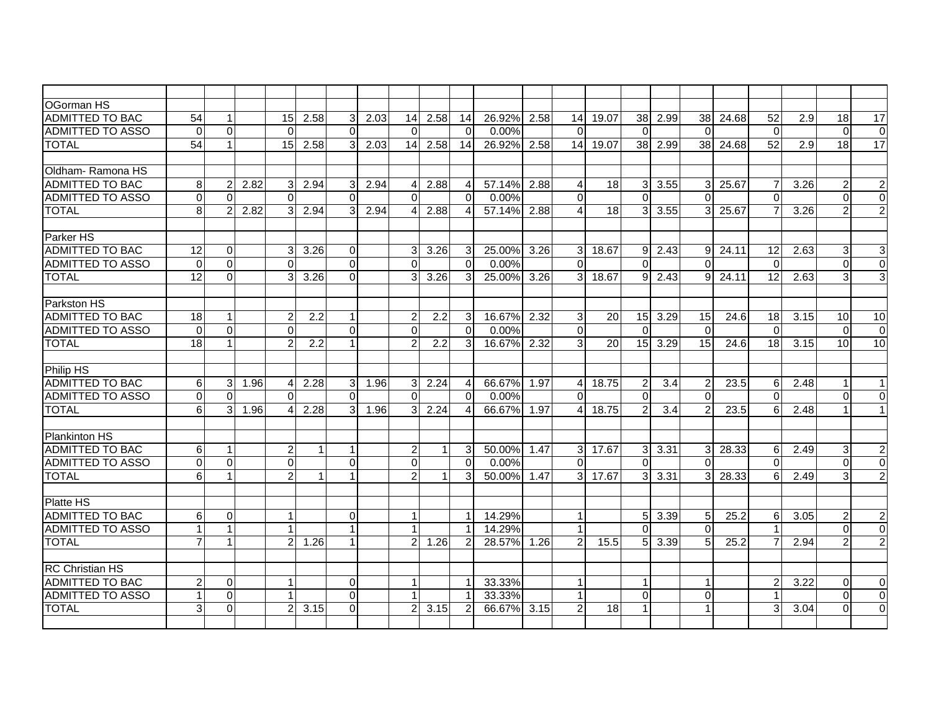| OGorman HS              |                 |                |      |                |              |                |      |                |      |                |          |      |                |       |                |               |                 |                |                 |                  |          |                 |
|-------------------------|-----------------|----------------|------|----------------|--------------|----------------|------|----------------|------|----------------|----------|------|----------------|-------|----------------|---------------|-----------------|----------------|-----------------|------------------|----------|-----------------|
| <b>ADMITTED TO BAC</b>  | 54              | $\mathbf{1}$   |      | 15             | 2.58         | 3 <sup>1</sup> | 2.03 | 14             | 2.58 | 14             | 26.92%   | 2.58 | 14             | 19.07 | 38             | 2.99          | 38              | 24.68          | $\overline{52}$ | $\overline{2.9}$ | 18       | $\overline{17}$ |
| ADMITTED TO ASSO        | $\Omega$        | $\Omega$       |      | $\Omega$       |              | $\Omega$       |      | $\Omega$       |      | $\Omega$       | 0.00%    |      | $\Omega$       |       | $\mathbf{0}$   |               | $\Omega$        |                | $\overline{0}$  |                  | $\Omega$ | $\mathbf 0$     |
| <b>TOTAL</b>            | $\overline{54}$ | $\mathbf{1}$   |      | 15             | 2.58         | 3 <sup>1</sup> | 2.03 | 14             | 2.58 | 14             | 26.92%   | 2.58 | 14             | 19.07 |                | 38 2.99       | 38              | 24.68          | 52              | 2.9              | 18       | $\overline{17}$ |
|                         |                 |                |      |                |              |                |      |                |      |                |          |      |                |       |                |               |                 |                |                 |                  |          |                 |
| lOldham- Ramona HS      |                 |                |      |                |              |                |      |                |      |                |          |      |                |       |                |               |                 |                |                 |                  |          |                 |
| <b>ADMITTED TO BAC</b>  | 8 <sup>1</sup>  | $\overline{2}$ | 2.82 | 3              | 2.94         | 3              | 2.94 | 4              | 2.88 | 4              | 57.14%   | 2.88 | 4              | 18    |                | $3 \mid 3.55$ |                 | $3 \mid 25.67$ | 7               | 3.26             | 2        | $\overline{c}$  |
| <b>ADMITTED TO ASSO</b> | $\Omega$        | $\overline{0}$ |      | $\Omega$       |              | $\Omega$       |      | $\Omega$       |      | $\Omega$       | 0.00%    |      | $\Omega$       |       | $\Omega$       |               | $\Omega$        |                | $\Omega$        |                  | $\Omega$ | $\overline{0}$  |
| <b>TOTAL</b>            | 8 <sup>1</sup>  | $\overline{2}$ | 2.82 | 3              | 2.94         | $\overline{3}$ | 2.94 |                | 2.88 | 4              | 57.14%   | 2.88 | 4              | 18    | 3 <sup>1</sup> | 3.55          | $\overline{3}$  | 25.67          |                 | 3.26             | 2        | $\overline{2}$  |
|                         |                 |                |      |                |              |                |      |                |      |                |          |      |                |       |                |               |                 |                |                 |                  |          |                 |
| Parker HS               |                 |                |      |                |              |                |      |                |      |                |          |      |                |       |                |               |                 |                |                 |                  |          |                 |
| ADMITTED TO BAC         | $\overline{12}$ | $\mathbf{0}$   |      |                | 3.26         | $\Omega$       |      |                | 3.26 | 3              | 25.00%   | 3.26 | 3              | 18.67 | 9              | 2.43          | 9               | 24.11          | 12              | 2.63             | 3        | 3               |
| <b>ADMITTED TO ASSO</b> | $\Omega$        | $\Omega$       |      | $\Omega$       |              | $\Omega$       |      | $\Omega$       |      | $\Omega$       | 0.00%    |      | $\Omega$       |       | $\Omega$       |               | $\Omega$        |                | $\Omega$        |                  | $\Omega$ | $\mathbf 0$     |
| <b>TOTAL</b>            | $\overline{12}$ | $\Omega$       |      | 3              | 3.26         | $\Omega$       |      |                | 3.26 | 3              | 25.00%   | 3.26 | $\overline{3}$ | 18.67 | 9              | 2.43          | 9               | 24.11          | 12              | 2.63             | 3        | 3               |
|                         |                 |                |      |                |              |                |      |                |      |                |          |      |                |       |                |               |                 |                |                 |                  |          |                 |
| Parkston HS             |                 |                |      |                |              |                |      |                |      |                |          |      |                |       |                |               |                 |                |                 |                  |          |                 |
| <b>ADMITTED TO BAC</b>  | 18              | 1              |      | $\overline{c}$ | 2.2          | $\mathbf{1}$   |      | $\overline{c}$ | 2.2  | 3              | 16.67%   | 2.32 | 3              | 20    |                | 15 3.29       | 15              | 24.6           | 18              | 3.15             | 10       | 10              |
| <b>ADMITTED TO ASSO</b> | $\Omega$        | $\Omega$       |      | $\Omega$       |              | $\Omega$       |      | $\Omega$       |      | $\Omega$       | 0.00%    |      | $\Omega$       |       | $\Omega$       |               | $\Omega$        |                | $\Omega$        |                  | $\Omega$ | $\overline{0}$  |
| <b>TOTAL</b>            | 18              | $\mathbf{1}$   |      |                | 2.2          | 1              |      | 2              | 2.2  | 3              | 16.67%   | 2.32 | 3              | 20    |                | $15$ 3.29     | 15 <sup>1</sup> | 24.6           | 18 <sup>1</sup> | 3.15             | 10       | 10              |
|                         |                 |                |      |                |              |                |      |                |      |                |          |      |                |       |                |               |                 |                |                 |                  |          |                 |
| <b>Philip HS</b>        |                 |                |      |                |              |                |      |                |      |                |          |      |                |       |                |               |                 |                |                 |                  |          |                 |
| <b>ADMITTED TO BAC</b>  | $6 \mid$        | 3              | 1.96 | 4              | 2.28         | 3 <sup>1</sup> | 1.96 | 3              | 2.24 | $\overline{4}$ | 66.67%   | 1.97 | $\overline{4}$ | 18.75 | $\overline{2}$ | 3.4           | $\overline{2}$  | 23.5           | 6               | 2.48             |          | 1               |
| <b>ADMITTED TO ASSO</b> | $\Omega$        | $\Omega$       |      | $\Omega$       |              | $\Omega$       |      | $\Omega$       |      | $\Omega$       | 0.00%    |      | $\Omega$       |       | $\Omega$       |               | $\Omega$        |                | $\Omega$        |                  | $\Omega$ | $\mathbf 0$     |
| <b>TOTAL</b>            | 6 <sup>1</sup>  | 3              | 1.96 | 4              | 2.28         | $\overline{3}$ | 1.96 | 3              | 2.24 | $\overline{4}$ | 66.67%   | 1.97 | $\overline{4}$ | 18.75 | $\overline{2}$ | 3.4           | $\overline{2}$  | 23.5           | 6               | 2.48             |          | 1 <sup>1</sup>  |
|                         |                 |                |      |                |              |                |      |                |      |                |          |      |                |       |                |               |                 |                |                 |                  |          |                 |
| <b>Plankinton HS</b>    |                 |                |      |                |              |                |      |                |      |                |          |      |                |       |                |               |                 |                |                 |                  |          |                 |
| <b>ADMITTED TO BAC</b>  | $6 \mid$        | $\mathbf 1$    |      | $\overline{2}$ | $\mathbf{1}$ | 1              |      | $\overline{2}$ | 1    | 3              | 50.00%   | 1.47 | 3 <sup>1</sup> | 17.67 |                | 3 3.31        | 3 <sup>1</sup>  | 28.33          | 6               | 2.49             | 3        | $\overline{c}$  |
| <b>ADMITTED TO ASSO</b> | $\Omega$        | $\Omega$       |      | $\Omega$       |              | $\Omega$       |      | $\Omega$       |      | $\Omega$       | $0.00\%$ |      | $\Omega$       |       | $\Omega$       |               | $\Omega$        |                | $\Omega$        |                  | $\Omega$ | $\overline{0}$  |
| <b>TOTAL</b>            | 6 <sup>1</sup>  | $\mathbf{1}$   |      | $\overline{2}$ | 1            |                |      | $\mathfrak{p}$ | 1    | 3              | 50.00%   | 1.47 | 3 <sup>1</sup> | 17.67 | 3 <sup>1</sup> | 3.31          | $\mathbf{3}$    | 28.33          | 6               | 2.49             | 3        | $\overline{2}$  |
|                         |                 |                |      |                |              |                |      |                |      |                |          |      |                |       |                |               |                 |                |                 |                  |          |                 |
| Platte HS               |                 |                |      |                |              |                |      |                |      |                |          |      |                |       |                |               |                 |                |                 |                  |          |                 |
| <b>ADMITTED TO BAC</b>  | 6               | $\Omega$       |      |                |              | $\Omega$       |      |                |      | $\mathbf 1$    | 14.29%   |      | $\mathbf 1$    |       | 51             | 3.39          | $5\overline{)}$ | 25.2           | 6               | 3.05             | 2        | $\mathbf{2}$    |
| <b>ADMITTED TO ASSO</b> | $\mathbf{1}$    | $\mathbf{1}$   |      |                |              | $\mathbf{1}$   |      |                |      | $\mathbf 1$    | 14.29%   |      | $\mathbf{1}$   |       | $\Omega$       |               | $\Omega$        |                |                 |                  | $\Omega$ | $\overline{0}$  |
| <b>TOTAL</b>            | $\overline{7}$  | $\mathbf{1}$   |      | $\overline{c}$ | 1.26         | $\mathbf{1}$   |      | $\mathcal{P}$  | 1.26 | $\overline{2}$ | 28.57%   | 1.26 | $\overline{2}$ | 15.5  | 51             | 3.39          | $5\overline{)}$ | 25.2           |                 | 2.94             |          | $\overline{2}$  |
|                         |                 |                |      |                |              |                |      |                |      |                |          |      |                |       |                |               |                 |                |                 |                  |          |                 |
| <b>RC</b> Christian HS  |                 |                |      |                |              |                |      |                |      |                |          |      |                |       |                |               |                 |                |                 |                  |          |                 |
| <b>ADMITTED TO BAC</b>  | $\overline{2}$  | 0              |      |                |              | $\overline{0}$ |      |                |      | 1              | 33.33%   |      | $\mathbf{1}$   |       | $\mathbf{1}$   |               | -1              |                |                 | 3.22             | $\Omega$ | 0               |
| <b>ADMITTED TO ASSO</b> |                 | 0              |      |                |              | $\Omega$       |      |                |      |                | 33.33%   |      |                |       | $\Omega$       |               | $\Omega$        |                |                 |                  | 0        | $\Omega$        |
| <b>TOTAL</b>            | $\overline{3}$  | $\Omega$       |      | 2              | 3.15         | $\Omega$       |      |                | 3.15 | 2              | 66.67%   | 3.15 | 2              | 18    | 1              |               |                 |                | 3               | 3.04             | $\Omega$ | $\Omega$        |
|                         |                 |                |      |                |              |                |      |                |      |                |          |      |                |       |                |               |                 |                |                 |                  |          |                 |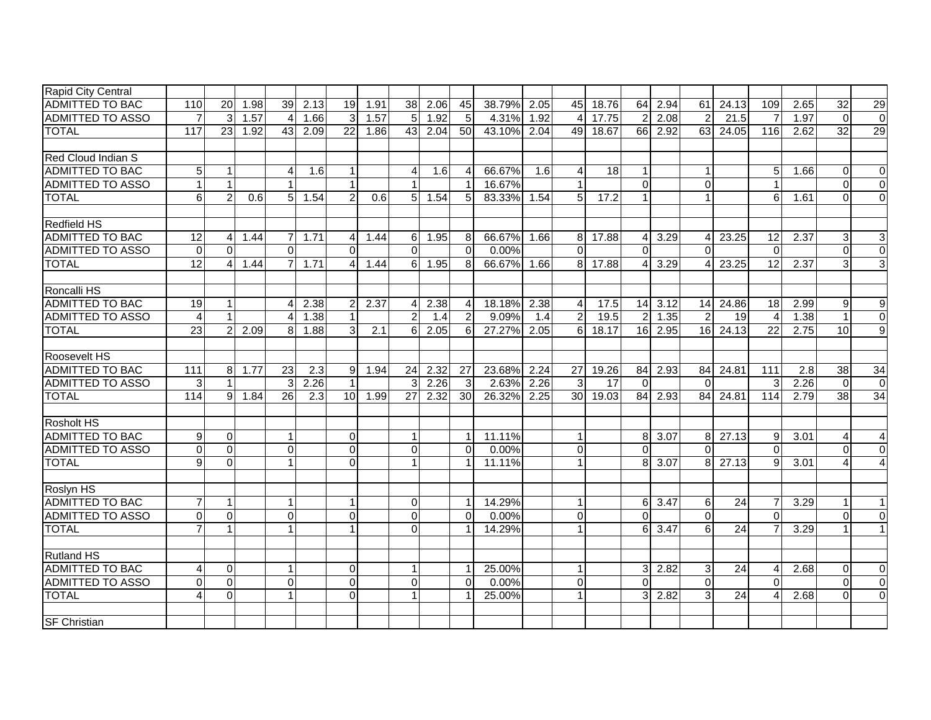| Rapid City Central        |                 |                |      |                |                  |                      |      |                 |      |                |        |      |                 |                 |                |                      |                        |                 |                          |      |          |                  |
|---------------------------|-----------------|----------------|------|----------------|------------------|----------------------|------|-----------------|------|----------------|--------|------|-----------------|-----------------|----------------|----------------------|------------------------|-----------------|--------------------------|------|----------|------------------|
| <b>ADMITTED TO BAC</b>    | 110             | 20             | 1.98 | 39             | 2.13             | 19                   | 1.91 | 38              | 2.06 | 45             | 38.79% | 2.05 | 45              | 18.76           | 64             | 2.94                 | 61                     | 24.13           | 109                      | 2.65 | 32       | 29               |
| <b>ADMITTED TO ASSO</b>   | $\overline{7}$  | $\overline{3}$ | 1.57 | $\overline{4}$ | 1.66             | $\overline{3}$       | 1.57 | 5               | 1.92 | 5              | 4.31%  | 1.92 | $\overline{4}$  | 17.75           | 2              | 2.08                 | $\overline{2}$         | 21.5            | -7                       | 1.97 | $\Omega$ | $\overline{0}$   |
| <b>TOTAL</b>              | 117             | 23             | 1.92 | 43             | 2.09             | 22                   | 1.86 | 43              | 2.04 | 50             | 43.10% | 2.04 | 49              | 18.67           |                | 66 2.92              | 63                     | 24.05           | 116                      | 2.62 | 32       | 29               |
|                           |                 |                |      |                |                  |                      |      |                 |      |                |        |      |                 |                 |                |                      |                        |                 |                          |      |          |                  |
| <b>Red Cloud Indian S</b> |                 |                |      |                |                  |                      |      |                 |      |                |        |      |                 |                 |                |                      |                        |                 |                          |      |          |                  |
| <b>ADMITTED TO BAC</b>    | 5 <sub>1</sub>  | 1              |      | 4              | 1.6              | $\mathbf{1}$         |      |                 | 1.6  | $\overline{4}$ | 66.67% | 1.6  | 4               | 18              | $\mathbf{1}$   |                      | -1                     |                 | 5                        | 1.66 | $\Omega$ | 0                |
| <b>ADMITTED TO ASSO</b>   |                 | $\mathbf{1}$   |      |                |                  | $\blacktriangleleft$ |      |                 |      | $\overline{1}$ | 16.67% |      | $\overline{1}$  |                 | $\Omega$       |                      | $\Omega$               |                 |                          |      | $\Omega$ | $\Omega$         |
| <b>TOTAL</b>              | 6 <sup>1</sup>  | $\overline{2}$ | 0.6  | 51             | 1.54             | $\overline{2}$       | 0.6  | 5 <sup>1</sup>  | 1.54 | 5              | 83.33% | 1.54 | $5\overline{)}$ | 17.2            | $\mathbf{1}$   |                      | -1                     |                 | 6                        | 1.61 | $\Omega$ | $\Omega$         |
|                           |                 |                |      |                |                  |                      |      |                 |      |                |        |      |                 |                 |                |                      |                        |                 |                          |      |          |                  |
| <b>Redfield HS</b>        |                 |                |      |                |                  |                      |      |                 |      |                |        |      |                 |                 |                |                      |                        |                 |                          |      |          |                  |
| <b>ADMITTED TO BAC</b>    | $\overline{12}$ | $\overline{4}$ | 1.44 | 7              | 1.71             | 4                    | 1.44 | 6               | 1.95 | 8              | 66.67% | 1.66 | 8 <sup>1</sup>  | 17.88           | 41             | 3.29                 | $\overline{4}$         | 23.25           | $\overline{12}$          | 2.37 | 3        | $\overline{3}$   |
| <b>ADMITTED TO ASSO</b>   | $\Omega$        | $\Omega$       |      | $\Omega$       |                  | $\Omega$             |      | $\Omega$        |      | $\Omega$       | 0.00%  |      | $\Omega$        |                 | $\Omega$       |                      | $\Omega$               |                 | $\Omega$                 |      | $\Omega$ | $\overline{0}$   |
| <b>TOTAL</b>              | $\overline{12}$ | 4              | 1.44 | $\overline{7}$ | 1.71             | $\overline{4}$       | 1.44 | $6 \mid$        | 1.95 | 8              | 66.67% | 1.66 | 8 <sup>1</sup>  | 17.88           |                | 3.29                 | $\boldsymbol{\Lambda}$ | 23.25           | $\overline{12}$          | 2.37 | 3        | 3                |
|                           |                 |                |      |                |                  |                      |      |                 |      |                |        |      |                 |                 |                |                      |                        |                 |                          |      |          |                  |
| Roncalli HS               |                 |                |      |                |                  |                      |      |                 |      |                |        |      |                 |                 |                |                      |                        |                 |                          |      |          |                  |
| <b>ADMITTED TO BAC</b>    | 19              | $\mathbf{1}$   |      | Δ              | 2.38             | $\overline{2}$       | 2.37 |                 | 2.38 | $\overline{4}$ | 18.18% | 2.38 | 4               | 17.5            |                | 14 3.12              | 14                     | 24.86           | 18                       | 2.99 | 9        | $\boldsymbol{9}$ |
| <b>ADMITTED TO ASSO</b>   | $\overline{4}$  | $\mathbf{1}$   |      | Δ              | 1.38             | $\mathbf{1}$         |      | $\overline{2}$  | 1.4  | $\overline{2}$ | 9.09%  | 1.4  | $\overline{2}$  | 19.5            | $\overline{2}$ | 1.35                 | $\overline{2}$         | 19              | $\boldsymbol{\varDelta}$ | 1.38 |          | $\overline{0}$   |
| <b>TOTAL</b>              | 23              | $\overline{2}$ | 2.09 | 8              | 1.88             | $\overline{3}$       | 2.1  | 6               | 2.05 | 6              | 27.27% | 2.05 | 6 <sup>1</sup>  | 18.17           |                | 16 2.95              | 16                     | 24.13           | 22                       | 2.75 | 10       | $\overline{9}$   |
|                           |                 |                |      |                |                  |                      |      |                 |      |                |        |      |                 |                 |                |                      |                        |                 |                          |      |          |                  |
| Roosevelt HS              |                 |                |      |                |                  |                      |      |                 |      |                |        |      |                 |                 |                |                      |                        |                 |                          |      |          |                  |
| <b>ADMITTED TO BAC</b>    | 111             | 8              | 1.77 | 23             | 2.3              | $9 \mid$             | 1.94 | 24              | 2.32 | 27             | 23.68% | 2.24 | 27              | 19.26           | 84             | 2.93                 | 84                     | 24.81           | 111                      | 2.8  | 38       | 34               |
| <b>ADMITTED TO ASSO</b>   | 3               | $\mathbf{1}$   |      | 3              | 2.26             | $\mathbf{1}$         |      |                 | 2.26 | $\mathbf{3}$   | 2.63%  | 2.26 | $\mathbf{3}$    | $\overline{17}$ | $\Omega$       |                      | $\Omega$               |                 | 3                        | 2.26 | $\Omega$ | $\overline{0}$   |
| <b>TOTAL</b>              | 114             | 9              | 1.84 | 26             | $\overline{2.3}$ | 10 <sup>1</sup>      | 1.99 | $\overline{27}$ | 2.32 | 30             | 26.32% | 2.25 | 30 <sup>1</sup> | 19.03           |                | 84 2.93              | 84                     | 24.81           | 114                      | 2.79 | 38       | 34               |
|                           |                 |                |      |                |                  |                      |      |                 |      |                |        |      |                 |                 |                |                      |                        |                 |                          |      |          |                  |
| <b>Rosholt HS</b>         |                 |                |      |                |                  |                      |      |                 |      |                |        |      |                 |                 |                |                      |                        |                 |                          |      |          |                  |
| <b>ADMITTED TO BAC</b>    | 9               | 0              |      |                |                  | $\overline{0}$       |      |                 |      | $\mathbf{1}$   | 11.11% |      | $\overline{1}$  |                 | $\overline{8}$ | 3.07                 | 8                      | 27.13           | 9                        | 3.01 | 4        |                  |
| <b>ADMITTED TO ASSO</b>   | $\Omega$        | $\mathbf{0}$   |      | $\Omega$       |                  | $\overline{0}$       |      | $\Omega$        |      | $\Omega$       | 0.00%  |      | $\mathbf 0$     |                 | $\Omega$       |                      | $\Omega$               |                 | $\Omega$                 |      | 0        | $\Omega$         |
| <b>TOTAL</b>              | 9 <sub>l</sub>  | $\mathbf 0$    |      |                |                  | $\Omega$             |      |                 |      | $\mathbf 1$    | 11.11% |      | $\mathbf{1}$    |                 | 81             | 3.07                 | 8                      | 27.13           | 9                        | 3.01 |          | 4                |
|                           |                 |                |      |                |                  |                      |      |                 |      |                |        |      |                 |                 |                |                      |                        |                 |                          |      |          |                  |
| Roslyn HS                 |                 |                |      |                |                  |                      |      |                 |      |                |        |      |                 |                 |                |                      |                        |                 |                          |      |          |                  |
| ADMITTED TO BAC           |                 | $\mathbf{1}$   |      |                |                  | 1                    |      | $\Omega$        |      | $\overline{1}$ | 14.29% |      | $\mathbf{1}$    |                 | $6 \mid$       | 3.47                 | 6                      | 24              |                          | 3.29 |          | 1                |
| ADMITTED TO ASSO          | $\Omega$        | $\mathbf 0$    |      | $\Omega$       |                  | $\overline{0}$       |      | $\Omega$        |      | $\Omega$       | 0.00%  |      | $\overline{0}$  |                 | $\Omega$       |                      | $\Omega$               |                 | $\Omega$                 |      | $\Omega$ | $\mathbf 0$      |
| <b>TOTAL</b>              |                 | $\mathbf{1}$   |      |                |                  | 1                    |      | $\Omega$        |      | $\overline{1}$ | 14.29% |      | $\mathbf{1}$    |                 | 6              | 3.47                 | $6 \mid$               | 24              |                          | 3.29 |          | 1 <sup>1</sup>   |
|                           |                 |                |      |                |                  |                      |      |                 |      |                |        |      |                 |                 |                |                      |                        |                 |                          |      |          |                  |
| <b>Rutland HS</b>         |                 |                |      |                |                  |                      |      |                 |      |                |        |      |                 |                 |                |                      |                        |                 |                          |      |          |                  |
| <b>ADMITTED TO BAC</b>    | 4               | $\mathbf 0$    |      |                |                  | $\overline{0}$       |      |                 |      | $\overline{1}$ | 25.00% |      | $\mathbf{1}$    |                 |                | $3 \overline{)2.82}$ | 3                      | $\overline{24}$ | Δ                        | 2.68 | $\Omega$ | $\mathbf 0$      |
| <b>ADMITTED TO ASSO</b>   | $\Omega$        | 0              |      | $\Omega$       |                  | $\overline{0}$       |      | $\Omega$        |      | $\Omega$       | 0.00%  |      | $\overline{0}$  |                 | $\Omega$       |                      | $\mathbf{0}$           |                 | $\Omega$                 |      | $\Omega$ | $\mathbf 0$      |
| <b>TOTAL</b>              |                 | 0              |      |                |                  | $\Omega$             |      |                 |      | $\overline{1}$ | 25.00% |      | $\mathbf{1}$    |                 | 31             | 2.82                 | $\mathbf{3}$           | 24              | Δ                        | 2.68 | $\Omega$ | $\overline{0}$   |
|                           |                 |                |      |                |                  |                      |      |                 |      |                |        |      |                 |                 |                |                      |                        |                 |                          |      |          |                  |
| <b>SF Christian</b>       |                 |                |      |                |                  |                      |      |                 |      |                |        |      |                 |                 |                |                      |                        |                 |                          |      |          |                  |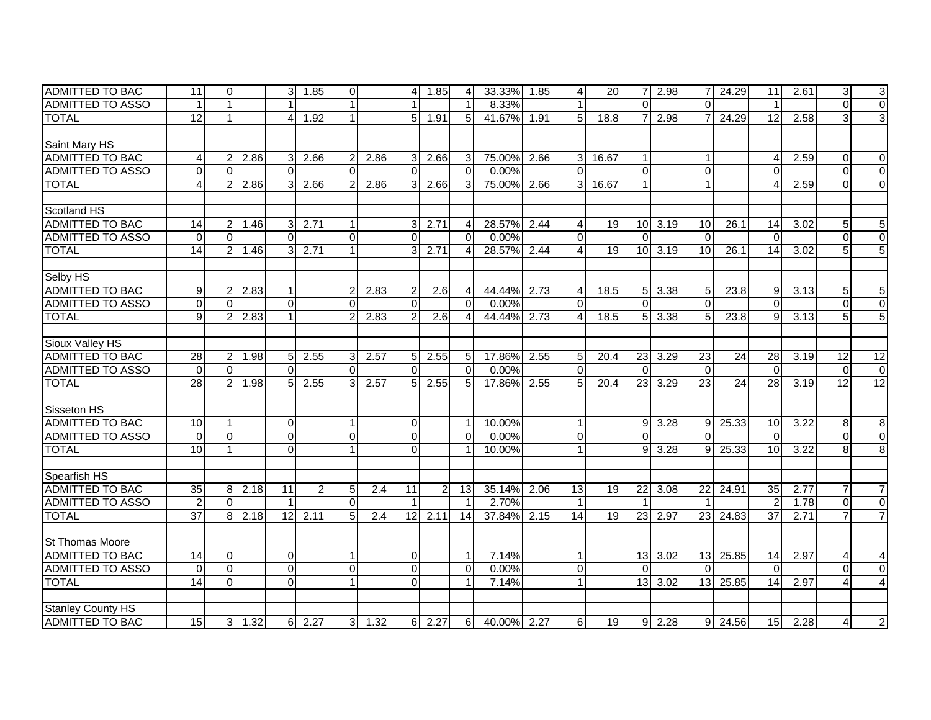| IADMITTED TO BAC         | 11              | $\overline{0}$ |      | 3            | 1.85           | $\overline{0}$       |      | $\overline{4}$ | 1.85           | 4              | 33.33%      | 1.85 | 4                      | <b>20</b>         |                 | 2.98           | 7                       | 24.29 | 11              | 2.61 | 3              | $\mathbf{3}$           |
|--------------------------|-----------------|----------------|------|--------------|----------------|----------------------|------|----------------|----------------|----------------|-------------|------|------------------------|-------------------|-----------------|----------------|-------------------------|-------|-----------------|------|----------------|------------------------|
| <b>ADMITTED TO ASSO</b>  |                 | $\mathbf{1}$   |      |              |                |                      |      |                |                | $\overline{1}$ | 8.33%       |      | $\mathbf{1}$           |                   | $\Omega$        |                | $\Omega$                |       |                 |      | $\Omega$       | $\overline{0}$         |
| <b>TOTAL</b>             | $\overline{12}$ | $\mathbf{1}$   |      | 4            | 1.92           | $\mathbf{1}$         |      | 5 <sup>1</sup> | 1.91           | 5              | 41.67%      | 1.91 | 5                      | 18.8              |                 | 2.98           | $\overline{7}$          | 24.29 | $\overline{12}$ | 2.58 | 3              | $\overline{3}$         |
|                          |                 |                |      |              |                |                      |      |                |                |                |             |      |                        |                   |                 |                |                         |       |                 |      |                |                        |
| Saint Mary HS            |                 |                |      |              |                |                      |      |                |                |                |             |      |                        |                   |                 |                |                         |       |                 |      |                |                        |
| ADMITTED TO BAC          | 4               | $\overline{c}$ | 2.86 | 3            | 2.66           | $\overline{2}$       | 2.86 | 3 <sup>l</sup> | 2.66           | 3              | 75.00%      | 2.66 | $\overline{3}$         | 16.67             | $\mathbf{1}$    |                | $\overline{\mathbf{1}}$ |       | Δ               | 2.59 | $\Omega$       | $\mathbf 0$            |
| <b>ADMITTED TO ASSO</b>  | 0               | $\Omega$       |      | $\Omega$     |                | $\Omega$             |      | $\Omega$       |                | $\Omega$       | 0.00%       |      | $\Omega$               |                   | $\Omega$        |                | $\Omega$                |       | $\Omega$        |      | $\Omega$       | $\overline{0}$         |
| <b>TOTAL</b>             | $\overline{4}$  | $\overline{2}$ | 2.86 | 3            | 2.66           | $\overline{2}$       | 2.86 | $\overline{3}$ | 2.66           | 3              | 75.00%      | 2.66 | 3                      | 16.67             | $\mathbf{1}$    |                | $\overline{1}$          |       |                 | 2.59 | $\Omega$       | $\overline{0}$         |
|                          |                 |                |      |              |                |                      |      |                |                |                |             |      |                        |                   |                 |                |                         |       |                 |      |                |                        |
| Scotland HS              |                 |                |      |              |                |                      |      |                |                |                |             |      |                        |                   |                 |                |                         |       |                 |      |                |                        |
| <b>ADMITTED TO BAC</b>   | 14              | $\overline{c}$ | 1.46 | 3            | 2.71           | 1                    |      | $\overline{3}$ | 2.71           | 4              | 28.57%      | 2.44 | 4                      | 19                |                 | $10 \mid 3.19$ | 10                      | 26.1  | 14              | 3.02 | 5              | $\mathbf 5$            |
| <b>ADMITTED TO ASSO</b>  | $\Omega$        | $\Omega$       |      | $\Omega$     |                | $\Omega$             |      | $\Omega$       |                | $\Omega$       | 0.00%       |      | $\Omega$               |                   | $\Omega$        |                | $\Omega$                |       | $\Omega$        |      | $\Omega$       | $\overline{0}$         |
| <b>TOTAL</b>             | 14              | $\overline{2}$ | 1.46 | 3            | 2.71           |                      |      | 3              | 2.71           | Δ              | 28.57%      | 2.44 | 4                      | 19                | 10 <sup>1</sup> | 3.19           | 10                      | 26.1  | 14              | 3.02 |                | $\overline{5}$         |
|                          |                 |                |      |              |                |                      |      |                |                |                |             |      |                        |                   |                 |                |                         |       |                 |      |                |                        |
| Selby HS                 |                 |                |      |              |                |                      |      |                |                |                |             |      |                        |                   |                 |                |                         |       |                 |      |                |                        |
| <b>ADMITTED TO BAC</b>   | 9               | 2              | 2.83 |              |                | $\overline{2}$       | 2.83 | 2              | 2.6            |                | 44.44%      | 2.73 | 4                      | 18.5              | 51              | 3.38           | 5                       | 23.8  | 9               | 3.13 | 5              | 5                      |
| ADMITTED TO ASSO         | $\Omega$        | $\Omega$       |      | $\Omega$     |                | $\Omega$             |      | $\Omega$       |                | $\Omega$       | 0.00%       |      | $\Omega$               |                   | $\Omega$        |                | $\Omega$                |       | $\Omega$        |      | $\Omega$       | $\mathbf 0$            |
| <b>TOTAL</b>             | 9               | $\overline{2}$ | 2.83 |              |                | $\mathcal{P}$        | 2.83 | $\overline{2}$ | 2.6            | Δ              | 44.44%      | 2.73 | $\boldsymbol{\Lambda}$ | $18.\overline{5}$ | 51              | 3.38           | 5                       | 23.8  | 9               | 3.13 | 5              | $\overline{5}$         |
|                          |                 |                |      |              |                |                      |      |                |                |                |             |      |                        |                   |                 |                |                         |       |                 |      |                |                        |
| Sioux Valley HS          |                 |                |      |              |                |                      |      |                |                |                |             |      |                        |                   |                 |                |                         |       |                 |      |                |                        |
| <b>ADMITTED TO BAC</b>   | 28              | $\overline{c}$ | 1.98 | 5            | 2.55           | 3 <sup>1</sup>       | 2.57 | 5 <sup>1</sup> | 2.55           | 5              | 17.86%      | 2.55 | 5                      | 20.4              | 23              | 3.29           | 23                      | 24    | 28              | 3.19 | 12             | $\overline{12}$        |
| <b>ADMITTED TO ASSO</b>  | $\Omega$        | $\Omega$       |      | $\Omega$     |                | $\Omega$             |      | $\cap$         |                | $\Omega$       | 0.00%       |      | $\Omega$               |                   | $\Omega$        |                | $\mathbf{0}$            |       | $\Omega$        |      | $\Omega$       | $\mathbf 0$            |
| <b>TOTAL</b>             | 28              | $\overline{2}$ | 1.98 | 5            | 2.55           | 3                    | 2.57 | 5 <sup>1</sup> | 2.55           | 5              | 17.86%      | 2.55 | 5                      | 20.4              | 23 <sub>1</sub> | 3.29           | $\overline{23}$         | 24    | 28              | 3.19 | 12             | $\overline{12}$        |
|                          |                 |                |      |              |                |                      |      |                |                |                |             |      |                        |                   |                 |                |                         |       |                 |      |                |                        |
| Sisseton HS              |                 |                |      |              |                |                      |      |                |                |                |             |      |                        |                   |                 |                |                         |       |                 |      |                |                        |
| <b>ADMITTED TO BAC</b>   | 10              | $\mathbf{1}$   |      | $\Omega$     |                | 1                    |      | $\Omega$       |                | -1             | 10.00%      |      | $\mathbf{1}$           |                   | 9               | 3.28           | 9                       | 25.33 | 10              | 3.22 | 8              | 8                      |
| <b>ADMITTED TO ASSO</b>  | $\Omega$        | $\mathbf 0$    |      | $\Omega$     |                | $\mathbf 0$          |      | $\Omega$       |                | $\Omega$       | 0.00%       |      | $\mathbf 0$            |                   | $\Omega$        |                | $\Omega$                |       | $\Omega$        |      | $\Omega$       | $\overline{0}$         |
| <b>TOTAL</b>             | 10              | $\mathbf{1}$   |      | $\mathbf 0$  |                | $\blacktriangleleft$ |      | $\Omega$       |                | $\overline{1}$ | 10.00%      |      | $\mathbf{1}$           |                   | 9               | 3.28           | 9                       | 25.33 | 10              | 3.22 | 8              | $\overline{8}$         |
|                          |                 |                |      |              |                |                      |      |                |                |                |             |      |                        |                   |                 |                |                         |       |                 |      |                |                        |
| Spearfish HS             |                 |                |      |              |                |                      |      |                |                |                |             |      |                        |                   |                 |                |                         |       |                 |      |                |                        |
| <b>ADMITTED TO BAC</b>   | 35              | 8              | 2.18 | 11           | $\overline{2}$ | $5\overline{)}$      | 2.4  | 11             | $\overline{2}$ | 13             | 35.14%      | 2.06 | 13                     | 19                | 22              | 3.08           | 22                      | 24.91 | $\overline{35}$ | 2.77 | $\overline{7}$ | $\overline{7}$         |
| <b>ADMITTED TO ASSO</b>  | $\overline{2}$  | $\mathbf 0$    |      | $\mathbf{1}$ |                | $\Omega$             |      | $\overline{1}$ |                | $\overline{1}$ | 2.70%       |      | $\mathbf{1}$           |                   |                 |                |                         |       | $\overline{2}$  | 1.78 | $\Omega$       | $\overline{0}$         |
| <b>TOTAL</b>             | $\overline{37}$ | 8              | 2.18 | 12           | 2.11           | 5                    | 2.4  | 12             | 2.11           | 14             | 37.84%      | 2.15 | $\overline{14}$        | 19                | 23              | 2.97           | 23                      | 24.83 | $\overline{37}$ | 2.71 |                | $\overline{7}$         |
|                          |                 |                |      |              |                |                      |      |                |                |                |             |      |                        |                   |                 |                |                         |       |                 |      |                |                        |
| <b>St Thomas Moore</b>   |                 |                |      |              |                |                      |      |                |                |                |             |      |                        |                   |                 |                |                         |       |                 |      |                |                        |
| ADMITTED TO BAC          | 14              | $\Omega$       |      | $\Omega$     |                | $\mathbf{1}$         |      | $\Omega$       |                | -1             | 7.14%       |      | $\mathbf{1}$           |                   | 13              | 3.02           | 13                      | 25.85 | 14              | 2.97 | 4              | 4                      |
| <b>ADMITTED TO ASSO</b>  | $\Omega$        | $\overline{0}$ |      | $\Omega$     |                | $\mathbf 0$          |      | $\Omega$       |                | $\Omega$       | 0.00%       |      | $\overline{0}$         |                   | $\Omega$        |                | $\Omega$                |       | $\Omega$        |      | $\Omega$       | $\overline{0}$         |
| <b>TOTAL</b>             | 14              | $\overline{0}$ |      | $\Omega$     |                | $\mathbf{1}$         |      | $\Omega$       |                |                | 7.14%       |      | $\mathbf{1}$           |                   | 13              | 3.02           | 13                      | 25.85 | $\overline{14}$ | 2.97 |                | $\boldsymbol{\Lambda}$ |
|                          |                 |                |      |              |                |                      |      |                |                |                |             |      |                        |                   |                 |                |                         |       |                 |      |                |                        |
| <b>Stanley County HS</b> |                 |                |      |              |                |                      |      |                |                |                |             |      |                        |                   |                 |                |                         |       |                 |      |                |                        |
| <b>ADMITTED TO BAC</b>   | 15              | 3 <sup>1</sup> | 1.32 | 6            | 2.27           | 3 <sup>1</sup>       | 1.32 | 6 <sup>1</sup> | 2.27           | 6              | 40.00% 2.27 |      | 6 <sup>1</sup>         | 19                |                 | $9 \mid 2.28$  | 9 <sup>1</sup>          | 24.56 | 15              | 2.28 | 4              | $\overline{2}$         |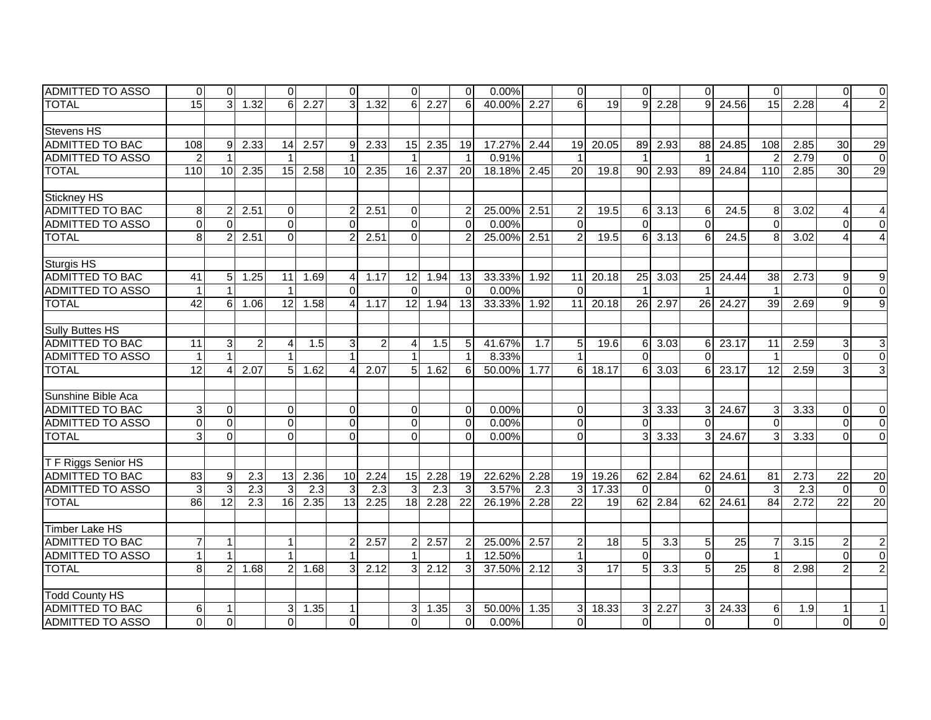| ADMITTED TO ASSO        | 0              | $\Omega$         |                | $\Omega$       |      | $\overline{0}$ |      | $\Omega$        |      | $\mathbf 0$    | $0.00\%$    |      | $\overline{0}$ |                 | $\Omega$                |         | $\Omega$       |       | $\Omega$        |      | $\Omega$       | $\overline{0}$   |
|-------------------------|----------------|------------------|----------------|----------------|------|----------------|------|-----------------|------|----------------|-------------|------|----------------|-----------------|-------------------------|---------|----------------|-------|-----------------|------|----------------|------------------|
| <b>TOTAL</b>            | 15             | $\overline{3}$   | 1.32           | 6              | 2.27 | 3              | 1.32 | 6 <sup>1</sup>  | 2.27 | 6              | 40.00%      | 2.27 | 6              | 19 <sup>1</sup> | $\mathbf{Q}$            | 2.28    | $\mathbf{Q}$   | 24.56 | 15              | 2.28 |                | $\overline{2}$   |
|                         |                |                  |                |                |      |                |      |                 |      |                |             |      |                |                 |                         |         |                |       |                 |      |                |                  |
| <b>Stevens HS</b>       |                |                  |                |                |      |                |      |                 |      |                |             |      |                |                 |                         |         |                |       |                 |      |                |                  |
| <b>ADMITTED TO BAC</b>  | 108            | $\overline{9}$   | 2.33           | 14             | 2.57 | 9              | 2.33 | 15              | 2.35 | 19             | 17.27%      | 2.44 | 19             | 20.05           |                         | 89 2.93 | 88             | 24.85 | 108             | 2.85 | 30             | 29               |
| <b>ADMITTED TO ASSO</b> | $\overline{c}$ | $\overline{1}$   |                |                |      |                |      |                 |      |                | 0.91%       |      | $\overline{1}$ |                 | $\overline{\mathbf{1}}$ |         | $\overline{1}$ |       |                 | 2.79 | $\mathbf{0}$   | $\overline{0}$   |
| <b>TOTAL</b>            | 110            | 10               | 2.35           | 15             | 2.58 | 10             | 2.35 | 16              | 2.37 | 20             | 18.18%      | 2.45 | 20             | 19.8            | 90 <sub>1</sub>         | 2.93    | 89             | 24.84 | 110             | 2.85 | 30             | 29               |
|                         |                |                  |                |                |      |                |      |                 |      |                |             |      |                |                 |                         |         |                |       |                 |      |                |                  |
| Stickney HS             |                |                  |                |                |      |                |      |                 |      |                |             |      |                |                 |                         |         |                |       |                 |      |                |                  |
| <b>ADMITTED TO BAC</b>  | 8              | $\overline{c}$   | 2.51           | $\overline{0}$ |      | $\overline{2}$ | 2.51 | $\Omega$        |      | 2              | 25.00%      | 2.51 | $\overline{2}$ | 19.5            | 61                      | 3.13    | 6              | 24.5  | 8               | 3.02 |                | 4                |
| <b>ADMITTED TO ASSO</b> | $\mathbf 0$    | $\Omega$         |                | $\overline{0}$ |      | $\Omega$       |      | $\Omega$        |      | $\Omega$       | 0.00%       |      | $\Omega$       |                 | $\Omega$                |         | $\Omega$       |       | $\Omega$        |      | $\Omega$       | $\mathbf 0$      |
| <b>TOTAL</b>            | 8              | $\overline{2}$   | 2.51           | $\overline{0}$ |      | $\overline{2}$ | 2.51 | $\overline{0}$  |      | 2              | 25.00%      | 2.51 | $\overline{2}$ | 19.5            | 6                       | 3.13    | 6              | 24.5  | 8               | 3.02 |                | $\overline{4}$   |
|                         |                |                  |                |                |      |                |      |                 |      |                |             |      |                |                 |                         |         |                |       |                 |      |                |                  |
| <b>Sturgis HS</b>       |                |                  |                |                |      |                |      |                 |      |                |             |      |                |                 |                         |         |                |       |                 |      |                |                  |
| <b>ADMITTED TO BAC</b>  | 41             | 5                | 1.25           | 11             | 1.69 | $\overline{4}$ | 1.17 | 12              | 1.94 | 13             | 33.33%      | 1.92 | 11             | 20.18           | 25                      | 3.03    | 25             | 24.44 | 38              | 2.73 | 9              | 9                |
| <b>ADMITTED TO ASSO</b> |                | $\overline{1}$   |                | 1              |      | $\Omega$       |      | $\Omega$        |      | $\Omega$       | 0.00%       |      | $\Omega$       |                 | $\overline{1}$          |         |                |       |                 |      | $\Omega$       | $\overline{0}$   |
| <b>TOTAL</b>            | 42             | 6                | 1.06           | 12             | 1.58 | $\overline{4}$ | 1.17 | 12 <sup>1</sup> | 1.94 | 13             | 33.33%      | 1.92 | 11             | 20.18           | 26 <sup>1</sup>         | 2.97    | 26             | 24.27 | 39              | 2.69 | 9              | $\overline{9}$   |
|                         |                |                  |                |                |      |                |      |                 |      |                |             |      |                |                 |                         |         |                |       |                 |      |                |                  |
| Sully Buttes HS         |                |                  |                |                |      |                |      |                 |      |                |             |      |                |                 |                         |         |                |       |                 |      |                |                  |
| ADMITTED TO BAC         | 11             | 3                | $\overline{2}$ | 4              | 1.5  | 3              | 2    | $\overline{4}$  | 1.5  | 5              | 41.67%      | 1.7  | 5              | 19.6            | 6                       | 3.03    | 6              | 23.17 | 11              | 2.59 | 3              | $\sqrt{3}$       |
| <b>ADMITTED TO ASSO</b> |                | 1                |                |                |      |                |      |                 |      |                | 8.33%       |      |                |                 | $\Omega$                |         | $\Omega$       |       |                 |      | $\Omega$       | $\overline{0}$   |
| <b>TOTAL</b>            | 12             | 4                | 2.07           | 5 <sub>l</sub> | 1.62 | $\overline{4}$ | 2.07 | 5 <sup>1</sup>  | 1.62 | 6              | 50.00%      | 1.77 | 6              | 18.17           | 6                       | 3.03    | 6              | 23.17 | $\overline{12}$ | 2.59 | 3              | 3                |
|                         |                |                  |                |                |      |                |      |                 |      |                |             |      |                |                 |                         |         |                |       |                 |      |                |                  |
| Sunshine Bible Aca      |                |                  |                |                |      |                |      |                 |      |                |             |      |                |                 |                         |         |                |       |                 |      |                |                  |
| <b>ADMITTED TO BAC</b>  | 3              | $\Omega$         |                | $\overline{0}$ |      | $\mathbf 0$    |      | $\Omega$        |      | $\Omega$       | 0.00%       |      | $\overline{0}$ |                 | 3 <sup>1</sup>          | 3.33    | $\overline{3}$ | 24.67 | 3               | 3.33 | $\Omega$       | $\Omega$         |
| <b>ADMITTED TO ASSO</b> | $\Omega$       | $\Omega$         |                | $\Omega$       |      | $\mathbf 0$    |      | $\Omega$        |      | $\Omega$       | 0.00%       |      | 0              |                 | $\Omega$                |         | $\Omega$       |       | $\Omega$        |      | $\Omega$       | $\overline{0}$   |
| <b>TOTAL</b>            | 3              | $\overline{0}$   |                | $\Omega$       |      | $\Omega$       |      | $\Omega$        |      | $\Omega$       | 0.00%       |      | $\overline{0}$ |                 | 3 <sup>1</sup>          | 3.33    | 3              | 24.67 |                 | 3.33 | $\Omega$       | $\mathbf 0$      |
|                         |                |                  |                |                |      |                |      |                 |      |                |             |      |                |                 |                         |         |                |       |                 |      |                |                  |
| T F Riggs Senior HS     |                |                  |                |                |      |                |      |                 |      |                |             |      |                |                 |                         |         |                |       |                 |      |                |                  |
| <b>ADMITTED TO BAC</b>  | 83             | $\boldsymbol{9}$ | 2.3            | 13             | 2.36 | 10             | 2.24 | 15              | 2.28 | 19             | 22.62%      | 2.28 | 19             | 19.26           | 62                      | 2.84    | 62             | 24.61 | 81              | 2.73 | 22             | 20               |
| <b>ADMITTED TO ASSO</b> | $\mathbf 3$    | $\mathbf{3}$     | 2.3            | 3              | 2.3  | 3              | 2.3  | $\mathbf{3}$    | 2.3  | 3              | 3.57%       | 2.3  | $\mathbf{3}$   | 17.33           | $\Omega$                |         | $\Omega$       |       | 3               | 2.3  | $\Omega$       | $\overline{0}$   |
| <b>TOTAL</b>            | 86             | 12               | 2.3            | 16             | 2.35 | 13             | 2.25 | 18              | 2.28 | 22             | 26.19%      | 2.28 | 22             | 19              | 62                      | 2.84    | 62             | 24.61 | 84              | 2.72 | 22             | 20               |
|                         |                |                  |                |                |      |                |      |                 |      |                |             |      |                |                 |                         |         |                |       |                 |      |                |                  |
| <b>Timber Lake HS</b>   |                |                  |                |                |      |                |      |                 |      |                |             |      |                |                 |                         |         |                |       |                 |      |                |                  |
| <b>ADMITTED TO BAC</b>  | 7              | $\mathbf{1}$     |                | $\mathbf{1}$   |      | $\overline{a}$ | 2.57 | $\overline{2}$  | 2.57 | $\overline{2}$ | 25.00%      | 2.57 | $\overline{2}$ | 18 <sup>1</sup> | 5 <sub>5</sub>          | 3.3     | 5              | 25    |                 | 3.15 | $\overline{c}$ | $\boldsymbol{2}$ |
| <b>ADMITTED TO ASSO</b> |                | $\mathbf{1}$     |                | $\mathbf{1}$   |      |                |      |                 |      |                | 12.50%      |      | $\mathbf{1}$   |                 | $\Omega$                |         | $\Omega$       |       |                 |      | $\Omega$       | $\overline{0}$   |
| <b>TOTAL</b>            | 8              | $\overline{2}$   | 1.68           | $\mathsf{2}$   | 1.68 | $\overline{3}$ | 2.12 | 3 <sup>l</sup>  | 2.12 | 3              | 37.50% 2.12 |      | 3              | 17              | 5 <sup>1</sup>          | 3.3     | $\overline{5}$ | 25    | 8               | 2.98 |                | $\overline{2}$   |
|                         |                |                  |                |                |      |                |      |                 |      |                |             |      |                |                 |                         |         |                |       |                 |      |                |                  |
| <b>Todd County HS</b>   |                |                  |                |                |      |                |      |                 |      |                |             |      |                |                 |                         |         |                |       |                 |      |                |                  |
| <b>ADMITTED TO BAC</b>  | 6              | 1                |                | 31             | 1.35 | $\mathbf 1$    |      | 3 <sup>1</sup>  | 1.35 | 3              | 50.00%      | 1.35 | $\mathbf{3}$   | 18.33           | 3 <sup>1</sup>          | 2.27    | $\overline{3}$ | 24.33 | 6               | 1.9  |                |                  |
| <b>ADMITTED TO ASSO</b> | $\Omega$       | $\Omega$         |                | $\Omega$       |      | $\Omega$       |      | $\Omega$        |      | $\Omega$       | 0.00%       |      | $\overline{0}$ |                 | $\overline{0}$          |         | $\Omega$       |       | $\Omega$        |      | $\Omega$       | $\overline{0}$   |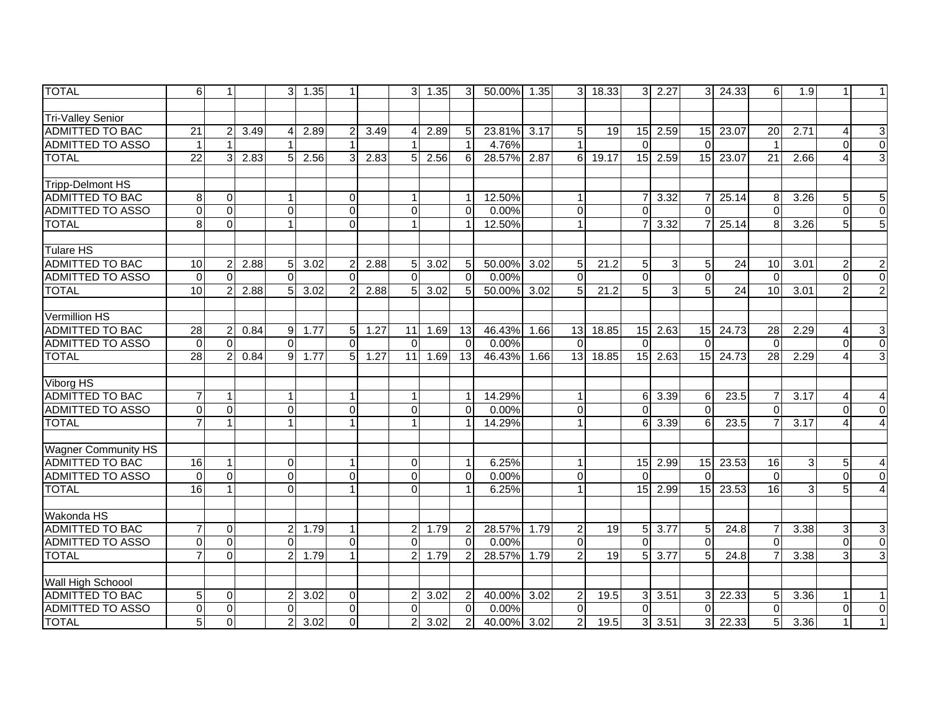| <b>TOTAL</b>               | 6               | $\mathbf{1}$   |      | 3              | 1.35 | 1                       |      | 3 <sup>1</sup> | 1.35 | 3              | 50.00% 1.35 |      | 3 <sup>1</sup>   | 18.33 | 3 <sup>1</sup> | 2.27          | 3 <sup>1</sup>  | 24.33 | 6               | 1.9            | 1.             | 11                        |
|----------------------------|-----------------|----------------|------|----------------|------|-------------------------|------|----------------|------|----------------|-------------|------|------------------|-------|----------------|---------------|-----------------|-------|-----------------|----------------|----------------|---------------------------|
|                            |                 |                |      |                |      |                         |      |                |      |                |             |      |                  |       |                |               |                 |       |                 |                |                |                           |
| <b>Tri-Valley Senior</b>   |                 |                |      |                |      |                         |      |                |      |                |             |      |                  |       |                |               |                 |       |                 |                |                |                           |
| ADMITTED TO BAC            | 21              | $\overline{c}$ | 3.49 | 4              | 2.89 | $\overline{2}$          | 3.49 |                | 2.89 | 5              | 23.81%      | 3.17 | 5 <sub>l</sub>   | 19    |                | 15 2.59       | 15              | 23.07 | 20              | 2.71           | 4              | $\ensuremath{\mathsf{3}}$ |
| ADMITTED TO ASSO           |                 | $\mathbf{1}$   |      |                |      |                         |      |                |      | $\overline{1}$ | 4.76%       |      | $\mathbf{1}$     |       | $\Omega$       |               | $\mathbf{0}$    |       | -1              |                | $\Omega$       | $\overline{0}$            |
| <b>TOTAL</b>               | 22              | 3              | 2.83 | 5              | 2.56 | 3                       | 2.83 | 5 <sup>1</sup> | 2.56 | 6              | 28.57%      | 2.87 | 6 <sup>1</sup>   | 19.17 | 15             | 2.59          | 15              | 23.07 | 21              | 2.66           |                | 3                         |
|                            |                 |                |      |                |      |                         |      |                |      |                |             |      |                  |       |                |               |                 |       |                 |                |                |                           |
| <b>Tripp-Delmont HS</b>    |                 |                |      |                |      |                         |      |                |      |                |             |      |                  |       |                |               |                 |       |                 |                |                |                           |
| <b>ADMITTED TO BAC</b>     | 8               | $\mathbf 0$    |      |                |      | $\overline{0}$          |      |                |      |                | 12.50%      |      | $\mathbf{1}$     |       |                | 3.32          |                 | 25.14 | 8               | 3.26           | 5              | $\overline{5}$            |
| <b>ADMITTED TO ASSO</b>    | $\Omega$        | $\overline{0}$ |      | $\mathbf 0$    |      | $\overline{\mathsf{o}}$ |      | $\Omega$       |      | $\Omega$       | 0.00%       |      | $\overline{0}$   |       | $\Omega$       |               | $\Omega$        |       | $\Omega$        |                | $\Omega$       | $\overline{0}$            |
| <b>TOTAL</b>               | 8               | $\mathbf 0$    |      |                |      | $\Omega$                |      |                |      |                | 12.50%      |      | $\mathbf{1}$     |       |                | 3.32          |                 | 25.14 | 8               | 3.26           | 5              | $\overline{5}$            |
|                            |                 |                |      |                |      |                         |      |                |      |                |             |      |                  |       |                |               |                 |       |                 |                |                |                           |
| <b>Tulare HS</b>           |                 |                |      |                |      |                         |      |                |      |                |             |      |                  |       |                |               |                 |       |                 |                |                |                           |
| <b>ADMITTED TO BAC</b>     | 10              | $\overline{c}$ | 2.88 | 5              | 3.02 | $\overline{2}$          | 2.88 | 5 <sup>1</sup> | 3.02 | 5              | 50.00%      | 3.02 | 5                | 21.2  | 5 <sub>l</sub> | 3             | 5               | 24    | 10              | 3.01           | 2              | $\overline{c}$            |
| <b>ADMITTED TO ASSO</b>    | $\Omega$        | $\Omega$       |      | $\Omega$       |      | $\Omega$                |      | $\Omega$       |      | $\Omega$       | 0.00%       |      | $\Omega$         |       | $\Omega$       |               | $\Omega$        |       | $\Omega$        |                | $\Omega$       | $\overline{0}$            |
| <b>TOTAL</b>               | $\overline{10}$ | $\overline{c}$ | 2.88 | 5              | 3.02 | $\overline{2}$          | 2.88 | 5 <sup>1</sup> | 3.02 | 5              | 50.00%      | 3.02 | 5                | 21.2  | 5              | 3             | $5\phantom{.0}$ | 24    | 10              | 3.01           | $\overline{2}$ | $\overline{2}$            |
|                            |                 |                |      |                |      |                         |      |                |      |                |             |      |                  |       |                |               |                 |       |                 |                |                |                           |
| Vermillion HS              |                 |                |      |                |      |                         |      |                |      |                |             |      |                  |       |                |               |                 |       |                 |                |                |                           |
| <b>ADMITTED TO BAC</b>     | 28              | $\overline{c}$ | 0.84 | 9              | 1.77 | 5 <sub>l</sub>          | 1.27 | 11             | 1.69 | 13             | 46.43%      | 1.66 | 13               | 18.85 | 15             | 2.63          | 15              | 24.73 | 28              | 2.29           | 4              | $\ensuremath{\mathsf{3}}$ |
| <b>ADMITTED TO ASSO</b>    | $\Omega$        | $\Omega$       |      | $\Omega$       |      | $\Omega$                |      | $\Omega$       |      | $\Omega$       | 0.00%       |      | $\Omega$         |       | $\Omega$       |               | $\Omega$        |       | $\Omega$        |                | $\Omega$       | $\overline{0}$            |
| <b>TOTAL</b>               | $\overline{28}$ | $\overline{2}$ | 0.84 | 9              | 1.77 | 5                       | 1.27 | 11             | 1.69 | 13             | 46.43%      | 1.66 | 13               | 18.85 |                | $15$ 2.63     | 15              | 24.73 | $\overline{28}$ | 2.29           |                | $\overline{3}$            |
|                            |                 |                |      |                |      |                         |      |                |      |                |             |      |                  |       |                |               |                 |       |                 |                |                |                           |
| Viborg HS                  |                 |                |      |                |      |                         |      |                |      |                |             |      |                  |       |                |               |                 |       |                 |                |                |                           |
| <b>ADMITTED TO BAC</b>     |                 | $\mathbf{1}$   |      |                |      | $\overline{1}$          |      |                |      | $\overline{1}$ | 14.29%      |      | $\mathbf{1}$     |       | 61             | 3.39          | 6               | 23.5  |                 | 3.17           | 4              | $\overline{4}$            |
| <b>ADMITTED TO ASSO</b>    | $\Omega$        | $\pmb{0}$      |      | $\Omega$       |      | $\mathbf 0$             |      | $\Omega$       |      | $\Omega$       | 0.00%       |      | $\overline{0}$   |       | $\Omega$       |               | $\Omega$        |       | $\Omega$        |                | $\Omega$       | $\mathbf 0$               |
| <b>TOTAL</b>               | $\overline{7}$  | $\mathbf{1}$   |      | 1              |      | $\mathbf 1$             |      | 1              |      |                | 14.29%      |      | $\mathbf{1}$     |       | 6              | 3.39          | 6               | 23.5  |                 | 3.17           | 4              | $\overline{\mathbf{4}}$   |
|                            |                 |                |      |                |      |                         |      |                |      |                |             |      |                  |       |                |               |                 |       |                 |                |                |                           |
| <b>Wagner Community HS</b> |                 |                |      |                |      |                         |      |                |      |                |             |      |                  |       |                |               |                 |       |                 |                |                |                           |
| <b>ADMITTED TO BAC</b>     | 16              | $\mathbf{1}$   |      | $\Omega$       |      | $\mathbf 1$             |      | $\Omega$       |      | -1             | 6.25%       |      | $\mathbf{1}$     |       |                | $15$ 2.99     | 15              | 23.53 | 16              | $\overline{3}$ | 5              | 4                         |
| <b>ADMITTED TO ASSO</b>    | $\Omega$        | $\mathbf 0$    |      | $\Omega$       |      | $\mathbf 0$             |      | $\Omega$       |      | $\Omega$       | 0.00%       |      | $\mathbf 0$      |       | $\Omega$       |               | $\Omega$        |       | $\Omega$        |                | $\Omega$       | $\overline{0}$            |
| <b>TOTAL</b>               | 16              | $\mathbf{1}$   |      | $\Omega$       |      | $\mathbf{1}$            |      | $\Omega$       |      |                | 6.25%       |      | $\mathbf{1}$     |       | 15             | 2.99          | 15              | 23.53 | 16              | $\overline{3}$ | 5              | $\overline{4}$            |
|                            |                 |                |      |                |      |                         |      |                |      |                |             |      |                  |       |                |               |                 |       |                 |                |                |                           |
| Wakonda HS                 |                 |                |      |                |      |                         |      |                |      |                |             |      |                  |       |                |               |                 |       |                 |                |                |                           |
| <b>ADMITTED TO BAC</b>     | $\overline{7}$  | $\Omega$       |      | 2              | 1.79 | 1                       |      | 2              | 1.79 | $\overline{2}$ | 28.57%      | 1.79 | $\boldsymbol{2}$ | 19    |                | $5 \mid 3.77$ | 5               | 24.8  |                 | 3.38           | 3              | $\ensuremath{\mathsf{3}}$ |
| <b>ADMITTED TO ASSO</b>    | $\Omega$        | $\mathbf{0}$   |      | $\Omega$       |      | $\mathbf 0$             |      | $\Omega$       |      | $\Omega$       | 0.00%       |      | $\Omega$         |       | $\Omega$       |               | $\Omega$        |       | $\Omega$        |                | $\Omega$       | $\overline{0}$            |
| <b>TOTAL</b>               | $\overline{7}$  | $\mathbf 0$    |      | $\overline{2}$ | 1.79 | $\mathbf{1}$            |      | $\overline{2}$ | 1.79 | $\overline{2}$ | 28.57%      | 1.79 | $\overline{2}$   | 19    | 5 <sup>1</sup> | 3.77          | $5\overline{)}$ | 24.8  |                 | 3.38           | 3              | $\overline{3}$            |
|                            |                 |                |      |                |      |                         |      |                |      |                |             |      |                  |       |                |               |                 |       |                 |                |                |                           |
| Wall High Schoool          |                 |                |      |                |      |                         |      |                |      |                |             |      |                  |       |                |               |                 |       |                 |                |                |                           |
| <b>ADMITTED TO BAC</b>     | 5               | $\mathbf 0$    |      | 2              | 3.02 | $\mathbf 0$             |      | 2              | 3.02 | $\overline{2}$ | 40.00%      | 3.02 | $\overline{c}$   | 19.5  |                | $3 \mid 3.51$ | 3 <sup>1</sup>  | 22.33 | .5              | 3.36           |                | $\mathbf{1}$              |
| <b>ADMITTED TO ASSO</b>    | $\Omega$        | $\overline{0}$ |      | $\Omega$       |      | $\mathbf 0$             |      | $\Omega$       |      | $\Omega$       | 0.00%       |      | $\Omega$         |       | $\Omega$       |               | $\Omega$        |       | $\Omega$        |                | $\Omega$       | $\overline{0}$            |
| <b>TOTAL</b>               | 5               | $\mathbf 0$    |      | 2              | 3.02 | $\Omega$                |      | $\overline{2}$ | 3.02 | $\overline{2}$ | 40.00%      | 3.02 | $\overline{2}$   | 19.5  | 31             | 3.51          | 3               | 22.33 | 5               | 3.36           |                | $\mathbf{1}$              |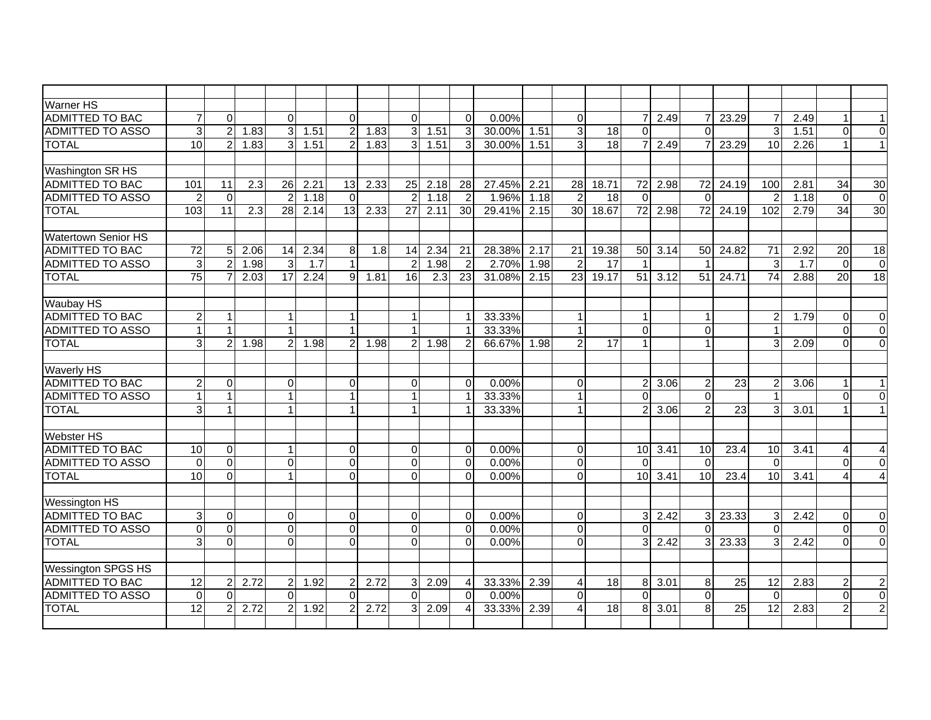| <b>Warner HS</b>           |                 |                  |      |                |      |                      |      |                 |      |                |        |      |                 |       |                |             |                 |                 |                 |      |          |                  |
|----------------------------|-----------------|------------------|------|----------------|------|----------------------|------|-----------------|------|----------------|--------|------|-----------------|-------|----------------|-------------|-----------------|-----------------|-----------------|------|----------|------------------|
| <b>ADMITTED TO BAC</b>     | 7               | $\pmb{0}$        |      | $\Omega$       |      | $\Omega$             |      | $\Omega$        |      | $\Omega$       | 0.00%  |      | $\overline{0}$  |       | 71             | 2.49        | $\overline{7}$  | 23.29           |                 | 2.49 |          | $\mathbf{1}$     |
| <b>ADMITTED TO ASSO</b>    | 3 <sup>1</sup>  | $\boldsymbol{2}$ | 1.83 | 31             | 1.51 | $\overline{2}$       | 1.83 | 3               | 1.51 | 3              | 30.00% | 1.51 | $\sqrt{3}$      | 18    | $\mathbf{0}$   |             | $\Omega$        |                 | 3               | 1.51 | $\Omega$ | $\overline{0}$   |
| <b>TOTAL</b>               | 10              | $\overline{2}$   | 1.83 | 3 <sup>1</sup> | 1.51 | $\overline{2}$       | 1.83 | $\overline{3}$  | 1.51 | 3              | 30.00% | 1.51 | دی              | 18    |                | 2.49        | $\overline{7}$  | 23.29           | 10              | 2.26 |          | $\mathbf{1}$     |
|                            |                 |                  |      |                |      |                      |      |                 |      |                |        |      |                 |       |                |             |                 |                 |                 |      |          |                  |
| Washington SR HS           |                 |                  |      |                |      |                      |      |                 |      |                |        |      |                 |       |                |             |                 |                 |                 |      |          |                  |
| <b>ADMITTED TO BAC</b>     | 101             | 11               | 2.3  | 26             | 2.21 | 13                   | 2.33 | 25              | 2.18 | 28             | 27.45% | 2.21 | 28              | 18.71 |                | 72 2.98     | $\overline{72}$ | 24.19           | 100             | 2.81 | 34       | 30               |
| <b>ADMITTED TO ASSO</b>    | $\overline{2}$  | $\Omega$         |      |                | 1.18 | $\Omega$             |      |                 | 1.18 | $\overline{2}$ | 1.96%  | 1.18 | $\overline{2}$  | 18    | $\Omega$       |             | $\Omega$        |                 |                 | 1.18 | $\Omega$ | $\boldsymbol{0}$ |
| <b>TOTAL</b>               | 103             | 11               | 2.3  | 28             | 2.14 | 13 <sup>1</sup>      | 2.33 | 27              | 2.11 | 30             | 29.41% | 2.15 | 30 <sup>1</sup> | 18.67 |                | 72 2.98     | 72              | 24.19           | 102             | 2.79 | 34       | 30               |
|                            |                 |                  |      |                |      |                      |      |                 |      |                |        |      |                 |       |                |             |                 |                 |                 |      |          |                  |
| <b>Watertown Senior HS</b> |                 |                  |      |                |      |                      |      |                 |      |                |        |      |                 |       |                |             |                 |                 |                 |      |          |                  |
| <b>ADMITTED TO BAC</b>     | $\overline{72}$ | 5                | 2.06 | 14             | 2.34 | 8 <sup>1</sup>       | 1.8  | 14              | 2.34 | 21             | 28.38% | 2.17 | 21              | 19.38 | 50             | 3.14        | 50              | 24.82           | $\overline{71}$ | 2.92 | 20       | $\overline{18}$  |
| <b>ADMITTED TO ASSO</b>    | 3               | $\overline{2}$   | 1.98 | 3              | 1.7  | $\mathbf{1}$         |      | $\overline{2}$  | 1.98 | $\overline{2}$ | 2.70%  | 1.98 | $\overline{2}$  | 17    |                |             | -1              |                 | 3               | 1.7  | $\Omega$ | $\boldsymbol{0}$ |
| <b>TOTAL</b>               | 75              | $\overline{7}$   | 2.03 | 17             | 2.24 | $\overline{9}$       | 1.81 | 16 <sup>1</sup> | 2.3  | 23             | 31.08% | 2.15 | 23 <sup>1</sup> | 19.17 | 51             | 3.12        | 51              | 24.71           | 74              | 2.88 | 20       | 18               |
|                            |                 |                  |      |                |      |                      |      |                 |      |                |        |      |                 |       |                |             |                 |                 |                 |      |          |                  |
| <b>Waubay HS</b>           |                 |                  |      |                |      |                      |      |                 |      |                |        |      |                 |       |                |             |                 |                 |                 |      |          |                  |
| <b>ADMITTED TO BAC</b>     | $\overline{2}$  | $\mathbf{1}$     |      |                |      | 1                    |      |                 |      | $\mathbf 1$    | 33.33% |      | $\mathbf{1}$    |       | $\mathbf{1}$   |             | -1              |                 | $\overline{2}$  | 1.79 | $\Omega$ | $\mathbf 0$      |
| <b>ADMITTED TO ASSO</b>    | $\mathbf{1}$    | $\mathbf{1}$     |      |                |      | $\mathbf{1}$         |      |                 |      | $\overline{1}$ | 33.33% |      | $\mathbf{1}$    |       | $\Omega$       |             | $\Omega$        |                 |                 |      | $\Omega$ | $\mathbf 0$      |
| <b>TOTAL</b>               | $\overline{3}$  | $\overline{2}$   | 1.98 | $\overline{2}$ | 1.98 | $\overline{2}$       | 1.98 | $\overline{2}$  | 1.98 | $\overline{2}$ | 66.67% | 1.98 | $\overline{2}$  | 17    | $\mathbf{1}$   |             | $\overline{1}$  |                 | 3               | 2.09 | $\Omega$ | $\overline{0}$   |
|                            |                 |                  |      |                |      |                      |      |                 |      |                |        |      |                 |       |                |             |                 |                 |                 |      |          |                  |
| <b>Waverly HS</b>          |                 |                  |      |                |      |                      |      |                 |      |                |        |      |                 |       |                |             |                 |                 |                 |      |          |                  |
| <b>ADMITTED TO BAC</b>     | $\overline{2}$  | $\Omega$         |      | $\Omega$       |      | $\Omega$             |      | $\Omega$        |      | $\Omega$       | 0.00%  |      | $\Omega$        |       | $2 \vert$      | 3.06        | $\overline{c}$  | $\overline{23}$ | 2               | 3.06 |          | $\mathbf{1}$     |
| <b>ADMITTED TO ASSO</b>    |                 | $\mathbf{1}$     |      |                |      | $\blacktriangleleft$ |      |                 |      | 1              | 33.33% |      | $\mathbf{1}$    |       | $\Omega$       |             | $\Omega$        |                 |                 |      | $\Omega$ | $\Omega$         |
| <b>TOTAL</b>               | $\overline{3}$  | 1                |      |                |      | $\mathbf{1}$         |      |                 |      | $\overline{1}$ | 33.33% |      | $\mathbf{1}$    |       | $\overline{2}$ | 3.06        | 2               | 23              | 3               | 3.01 |          | $\mathbf{1}$     |
|                            |                 |                  |      |                |      |                      |      |                 |      |                |        |      |                 |       |                |             |                 |                 |                 |      |          |                  |
| <b>Webster HS</b>          |                 |                  |      |                |      |                      |      |                 |      |                |        |      |                 |       |                |             |                 |                 |                 |      |          |                  |
| <b>ADMITTED TO BAC</b>     | 10              | $\Omega$         |      |                |      | $\overline{0}$       |      | $\Omega$        |      | $\Omega$       | 0.00%  |      | $\overline{0}$  |       |                | $10 \ 3.41$ | 10              | 23.4            | $\overline{10}$ | 3.41 | 4        | 4                |
| <b>ADMITTED TO ASSO</b>    | $\overline{0}$  | $\mathbf 0$      |      | $\Omega$       |      | $\overline{0}$       |      | $\Omega$        |      | $\Omega$       | 0.00%  |      | $\mathbf{0}$    |       | $\Omega$       |             | $\Omega$        |                 | $\Omega$        |      | $\Omega$ | $\overline{0}$   |
| <b>TOTAL</b>               | 10              | $\overline{0}$   |      |                |      | $\Omega$             |      | $\Omega$        |      | $\Omega$       | 0.00%  |      | $\mathbf{0}$    |       |                | 10 3.41     | 10              | 23.4            | 10              | 3.41 |          | $\overline{4}$   |
|                            |                 |                  |      |                |      |                      |      |                 |      |                |        |      |                 |       |                |             |                 |                 |                 |      |          |                  |
| <b>Wessington HS</b>       |                 |                  |      |                |      |                      |      |                 |      |                |        |      |                 |       |                |             |                 |                 |                 |      |          |                  |
| <b>ADMITTED TO BAC</b>     | $\overline{3}$  | $\Omega$         |      | $\Omega$       |      | $\Omega$             |      | $\Omega$        |      | $\Omega$       | 0.00%  |      | $\overline{0}$  |       | 31             | 2.42        | $\mathbf{3}$    | 23.33           | 3               | 2.42 | $\Omega$ | $\Omega$         |
| <b>ADMITTED TO ASSO</b>    | $\Omega$        | $\Omega$         |      | $\Omega$       |      | $\overline{0}$       |      | $\Omega$        |      | $\Omega$       | 0.00%  |      | $\mathbf 0$     |       | $\Omega$       |             | $\Omega$        |                 | $\Omega$        |      | $\Omega$ | $\overline{0}$   |
| <b>TOTAL</b>               | $\overline{3}$  | $\overline{0}$   |      | $\Omega$       |      | $\overline{0}$       |      | $\Omega$        |      | $\Omega$       | 0.00%  |      | $\mathbf{0}$    |       | 3 <sup>1</sup> | 2.42        | $\overline{3}$  | 23.33           | 3               | 2.42 | $\Omega$ | $\overline{0}$   |
|                            |                 |                  |      |                |      |                      |      |                 |      |                |        |      |                 |       |                |             |                 |                 |                 |      |          |                  |
| <b>Wessington SPGS HS</b>  |                 |                  |      |                |      |                      |      |                 |      |                |        |      |                 |       |                |             |                 |                 |                 |      |          |                  |
| <b>ADMITTED TO BAC</b>     | 12              | $\overline{c}$   | 2.72 | $\overline{a}$ | 1.92 | $\mathbf{2}$         | 2.72 | 3               | 2.09 | $\overline{4}$ | 33.33% | 2.39 | 4               | 18    | 8 <sup>1</sup> | 3.01        | 8               | 25              | 12              | 2.83 | 2        | $\overline{c}$   |
| <b>ADMITTED TO ASSO</b>    | $\Omega$        | $\Omega$         |      | $\Omega$       |      | $\Omega$             |      | $\Omega$        |      | $\Omega$       | 0.00%  |      | $\Omega$        |       | $\Omega$       |             | $\Omega$        |                 | $\Omega$        |      | $\Omega$ | $\overline{0}$   |
| <b>TOTAL</b>               | $\overline{12}$ | $\overline{c}$   | 2.72 | 2              | 1.92 | $\overline{2}$       | 2.72 |                 | 2.09 | Δ              | 33.33% | 2.39 | 4               | 18    | 8              | 3.01        | 8               | 25              | $\overline{12}$ | 2.83 |          | $\overline{2}$   |
|                            |                 |                  |      |                |      |                      |      |                 |      |                |        |      |                 |       |                |             |                 |                 |                 |      |          |                  |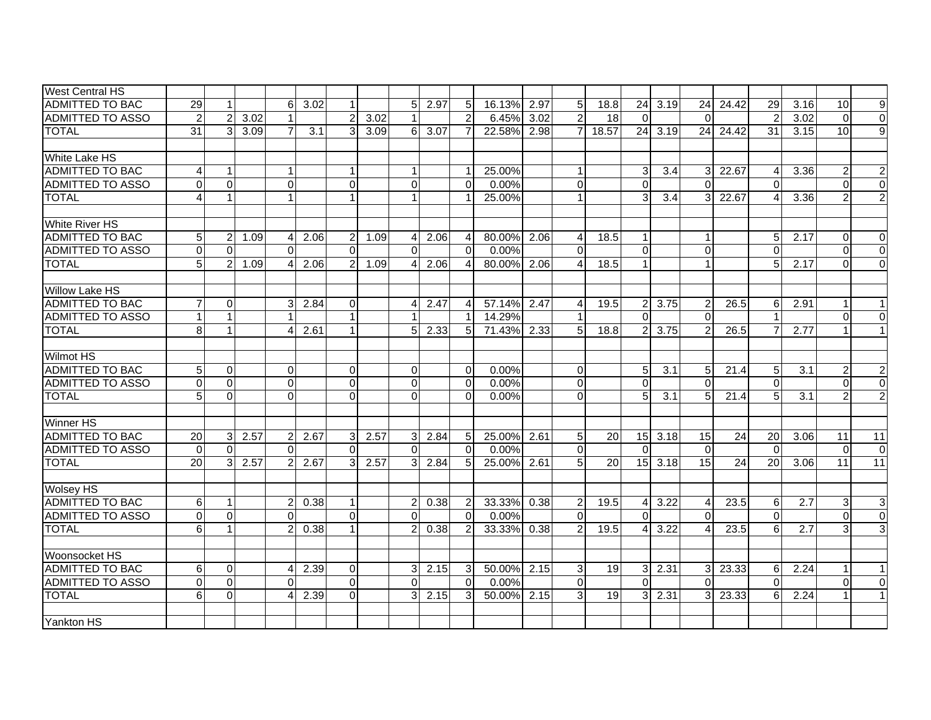| <b>West Central HS</b>  |                 |                |      |                |      |                |      |                |        |                |             |      |                |       |                |                      |                           |       |                |      |                |                  |
|-------------------------|-----------------|----------------|------|----------------|------|----------------|------|----------------|--------|----------------|-------------|------|----------------|-------|----------------|----------------------|---------------------------|-------|----------------|------|----------------|------------------|
| <b>ADMITTED TO BAC</b>  | 29              | 1              |      | 6              | 3.02 | $\mathbf{1}$   |      | 5 <sup>1</sup> | 2.97   | 5              | 16.13%      | 2.97 | 5              | 18.8  | 24             | 3.19                 | 24                        | 24.42 | 29             | 3.16 | 10             | $\boldsymbol{9}$ |
| <b>ADMITTED TO ASSO</b> | $\overline{2}$  | $\overline{2}$ | 3.02 |                |      | $\overline{2}$ | 3.02 |                |        | $\overline{2}$ | 6.45%       | 3.02 | $\overline{2}$ | 18    | $\Omega$       |                      | $\Omega$                  |       | $\mathcal{P}$  | 3.02 | $\Omega$       | $\overline{0}$   |
| <b>TOTAL</b>            | $\overline{31}$ | 3              | 3.09 | $\overline{7}$ | 3.1  | 3 <sup>1</sup> | 3.09 |                | 6 3.07 | $\overline{7}$ | 22.58% 2.98 |      | $\overline{7}$ | 18.57 | 24             | 3.19                 | 24                        | 24.42 | 31             | 3.15 | 10             | $\overline{9}$   |
|                         |                 |                |      |                |      |                |      |                |        |                |             |      |                |       |                |                      |                           |       |                |      |                |                  |
| White Lake HS           |                 |                |      |                |      |                |      |                |        |                |             |      |                |       |                |                      |                           |       |                |      |                |                  |
| <b>ADMITTED TO BAC</b>  |                 | $\mathbf{1}$   |      |                |      | $\mathbf{1}$   |      |                |        | 1              | 25.00%      |      | $\mathbf{1}$   |       | 3              | 3.4                  | 3 <sup>l</sup>            | 22.67 | 4              | 3.36 | $\overline{2}$ | $\boldsymbol{2}$ |
| <b>ADMITTED TO ASSO</b> | $\Omega$        | $\Omega$       |      | $\Omega$       |      | $\Omega$       |      | $\Omega$       |        | $\Omega$       | 0.00%       |      | $\Omega$       |       | $\Omega$       |                      | $\Omega$                  |       |                |      | $\Omega$       | $\Omega$         |
| <b>TOTAL</b>            |                 | $\mathbf{1}$   |      |                |      | $\mathbf{1}$   |      |                |        | 1              | 25.00%      |      | $\mathbf{1}$   |       | 3 <sup>l</sup> | 3.4                  | $\overline{3}$            | 22.67 | $\Delta$       | 3.36 |                | $\overline{2}$   |
|                         |                 |                |      |                |      |                |      |                |        |                |             |      |                |       |                |                      |                           |       |                |      |                |                  |
| <b>White River HS</b>   |                 |                |      |                |      |                |      |                |        |                |             |      |                |       |                |                      |                           |       |                |      |                |                  |
| <b>ADMITTED TO BAC</b>  | 5 <sup>5</sup>  | $\overline{c}$ | 1.09 | 4              | 2.06 | $\overline{2}$ | 1.09 | 4              | 2.06   | $\overline{4}$ | 80.00%      | 2.06 | 4              | 18.5  | $\mathbf{1}$   |                      |                           |       | 5              | 2.17 | $\Omega$       | $\mathbf 0$      |
| <b>ADMITTED TO ASSO</b> | $\Omega$        | $\Omega$       |      | $\Omega$       |      | $\Omega$       |      | $\Omega$       |        | $\Omega$       | 0.00%       |      | $\Omega$       |       | $\Omega$       |                      | $\Omega$                  |       | $\Omega$       |      | $\Omega$       | $\overline{0}$   |
| <b>TOTAL</b>            | 5 <sup>5</sup>  | $\overline{2}$ | 1.09 | 4              | 2.06 | $\overline{2}$ | 1.09 |                | 2.06   | $\overline{4}$ | 80.00%      | 2.06 | $\overline{4}$ | 18.5  | $\mathbf{1}$   |                      | $\mathbf{1}$              |       | 5              | 2.17 | $\Omega$       | $\overline{0}$   |
|                         |                 |                |      |                |      |                |      |                |        |                |             |      |                |       |                |                      |                           |       |                |      |                |                  |
| <b>Willow Lake HS</b>   |                 |                |      |                |      |                |      |                |        |                |             |      |                |       |                |                      |                           |       |                |      |                |                  |
| <b>ADMITTED TO BAC</b>  |                 | $\mathbf 0$    |      | 3              | 2.84 | $\Omega$       |      |                | 2.47   | 4              | 57.14%      | 2.47 | 4              | 19.5  |                | $2 \mid 3.75$        | $\overline{2}$            | 26.5  | 6              | 2.91 |                |                  |
| <b>ADMITTED TO ASSO</b> | $\mathbf 1$     | $\overline{1}$ |      |                |      | 1              |      |                |        | $\mathbf{1}$   | 14.29%      |      |                |       | $\Omega$       |                      | $\Omega$                  |       |                |      | 0              | $\Omega$         |
| <b>TOTAL</b>            | 8               | $\mathbf{1}$   |      | 4              | 2.61 | $\mathbf{1}$   |      | 5              | 2.33   | 5              | 71.43%      | 2.33 | 5              | 18.8  | $\overline{2}$ | 3.75                 | 2                         | 26.5  |                | 2.77 |                | $\mathbf{1}$     |
|                         |                 |                |      |                |      |                |      |                |        |                |             |      |                |       |                |                      |                           |       |                |      |                |                  |
| <b>Wilmot HS</b>        |                 |                |      |                |      |                |      |                |        |                |             |      |                |       |                |                      |                           |       |                |      |                |                  |
| <b>ADMITTED TO BAC</b>  | 5               | 0              |      | 0              |      | $\overline{0}$ |      | $\Omega$       |        | $\Omega$       | 0.00%       |      | $\overline{0}$ |       | 5 <sub>l</sub> | 3.1                  | 5 <sub>l</sub>            | 21.4  | 5              | 3.1  | 2              | $\mathbf{2}$     |
| <b>ADMITTED TO ASSO</b> | $\Omega$        | $\mathbf 0$    |      | $\overline{0}$ |      | $\overline{0}$ |      | $\Omega$       |        | $\Omega$       | 0.00%       |      | $\mathbf 0$    |       | $\Omega$       |                      | $\Omega$                  |       | $\Omega$       |      | $\Omega$       | $\overline{0}$   |
| <b>TOTAL</b>            | 5 <sup>1</sup>  | $\Omega$       |      | $\Omega$       |      | $\Omega$       |      | $\Omega$       |        | $\Omega$       | 0.00%       |      | $\Omega$       |       | 5 <sub>l</sub> | 3.1                  | $5 \frac{1}{2}$           | 21.4  | 5 <sub>l</sub> | 3.1  |                | $\overline{2}$   |
|                         |                 |                |      |                |      |                |      |                |        |                |             |      |                |       |                |                      |                           |       |                |      |                |                  |
| Winner HS               |                 |                |      |                |      |                |      |                |        |                |             |      |                |       |                |                      |                           |       |                |      |                |                  |
| <b>ADMITTED TO BAC</b>  | 20              | $\mathbf{3}$   | 2.57 | $\overline{2}$ | 2.67 | 3 <sup>1</sup> | 2.57 | $\overline{3}$ | 2.84   | 5              | 25.00%      | 2.61 | 5              | 20    | 15             | 3.18                 | 15                        | 24    | 20             | 3.06 | 11             | $\overline{11}$  |
| <b>ADMITTED TO ASSO</b> | $\Omega$        | $\Omega$       |      | $\Omega$       |      | $\Omega$       |      | $\Omega$       |        | $\Omega$       | 0.00%       |      | $\Omega$       |       | $\Omega$       |                      | $\Omega$                  |       | $\Omega$       |      | $\Omega$       | $\Omega$         |
| <b>TOTAL</b>            | $\overline{20}$ | 3              | 2.57 | $\overline{2}$ | 2.67 | $\overline{3}$ | 2.57 |                | 2.84   | 5              | 25.00%      | 2.61 | 5              | 20    | 15             | 3.18                 | 15                        | 24    | 20             | 3.06 | 11             | 11               |
|                         |                 |                |      |                |      |                |      |                |        |                |             |      |                |       |                |                      |                           |       |                |      |                |                  |
| <b>Wolsey HS</b>        |                 |                |      |                |      |                |      |                |        |                |             |      |                |       |                |                      |                           |       |                |      |                |                  |
| <b>ADMITTED TO BAC</b>  | 6               | $\mathbf{1}$   |      |                | 0.38 | $\mathbf{1}$   |      |                | 0.38   | $\overline{2}$ | 33.33%      | 0.38 | 2              | 19.5  | $\overline{4}$ | 3.22                 | $\boldsymbol{\varLambda}$ | 23.5  | 6              | 2.7  | 3              | 3                |
| <b>ADMITTED TO ASSO</b> | $\Omega$        | $\mathbf 0$    |      | $\Omega$       |      | $\Omega$       |      | $\Omega$       |        | $\Omega$       | 0.00%       |      | $\Omega$       |       | $\Omega$       |                      | $\Omega$                  |       | $\Omega$       |      | $\Omega$       | $\overline{0}$   |
| <b>TOTAL</b>            | 6               | 1              |      |                | 0.38 | $\mathbf{1}$   |      |                | 0.38   | $\overline{2}$ | 33.33%      | 0.38 | $\overline{2}$ | 19.5  | 4              | 3.22                 | $\boldsymbol{\Lambda}$    | 23.5  | 6              | 2.7  | 3              | 3                |
|                         |                 |                |      |                |      |                |      |                |        |                |             |      |                |       |                |                      |                           |       |                |      |                |                  |
| Woonsocket HS           |                 |                |      |                |      |                |      |                |        |                |             |      |                |       |                |                      |                           |       |                |      |                |                  |
| <b>ADMITTED TO BAC</b>  | 6               | $\mathbf 0$    |      |                | 2.39 | $\Omega$       |      | 3              | 2.15   | 3              | 50.00%      | 2.15 | 3              | 19    |                | $3 \overline{)2.31}$ | 3 <sup>l</sup>            | 23.33 | 6              | 2.24 |                | $\mathbf{1}$     |
| <b>ADMITTED TO ASSO</b> | $\Omega$        | $\Omega$       |      |                |      | $\Omega$       |      | $\Omega$       |        | $\Omega$       | 0.00%       |      | $\Omega$       |       | $\Omega$       |                      | $\Omega$                  |       | $\Omega$       |      | $\Omega$       | $\Omega$         |
| <b>TOTAL</b>            | 6               | $\mathbf 0$    |      |                | 2.39 | $\Omega$       |      | 3              | 2.15   | 3              | 50.00%      | 2.15 | 3              | 19    | 3 <sup>1</sup> | 2.31                 | $\overline{3}$            | 23.33 | 6              | 2.24 |                | $\mathbf{1}$     |
|                         |                 |                |      |                |      |                |      |                |        |                |             |      |                |       |                |                      |                           |       |                |      |                |                  |
| Yankton HS              |                 |                |      |                |      |                |      |                |        |                |             |      |                |       |                |                      |                           |       |                |      |                |                  |